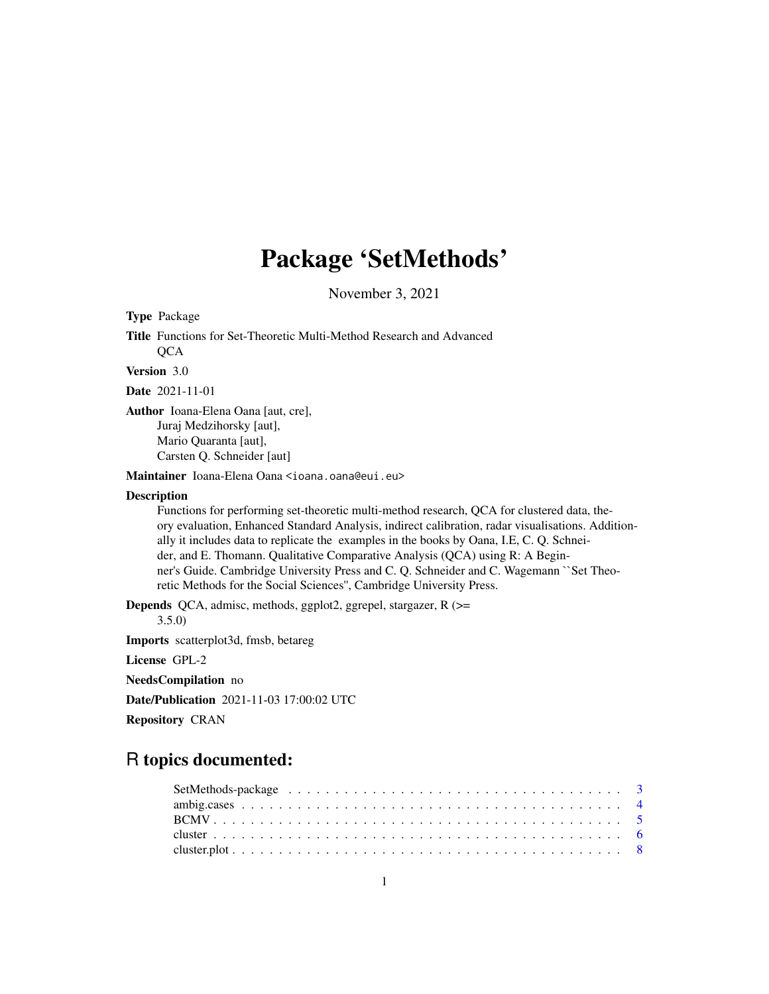# Package 'SetMethods'

November 3, 2021

<span id="page-0-0"></span>Type Package

Title Functions for Set-Theoretic Multi-Method Research and Advanced **QCA** 

Version 3.0

Date 2021-11-01

Author Ioana-Elena Oana [aut, cre], Juraj Medzihorsky [aut], Mario Quaranta [aut], Carsten Q. Schneider [aut]

Maintainer Ioana-Elena Oana <ioana.oana@eui.eu>

# **Description**

Functions for performing set-theoretic multi-method research, QCA for clustered data, theory evaluation, Enhanced Standard Analysis, indirect calibration, radar visualisations. Additionally it includes data to replicate the examples in the books by Oana, I.E, C. Q. Schneider, and E. Thomann. Qualitative Comparative Analysis (QCA) using R: A Beginner's Guide. Cambridge University Press and C. Q. Schneider and C. Wagemann ``Set Theoretic Methods for the Social Sciences'', Cambridge University Press.

Depends QCA, admisc, methods, ggplot2, ggrepel, stargazer, R (>=

3.5.0)

Imports scatterplot3d, fmsb, betareg

License GPL-2

NeedsCompilation no

Date/Publication 2021-11-03 17:00:02 UTC

Repository CRAN

# R topics documented: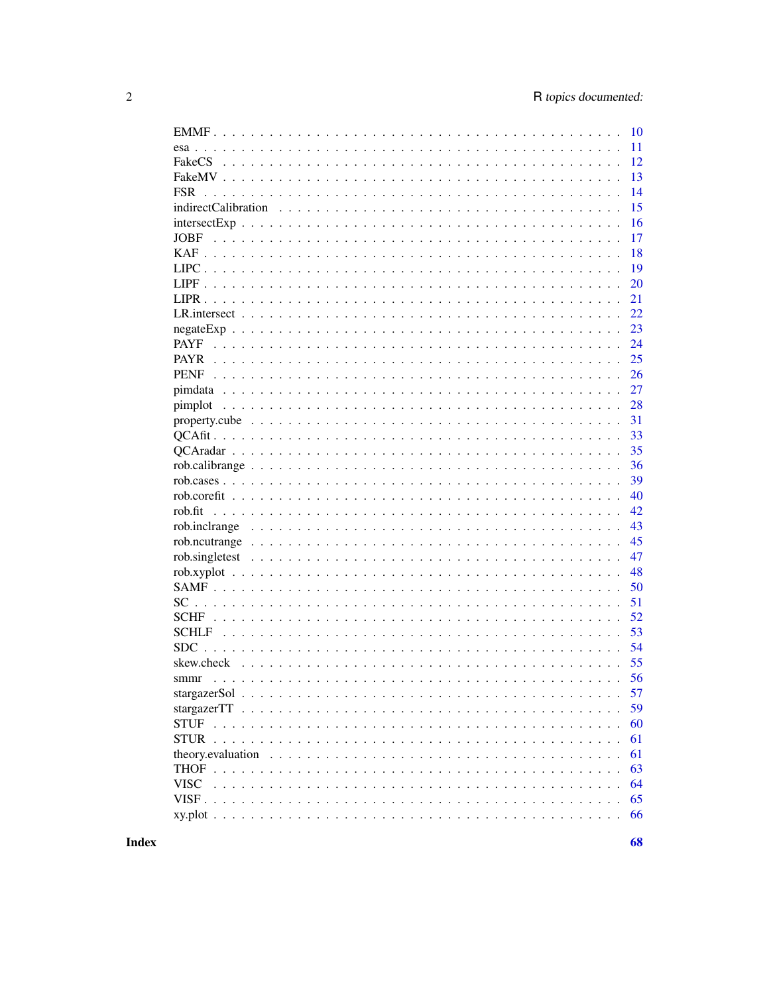| 10                |
|-------------------|
| 11                |
| 12<br>FakeCS      |
| 13                |
| 14<br><b>FSR</b>  |
| 15                |
| 16                |
| 17<br><b>JOBF</b> |
| 18                |
| 19                |
| 20                |
| 21                |
| 22                |
| 23                |
| <b>PAYF</b><br>24 |
| 25                |
| 26                |
| 27                |
| pimplot<br>28     |
| 31                |
| 33                |
| 35                |
| 36                |
| 39                |
| 40                |
| rob.fit<br>42     |
| 43                |
| 45                |
|                   |
| 47                |
| 48                |
| 50                |
| 51                |
| 52                |
| 53                |
| <b>SDC</b><br>54  |
| 55                |
| 56<br>smmr        |
| 57                |
| 59                |
| 60                |
| 61                |
| 61                |
| 63                |
| <b>VISC</b><br>64 |
| 65                |
| 66                |

**Index**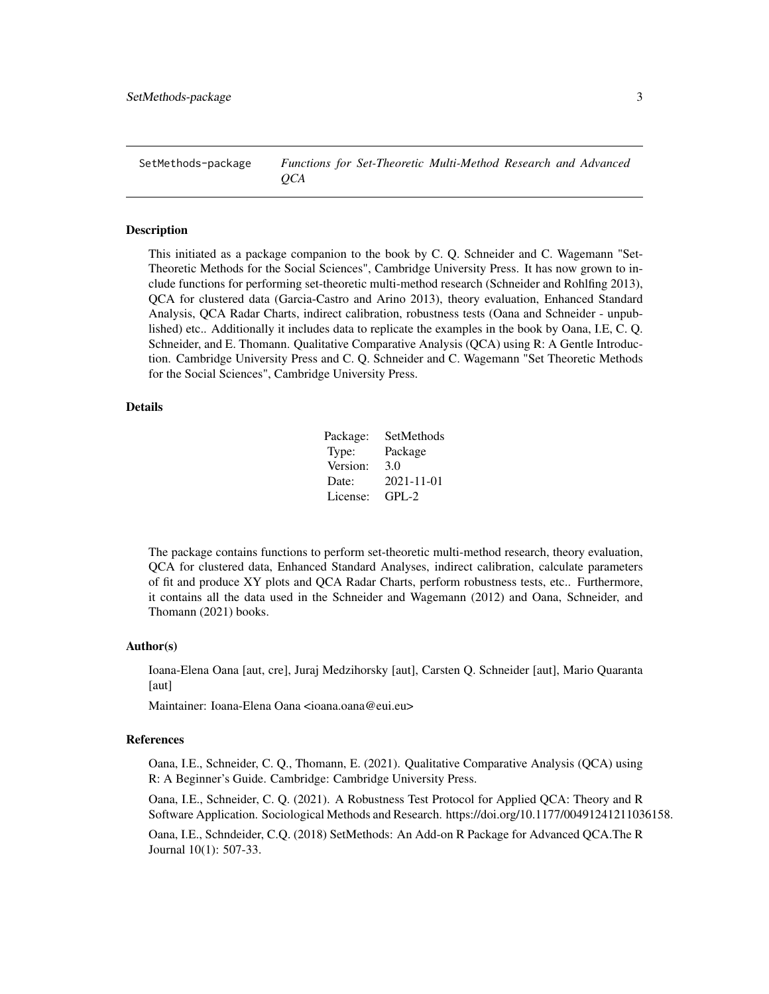<span id="page-2-0"></span>SetMethods-package *Functions for Set-Theoretic Multi-Method Research and Advanced QCA*

#### Description

This initiated as a package companion to the book by C. Q. Schneider and C. Wagemann "Set-Theoretic Methods for the Social Sciences", Cambridge University Press. It has now grown to include functions for performing set-theoretic multi-method research (Schneider and Rohlfing 2013), QCA for clustered data (Garcia-Castro and Arino 2013), theory evaluation, Enhanced Standard Analysis, QCA Radar Charts, indirect calibration, robustness tests (Oana and Schneider - unpublished) etc.. Additionally it includes data to replicate the examples in the book by Oana, I.E, C. Q. Schneider, and E. Thomann. Qualitative Comparative Analysis (QCA) using R: A Gentle Introduction. Cambridge University Press and C. Q. Schneider and C. Wagemann "Set Theoretic Methods for the Social Sciences", Cambridge University Press.

### Details

| SetMethods |
|------------|
| Package    |
| 3.0        |
| 2021-11-01 |
| $GPL-2$    |
|            |

The package contains functions to perform set-theoretic multi-method research, theory evaluation, QCA for clustered data, Enhanced Standard Analyses, indirect calibration, calculate parameters of fit and produce XY plots and QCA Radar Charts, perform robustness tests, etc.. Furthermore, it contains all the data used in the Schneider and Wagemann (2012) and Oana, Schneider, and Thomann (2021) books.

#### Author(s)

Ioana-Elena Oana [aut, cre], Juraj Medzihorsky [aut], Carsten Q. Schneider [aut], Mario Quaranta [aut]

Maintainer: Ioana-Elena Oana <ioana.oana@eui.eu>

#### References

Oana, I.E., Schneider, C. Q., Thomann, E. (2021). Qualitative Comparative Analysis (QCA) using R: A Beginner's Guide. Cambridge: Cambridge University Press.

Oana, I.E., Schneider, C. Q. (2021). A Robustness Test Protocol for Applied QCA: Theory and R Software Application. Sociological Methods and Research. https://doi.org/10.1177/00491241211036158.

Oana, I.E., Schndeider, C.Q. (2018) SetMethods: An Add-on R Package for Advanced QCA.The R Journal 10(1): 507-33.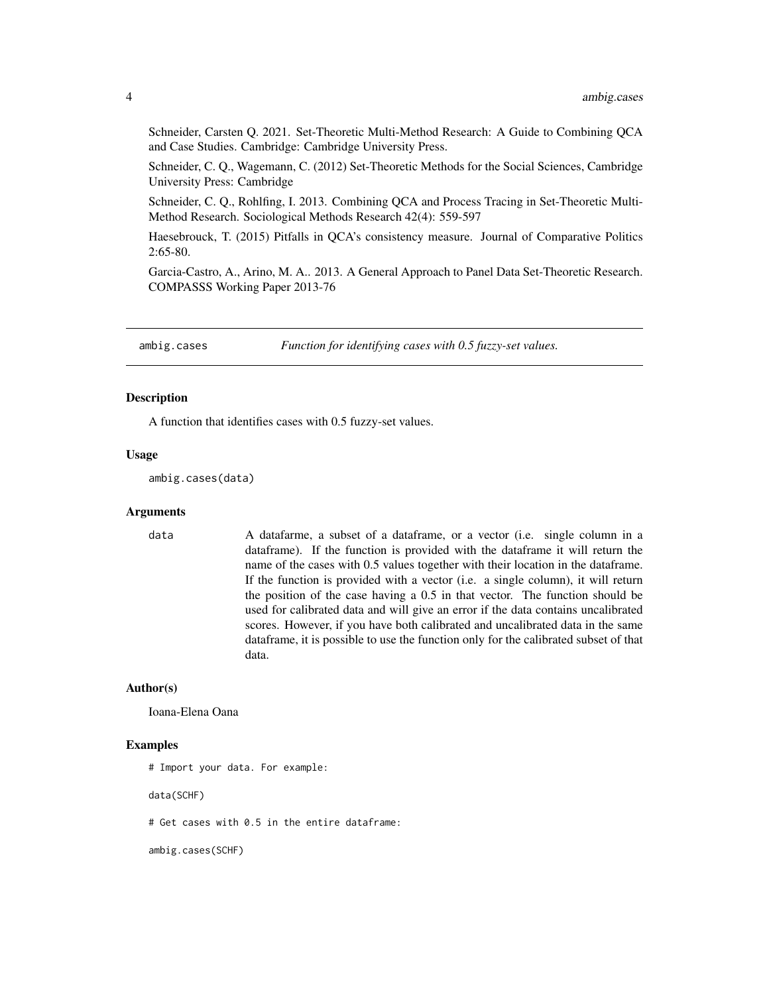<span id="page-3-0"></span>Schneider, Carsten Q. 2021. Set-Theoretic Multi-Method Research: A Guide to Combining QCA and Case Studies. Cambridge: Cambridge University Press.

Schneider, C. Q., Wagemann, C. (2012) Set-Theoretic Methods for the Social Sciences, Cambridge University Press: Cambridge

Schneider, C. Q., Rohlfing, I. 2013. Combining QCA and Process Tracing in Set-Theoretic Multi-Method Research. Sociological Methods Research 42(4): 559-597

Haesebrouck, T. (2015) Pitfalls in QCA's consistency measure. Journal of Comparative Politics 2:65-80.

Garcia-Castro, A., Arino, M. A.. 2013. A General Approach to Panel Data Set-Theoretic Research. COMPASSS Working Paper 2013-76

ambig.cases *Function for identifying cases with 0.5 fuzzy-set values.*

#### **Description**

A function that identifies cases with 0.5 fuzzy-set values.

#### Usage

ambig.cases(data)

#### **Arguments**

data A datafarme, a subset of a dataframe, or a vector (i.e. single column in a dataframe). If the function is provided with the dataframe it will return the name of the cases with 0.5 values together with their location in the dataframe. If the function is provided with a vector (i.e. a single column), it will return the position of the case having a 0.5 in that vector. The function should be used for calibrated data and will give an error if the data contains uncalibrated scores. However, if you have both calibrated and uncalibrated data in the same dataframe, it is possible to use the function only for the calibrated subset of that data.

#### Author(s)

Ioana-Elena Oana

#### Examples

# Import your data. For example:

data(SCHF)

# Get cases with 0.5 in the entire dataframe:

ambig.cases(SCHF)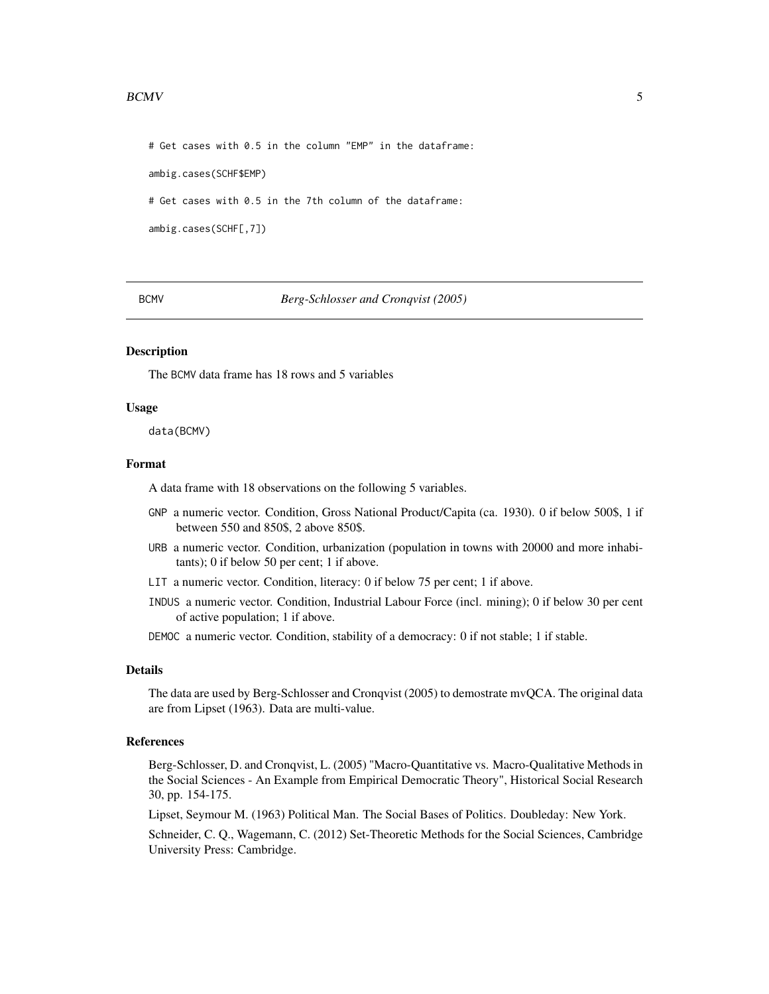#### <span id="page-4-0"></span>BCMV 5

# Get cases with 0.5 in the column "EMP" in the dataframe:

ambig.cases(SCHF\$EMP)

# Get cases with 0.5 in the 7th column of the dataframe:

ambig.cases(SCHF[,7])

BCMV *Berg-Schlosser and Cronqvist (2005)*

#### Description

The BCMV data frame has 18 rows and 5 variables

#### Usage

data(BCMV)

# Format

A data frame with 18 observations on the following 5 variables.

- GNP a numeric vector. Condition, Gross National Product/Capita (ca. 1930). 0 if below 500\$, 1 if between 550 and 850\$, 2 above 850\$.
- URB a numeric vector. Condition, urbanization (population in towns with 20000 and more inhabitants); 0 if below 50 per cent; 1 if above.
- LIT a numeric vector. Condition, literacy: 0 if below 75 per cent; 1 if above.
- INDUS a numeric vector. Condition, Industrial Labour Force (incl. mining); 0 if below 30 per cent of active population; 1 if above.

DEMOC a numeric vector. Condition, stability of a democracy: 0 if not stable; 1 if stable.

# Details

The data are used by Berg-Schlosser and Cronqvist (2005) to demostrate mvQCA. The original data are from Lipset (1963). Data are multi-value.

#### References

Berg-Schlosser, D. and Cronqvist, L. (2005) "Macro-Quantitative vs. Macro-Qualitative Methods in the Social Sciences - An Example from Empirical Democratic Theory", Historical Social Research 30, pp. 154-175.

Lipset, Seymour M. (1963) Political Man. The Social Bases of Politics. Doubleday: New York.

Schneider, C. Q., Wagemann, C. (2012) Set-Theoretic Methods for the Social Sciences, Cambridge University Press: Cambridge.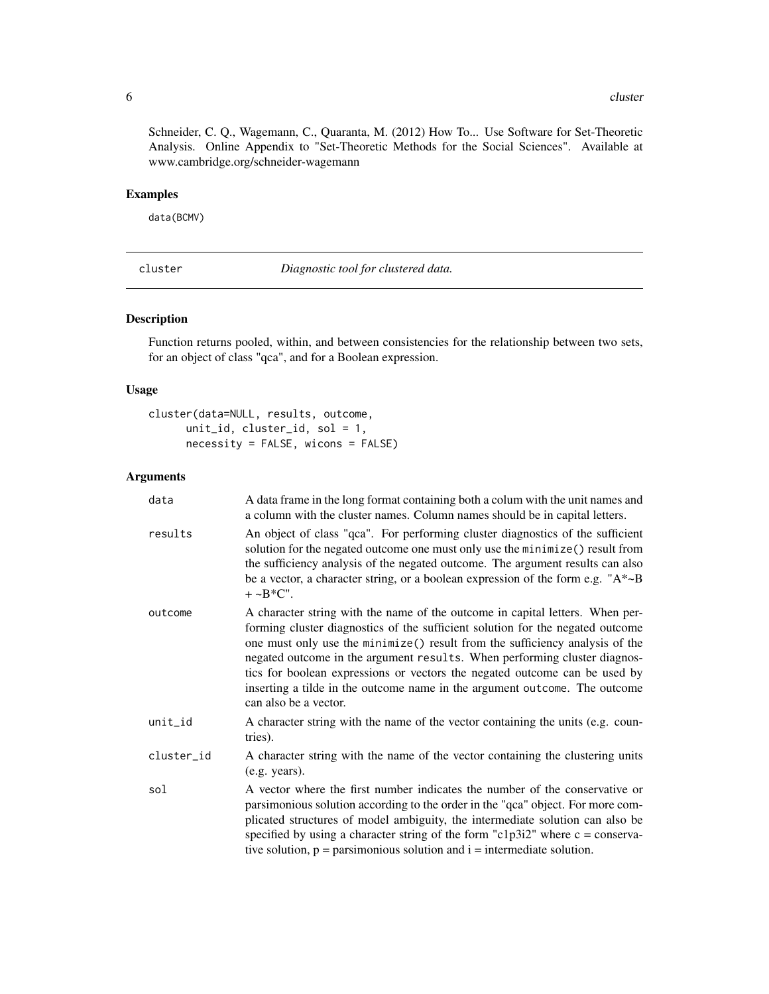<span id="page-5-0"></span>Schneider, C. Q., Wagemann, C., Quaranta, M. (2012) How To... Use Software for Set-Theoretic Analysis. Online Appendix to "Set-Theoretic Methods for the Social Sciences". Available at www.cambridge.org/schneider-wagemann

# Examples

data(BCMV)

cluster *Diagnostic tool for clustered data.*

# Description

Function returns pooled, within, and between consistencies for the relationship between two sets, for an object of class "qca", and for a Boolean expression.

#### Usage

```
cluster(data=NULL, results, outcome,
     unit_id, cluster_id, sol = 1,
     necessity = FALSE, wicons = FALSE)
```
# Arguments

| data       | A data frame in the long format containing both a colum with the unit names and<br>a column with the cluster names. Column names should be in capital letters.                                                                                                                                                                                                                                                                                                                                                    |
|------------|-------------------------------------------------------------------------------------------------------------------------------------------------------------------------------------------------------------------------------------------------------------------------------------------------------------------------------------------------------------------------------------------------------------------------------------------------------------------------------------------------------------------|
| results    | An object of class "qca". For performing cluster diagnostics of the sufficient<br>solution for the negated outcome one must only use the minimize() result from<br>the sufficiency analysis of the negated outcome. The argument results can also<br>be a vector, a character string, or a boolean expression of the form e.g. " $A^* \sim B$<br>$+ \sim B^*C$ ".                                                                                                                                                 |
| outcome    | A character string with the name of the outcome in capital letters. When per-<br>forming cluster diagnostics of the sufficient solution for the negated outcome<br>one must only use the minimize() result from the sufficiency analysis of the<br>negated outcome in the argument results. When performing cluster diagnos-<br>tics for boolean expressions or vectors the negated outcome can be used by<br>inserting a tilde in the outcome name in the argument outcome. The outcome<br>can also be a vector. |
| unit_id    | A character string with the name of the vector containing the units (e.g. coun-<br>tries).                                                                                                                                                                                                                                                                                                                                                                                                                        |
| cluster_id | A character string with the name of the vector containing the clustering units<br>(e.g. years).                                                                                                                                                                                                                                                                                                                                                                                                                   |
| sol        | A vector where the first number indicates the number of the conservative or<br>parsimonious solution according to the order in the "qca" object. For more com-<br>plicated structures of model ambiguity, the intermediate solution can also be<br>specified by using a character string of the form "c1p3i2" where $c = \text{conserva}$ -<br>tive solution, $p =$ parsimonious solution and $i =$ intermediate solution.                                                                                        |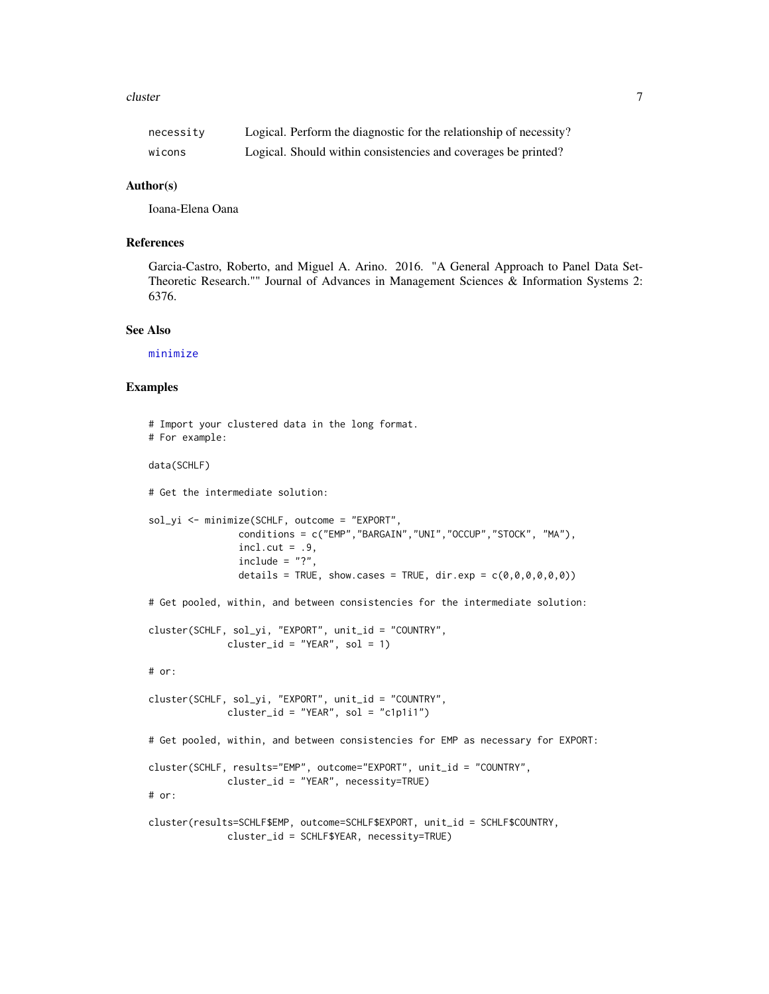#### <span id="page-6-0"></span>cluster 7 and 2008 and 2008 and 2008 and 2008 and 2008 and 2008 and 2008 and 2008 and 2008 and 2008 and 2008 and 2008 and 2008 and 2008 and 2008 and 2008 and 2008 and 2008 and 2008 and 2008 and 2008 and 2008 and 2008 and 2

| necessity | Logical. Perform the diagnostic for the relationship of necessity? |
|-----------|--------------------------------------------------------------------|
| wicons    | Logical. Should within consistencies and coverages be printed?     |

#### Author(s)

Ioana-Elena Oana

# References

Garcia-Castro, Roberto, and Miguel A. Arino. 2016. "A General Approach to Panel Data Set-Theoretic Research."" Journal of Advances in Management Sciences & Information Systems 2: 6376.

# See Also

[minimize](#page-0-0)

#### Examples

```
# Import your clustered data in the long format.
# For example:
data(SCHLF)
# Get the intermediate solution:
sol_yi <- minimize(SCHLF, outcome = "EXPORT",
                conditions = c("EMP","BARGAIN","UNI","OCCUP","STOCK", "MA"),
                incl.cut = .9,include = "?"details = TRUE, show.cases = TRUE, dir.exp = c(\theta, \theta, \theta, \theta, \theta, \theta))
# Get pooled, within, and between consistencies for the intermediate solution:
cluster(SCHLF, sol_yi, "EXPORT", unit_id = "COUNTRY",
              cluster_id = "YEAR", sol = 1)# or:
cluster(SCHLF, sol_yi, "EXPORT", unit_id = "COUNTRY",
              cluster_id = "YEAR", sol = "c1p1i1")# Get pooled, within, and between consistencies for EMP as necessary for EXPORT:
cluster(SCHLF, results="EMP", outcome="EXPORT", unit_id = "COUNTRY",
              cluster_id = "YEAR", necessity=TRUE)
# or:
cluster(results=SCHLF$EMP, outcome=SCHLF$EXPORT, unit_id = SCHLF$COUNTRY,
              cluster_id = SCHLF$YEAR, necessity=TRUE)
```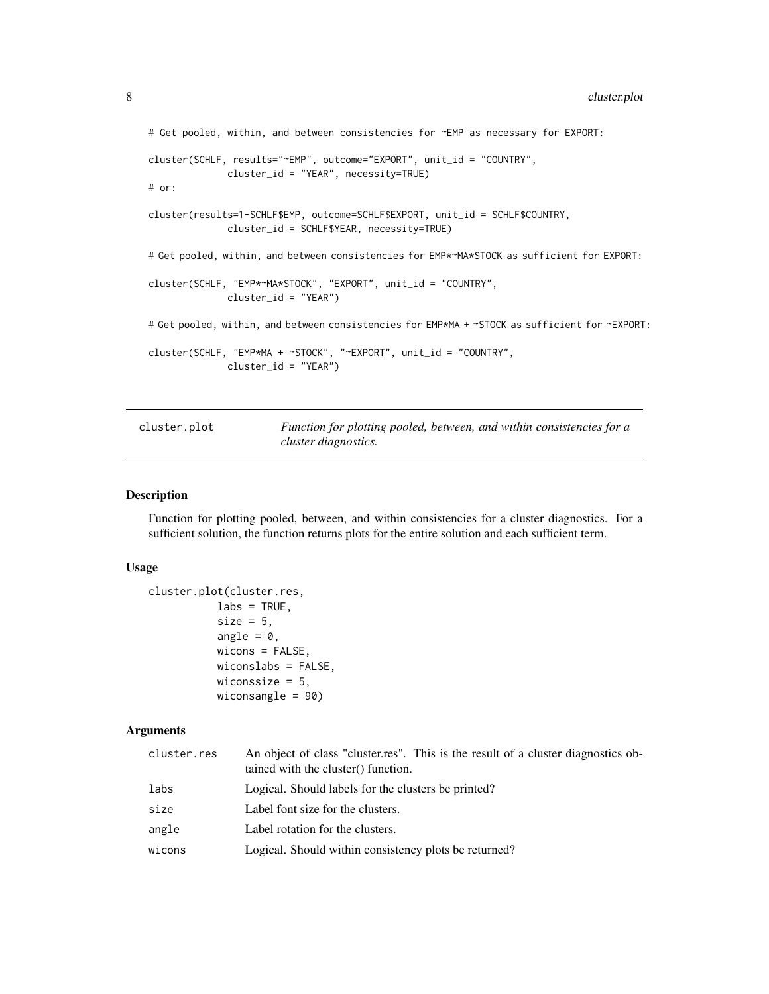```
# Get pooled, within, and between consistencies for ~EMP as necessary for EXPORT:
cluster(SCHLF, results="~EMP", outcome="EXPORT", unit_id = "COUNTRY",
              cluster_id = "YEAR", necessity=TRUE)
# or:
cluster(results=1-SCHLF$EMP, outcome=SCHLF$EXPORT, unit_id = SCHLF$COUNTRY,
              cluster_id = SCHLF$YEAR, necessity=TRUE)
# Get pooled, within, and between consistencies for EMP*~MA*STOCK as sufficient for EXPORT:
cluster(SCHLF, "EMP*~MA*STOCK", "EXPORT", unit_id = "COUNTRY",
              cluster_id = "YEAR")
# Get pooled, within, and between consistencies for EMP*MA + ~STOCK as sufficient for ~EXPORT:
cluster(SCHLF, "EMP*MA + ~STOCK", "~EXPORT", unit_id = "COUNTRY",
              cluster_id = "YEAR")
```
cluster.plot *Function for plotting pooled, between, and within consistencies for a cluster diagnostics.*

#### Description

Function for plotting pooled, between, and within consistencies for a cluster diagnostics. For a sufficient solution, the function returns plots for the entire solution and each sufficient term.

# Usage

```
cluster.plot(cluster.res,
            \text{labs} = \text{TRUE},
            size = 5,
            angle = 0,
            wicons = FALSE,
            wiconslabs = FALSE,
            wiconssize = 5,
            wiconsangle = 90)
```
# Arguments

| cluster.res | An object of class "cluster.res". This is the result of a cluster diagnostics ob-<br>tained with the cluster() function. |
|-------------|--------------------------------------------------------------------------------------------------------------------------|
| labs        | Logical. Should labels for the clusters be printed?                                                                      |
| size        | Label font size for the clusters.                                                                                        |
| angle       | Label rotation for the clusters.                                                                                         |
| wicons      | Logical. Should within consistency plots be returned?                                                                    |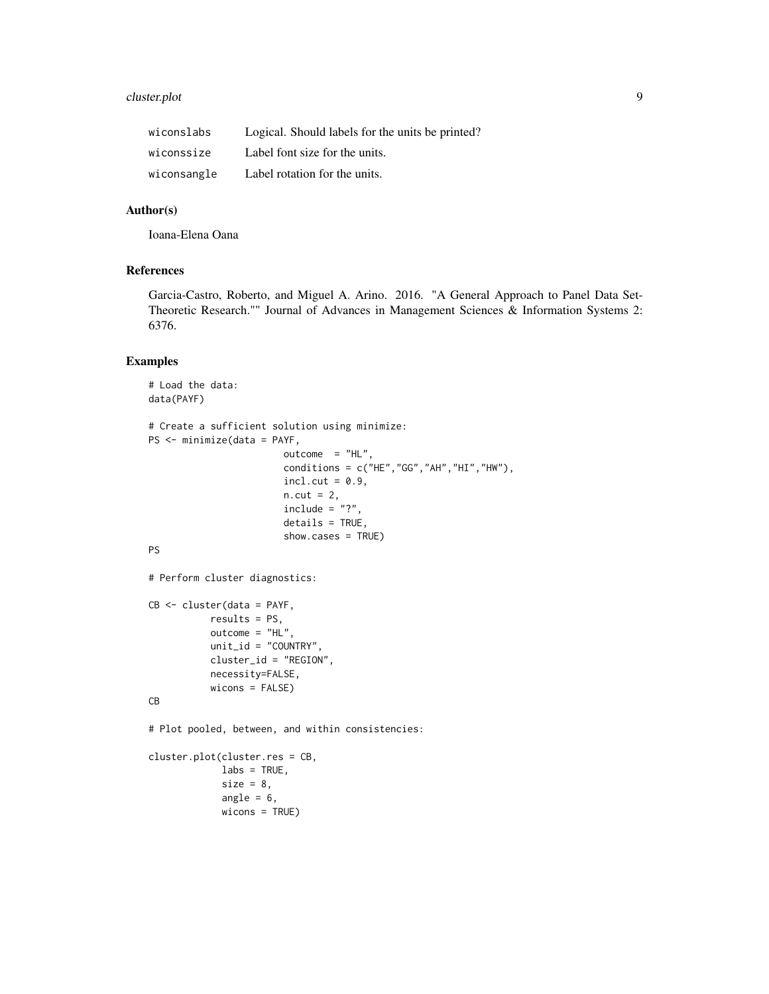# cluster.plot 9

| wiconslabs  | Logical. Should labels for the units be printed? |
|-------------|--------------------------------------------------|
| wiconssize  | Label font size for the units.                   |
| wiconsangle | Label rotation for the units.                    |

# Author(s)

Ioana-Elena Oana

#### References

Garcia-Castro, Roberto, and Miguel A. Arino. 2016. "A General Approach to Panel Data Set-Theoretic Research."" Journal of Advances in Management Sciences & Information Systems 2: 6376.

# Examples

```
# Load the data:
data(PAYF)
# Create a sufficient solution using minimize:
PS <- minimize(data = PAYF,
                         outcome = "HL",conditions = c("HE","GG","AH","HI","HW"),
                         incl.cut = 0.9,
                         n.cut = 2,include = "?"details = TRUE,
                         show.cases = TRUE)
PS
# Perform cluster diagnostics:
CB <- cluster(data = PAYF,
           results = PS,
           outcome = "HL",
           unit_id = "COUNTRY",
           cluster_id = "REGION",
           necessity=FALSE,
           wicons = FALSE)
CB
# Plot pooled, between, and within consistencies:
cluster.plot(cluster.res = CB,
             \text{labels} = \text{TRUE},
             size = 8,angle = 6,
             wicons = TRUE)
```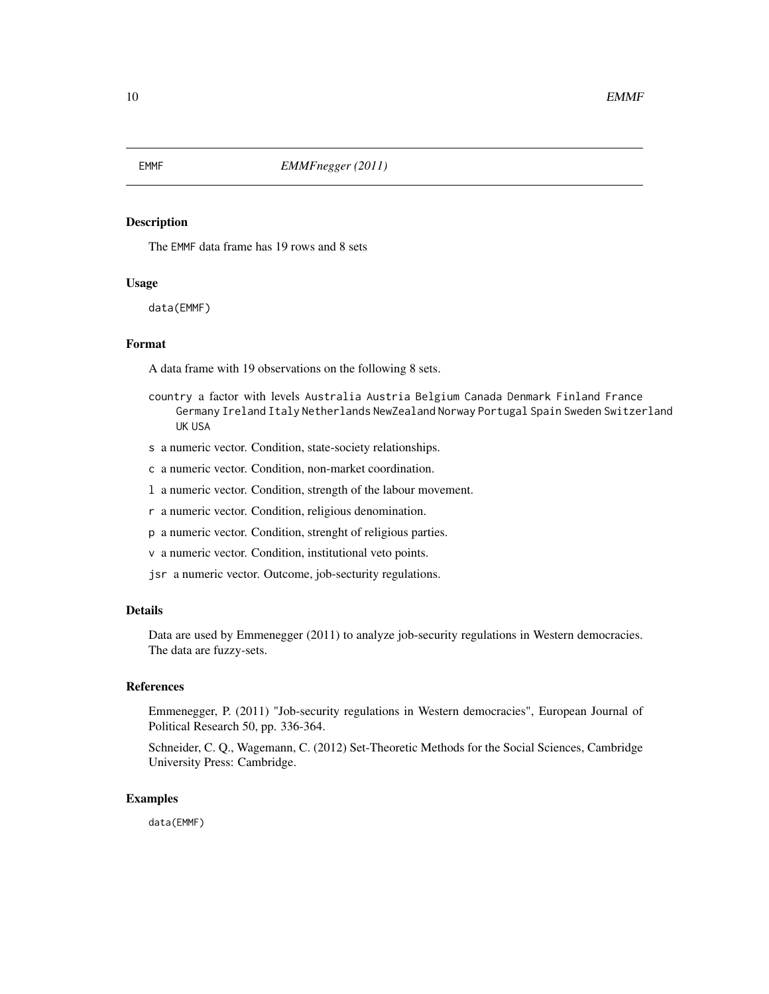The EMMF data frame has 19 rows and 8 sets

# Usage

data(EMMF)

# Format

A data frame with 19 observations on the following 8 sets.

- country a factor with levels Australia Austria Belgium Canada Denmark Finland France Germany Ireland Italy Netherlands NewZealand Norway Portugal Spain Sweden Switzerland UK USA
- s a numeric vector. Condition, state-society relationships.
- c a numeric vector. Condition, non-market coordination.
- l a numeric vector. Condition, strength of the labour movement.
- r a numeric vector. Condition, religious denomination.
- p a numeric vector. Condition, strenght of religious parties.
- v a numeric vector. Condition, institutional veto points.
- jsr a numeric vector. Outcome, job-secturity regulations.

# Details

Data are used by Emmenegger (2011) to analyze job-security regulations in Western democracies. The data are fuzzy-sets.

# References

Emmenegger, P. (2011) "Job-security regulations in Western democracies", European Journal of Political Research 50, pp. 336-364.

Schneider, C. Q., Wagemann, C. (2012) Set-Theoretic Methods for the Social Sciences, Cambridge University Press: Cambridge.

#### Examples

data(EMMF)

<span id="page-9-0"></span>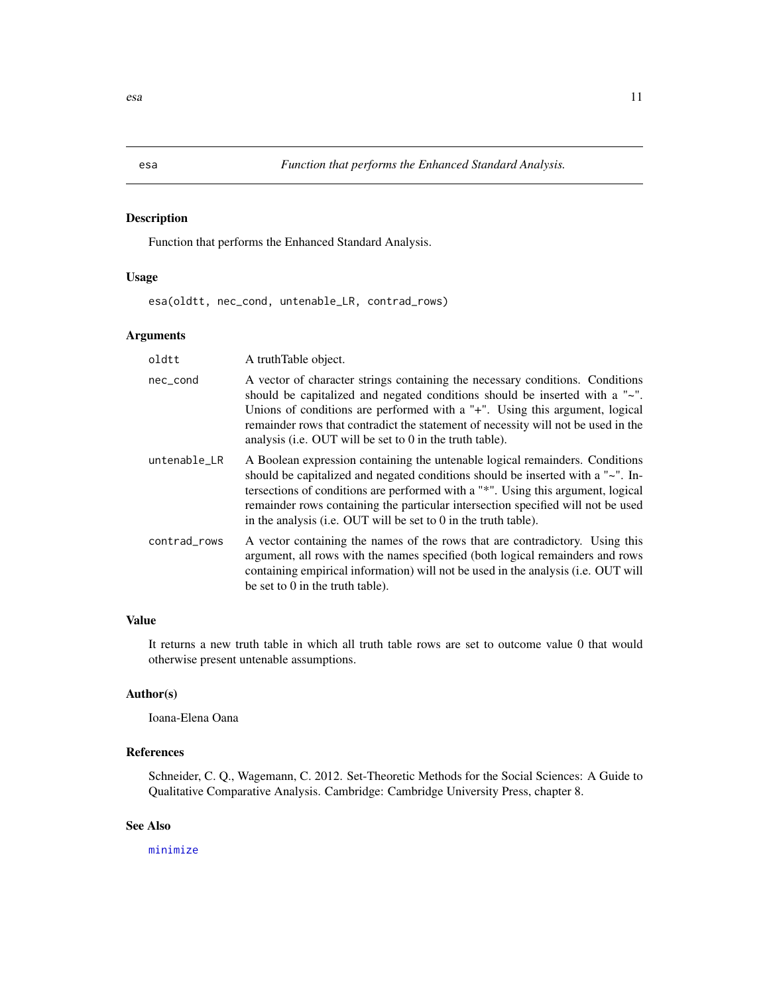Function that performs the Enhanced Standard Analysis.

# Usage

esa(oldtt, nec\_cond, untenable\_LR, contrad\_rows)

# Arguments

| oldtt        | A truthTable object.                                                                                                                                                                                                                                                                                                                                                                                       |
|--------------|------------------------------------------------------------------------------------------------------------------------------------------------------------------------------------------------------------------------------------------------------------------------------------------------------------------------------------------------------------------------------------------------------------|
| nec_cond     | A vector of character strings containing the necessary conditions. Conditions<br>should be capitalized and negated conditions should be inserted with a "~".<br>Unions of conditions are performed with a "+". Using this argument, logical<br>remainder rows that contradict the statement of necessity will not be used in the<br>analysis (i.e. OUT will be set to 0 in the truth table).               |
| untenable_LR | A Boolean expression containing the untenable logical remainders. Conditions<br>should be capitalized and negated conditions should be inserted with a "~". In-<br>tersections of conditions are performed with a "*". Using this argument, logical<br>remainder rows containing the particular intersection specified will not be used<br>in the analysis (i.e. OUT will be set to 0 in the truth table). |
| contrad_rows | A vector containing the names of the rows that are contradictory. Using this<br>argument, all rows with the names specified (both logical remainders and rows<br>containing empirical information) will not be used in the analysis (i.e. OUT will<br>be set to $0$ in the truth table).                                                                                                                   |

# Value

It returns a new truth table in which all truth table rows are set to outcome value 0 that would otherwise present untenable assumptions.

# Author(s)

Ioana-Elena Oana

# References

Schneider, C. Q., Wagemann, C. 2012. Set-Theoretic Methods for the Social Sciences: A Guide to Qualitative Comparative Analysis. Cambridge: Cambridge University Press, chapter 8.

# See Also

[minimize](#page-0-0)

<span id="page-10-0"></span>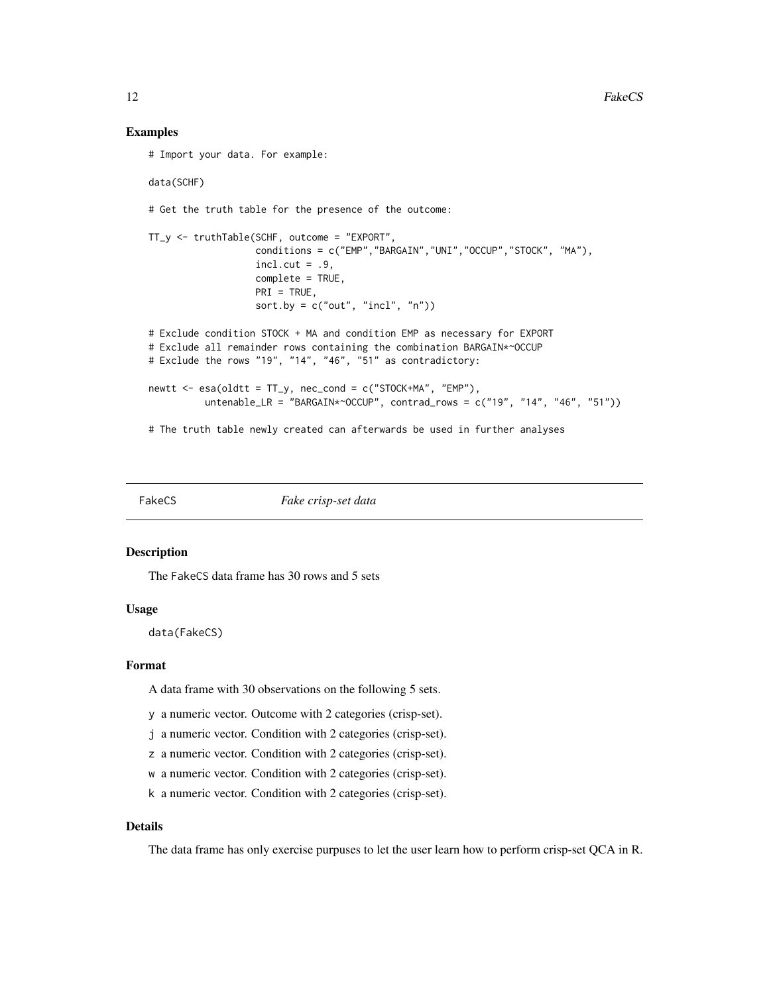#### Examples

```
# Import your data. For example:
data(SCHF)
# Get the truth table for the presence of the outcome:
TT_y <- truthTable(SCHF, outcome = "EXPORT",
                   conditions = c("EMP","BARGAIN","UNI","OCCUP","STOCK", "MA"),
                   incl. cut = .9,complete = TRUE,
                  PRI = TRUE,
                  sort.by = c("out", "incl", "n")# Exclude condition STOCK + MA and condition EMP as necessary for EXPORT
# Exclude all remainder rows containing the combination BARGAIN*~OCCUP
# Exclude the rows "19", "14", "46", "51" as contradictory:
newtt <- esa(oldtt = TT_y, nec_cond = c("STOCK+MA", "EMP"),
          untenable_LR = "BARGAIN*~OCCUP", contrad_rows = c("19", "14", "46", "51"))# The truth table newly created can afterwards be used in further analyses
```
FakeCS *Fake crisp-set data*

#### Description

The FakeCS data frame has 30 rows and 5 sets

#### Usage

data(FakeCS)

#### Format

A data frame with 30 observations on the following 5 sets.

y a numeric vector. Outcome with 2 categories (crisp-set).

j a numeric vector. Condition with 2 categories (crisp-set).

z a numeric vector. Condition with 2 categories (crisp-set).

w a numeric vector. Condition with 2 categories (crisp-set).

k a numeric vector. Condition with 2 categories (crisp-set).

#### Details

The data frame has only exercise purpuses to let the user learn how to perform crisp-set QCA in R.

<span id="page-11-0"></span>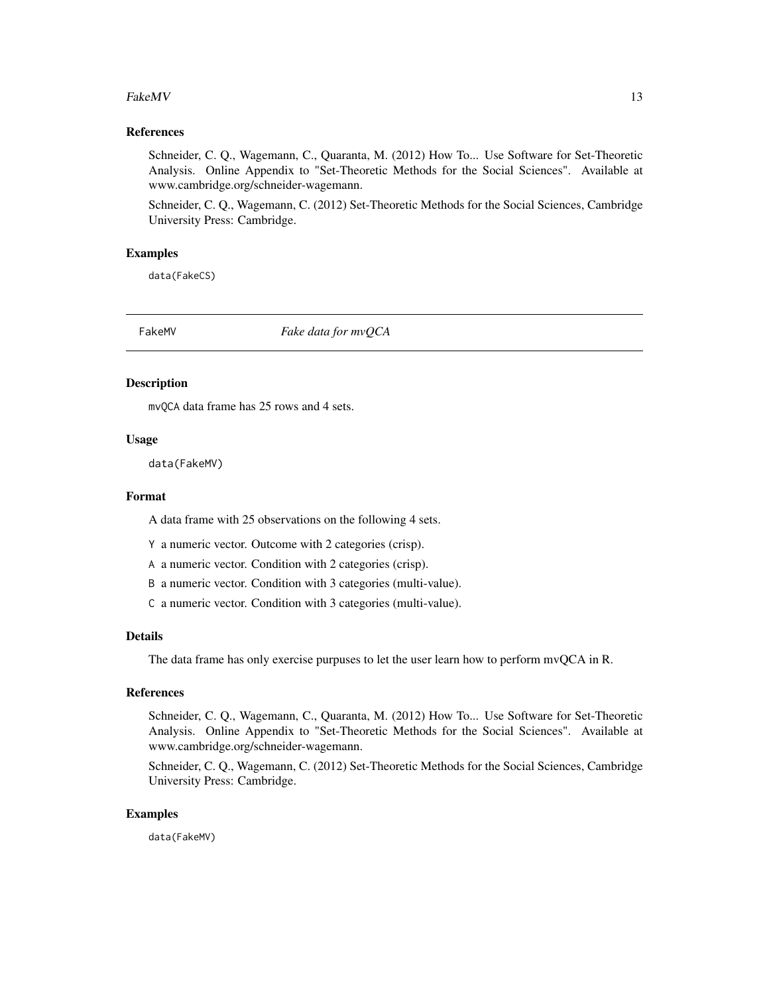#### <span id="page-12-0"></span> $FakeMV$  13

# References

Schneider, C. Q., Wagemann, C., Quaranta, M. (2012) How To... Use Software for Set-Theoretic Analysis. Online Appendix to "Set-Theoretic Methods for the Social Sciences". Available at www.cambridge.org/schneider-wagemann.

Schneider, C. Q., Wagemann, C. (2012) Set-Theoretic Methods for the Social Sciences, Cambridge University Press: Cambridge.

# Examples

data(FakeCS)

FakeMV *Fake data for mvQCA*

#### Description

mvQCA data frame has 25 rows and 4 sets.

#### Usage

data(FakeMV)

#### Format

A data frame with 25 observations on the following 4 sets.

Y a numeric vector. Outcome with 2 categories (crisp).

A a numeric vector. Condition with 2 categories (crisp).

B a numeric vector. Condition with 3 categories (multi-value).

C a numeric vector. Condition with 3 categories (multi-value).

#### Details

The data frame has only exercise purpuses to let the user learn how to perform mvQCA in R.

#### References

Schneider, C. Q., Wagemann, C., Quaranta, M. (2012) How To... Use Software for Set-Theoretic Analysis. Online Appendix to "Set-Theoretic Methods for the Social Sciences". Available at www.cambridge.org/schneider-wagemann.

Schneider, C. Q., Wagemann, C. (2012) Set-Theoretic Methods for the Social Sciences, Cambridge University Press: Cambridge.

#### Examples

data(FakeMV)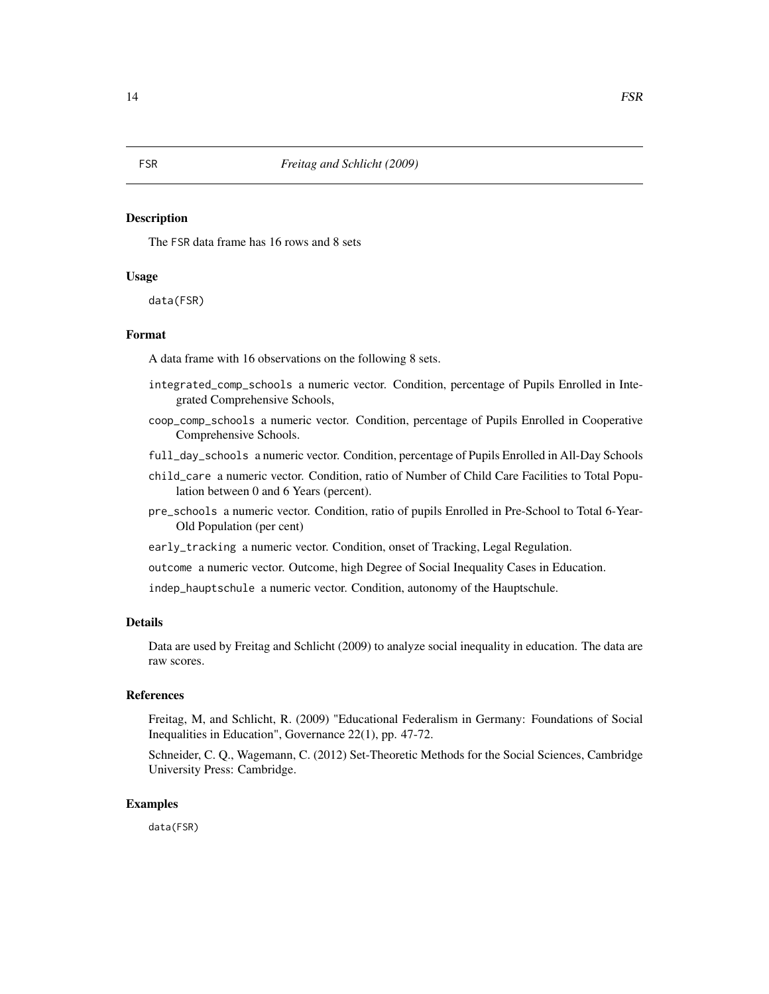The FSR data frame has 16 rows and 8 sets

# Usage

data(FSR)

#### Format

A data frame with 16 observations on the following 8 sets.

- integrated\_comp\_schools a numeric vector. Condition, percentage of Pupils Enrolled in Integrated Comprehensive Schools,
- coop\_comp\_schools a numeric vector. Condition, percentage of Pupils Enrolled in Cooperative Comprehensive Schools.
- full\_day\_schools a numeric vector. Condition, percentage of Pupils Enrolled in All-Day Schools
- child\_care a numeric vector. Condition, ratio of Number of Child Care Facilities to Total Population between 0 and 6 Years (percent).
- pre\_schools a numeric vector. Condition, ratio of pupils Enrolled in Pre-School to Total 6-Year-Old Population (per cent)
- early\_tracking a numeric vector. Condition, onset of Tracking, Legal Regulation.
- outcome a numeric vector. Outcome, high Degree of Social Inequality Cases in Education.

indep\_hauptschule a numeric vector. Condition, autonomy of the Hauptschule.

# Details

Data are used by Freitag and Schlicht (2009) to analyze social inequality in education. The data are raw scores.

# References

Freitag, M, and Schlicht, R. (2009) "Educational Federalism in Germany: Foundations of Social Inequalities in Education", Governance 22(1), pp. 47-72.

Schneider, C. Q., Wagemann, C. (2012) Set-Theoretic Methods for the Social Sciences, Cambridge University Press: Cambridge.

#### Examples

data(FSR)

<span id="page-13-0"></span>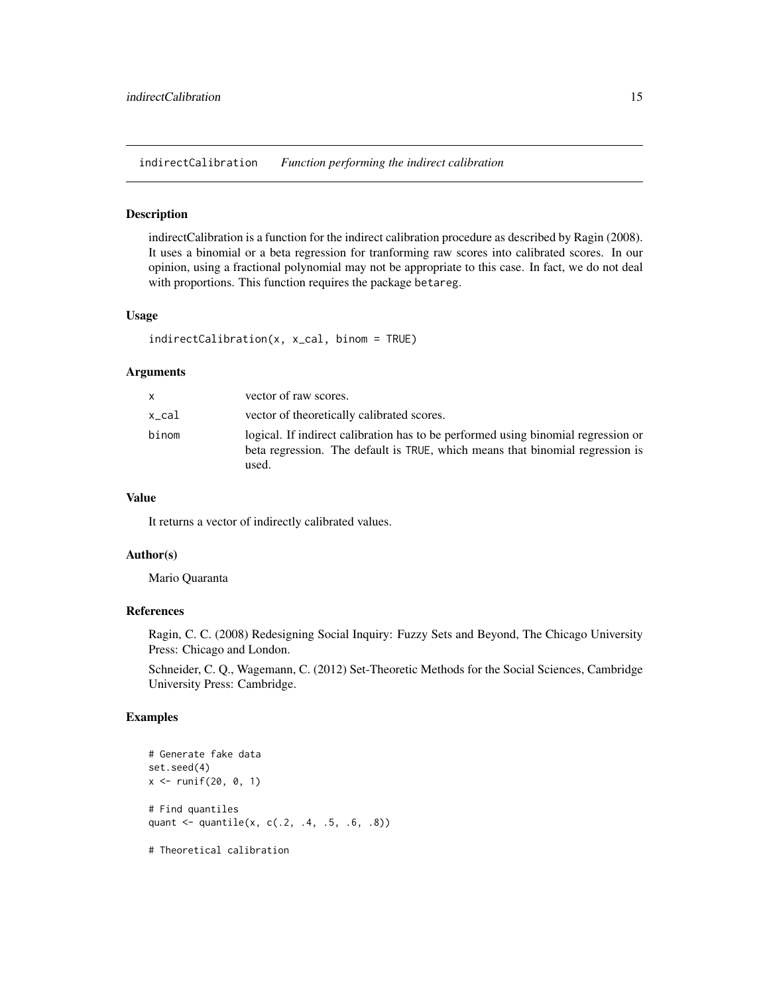<span id="page-14-0"></span>indirectCalibration *Function performing the indirect calibration*

#### Description

indirectCalibration is a function for the indirect calibration procedure as described by Ragin (2008). It uses a binomial or a beta regression for tranforming raw scores into calibrated scores. In our opinion, using a fractional polynomial may not be appropriate to this case. In fact, we do not deal with proportions. This function requires the package betareg.

#### Usage

```
indirectCalibration(x, x_cal, binom = TRUE)
```
#### Arguments

| x     | vector of raw scores.                                                                                                                                                       |
|-------|-----------------------------------------------------------------------------------------------------------------------------------------------------------------------------|
| x cal | vector of theoretically calibrated scores.                                                                                                                                  |
| binom | logical. If indirect calibration has to be performed using binomial regression or<br>beta regression. The default is TRUE, which means that binomial regression is<br>used. |

# Value

It returns a vector of indirectly calibrated values.

## Author(s)

Mario Quaranta

#### References

Ragin, C. C. (2008) Redesigning Social Inquiry: Fuzzy Sets and Beyond, The Chicago University Press: Chicago and London.

Schneider, C. Q., Wagemann, C. (2012) Set-Theoretic Methods for the Social Sciences, Cambridge University Press: Cambridge.

#### Examples

```
# Generate fake data
set.seed(4)
x \le - runif(20, 0, 1)
# Find quantiles
quant <- quantile(x, c(.2, .4, .5, .6, .8))
```
# Theoretical calibration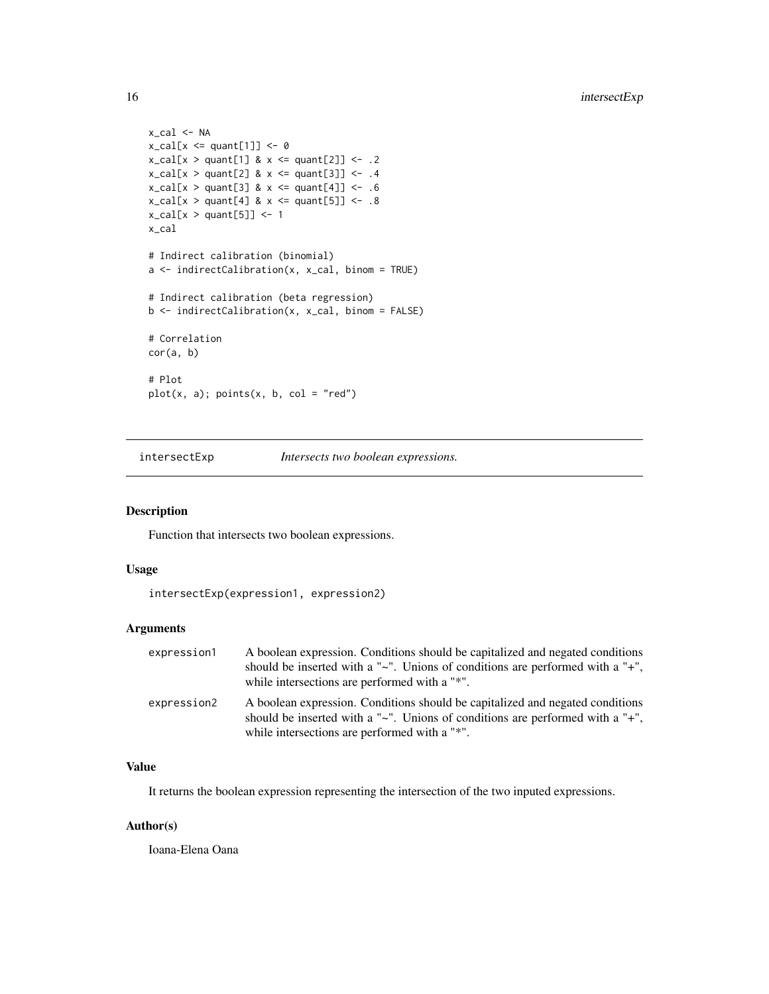```
x_cal <- NA
x_{cal}[x \leq q \text{unt}[1]] \leq 0x_{cal}[x > quant[1] 8 x \le quant[2]] <- .2
x_{cal}[x > quant[2] & x < = quant[3]] <- .4
x_{cal}[x > quant[3] 8 x \leq quant[4]] \leq .6x_{cal}[x > quant[4] & x < = quant[5]] <- .8
x_{cal}[x > quant[5]] \leftarrow 1x_cal
# Indirect calibration (binomial)
a \leftarrow \text{indirectCalibration}(x, x_{cal}, \text{binom} = \text{TRUE})# Indirect calibration (beta regression)
b <- indirectCalibration(x, x_cal, binom = FALSE)
# Correlation
cor(a, b)
# Plot
plot(x, a); points(x, b, col = "red")
```
intersectExp *Intersects two boolean expressions.*

# Description

Function that intersects two boolean expressions.

#### Usage

```
intersectExp(expression1, expression2)
```
# Arguments

| expression1 | A boolean expression. Conditions should be capitalized and negated conditions<br>should be inserted with a " $\sim$ ". Unions of conditions are performed with a " $+$ ".<br>while intersections are performed with a "*". |
|-------------|----------------------------------------------------------------------------------------------------------------------------------------------------------------------------------------------------------------------------|
| expression2 | A boolean expression. Conditions should be capitalized and negated conditions<br>should be inserted with a " $\sim$ ". Unions of conditions are performed with a " $+$ ".<br>while intersections are performed with a "*". |

# Value

It returns the boolean expression representing the intersection of the two inputed expressions.

# Author(s)

Ioana-Elena Oana

<span id="page-15-0"></span>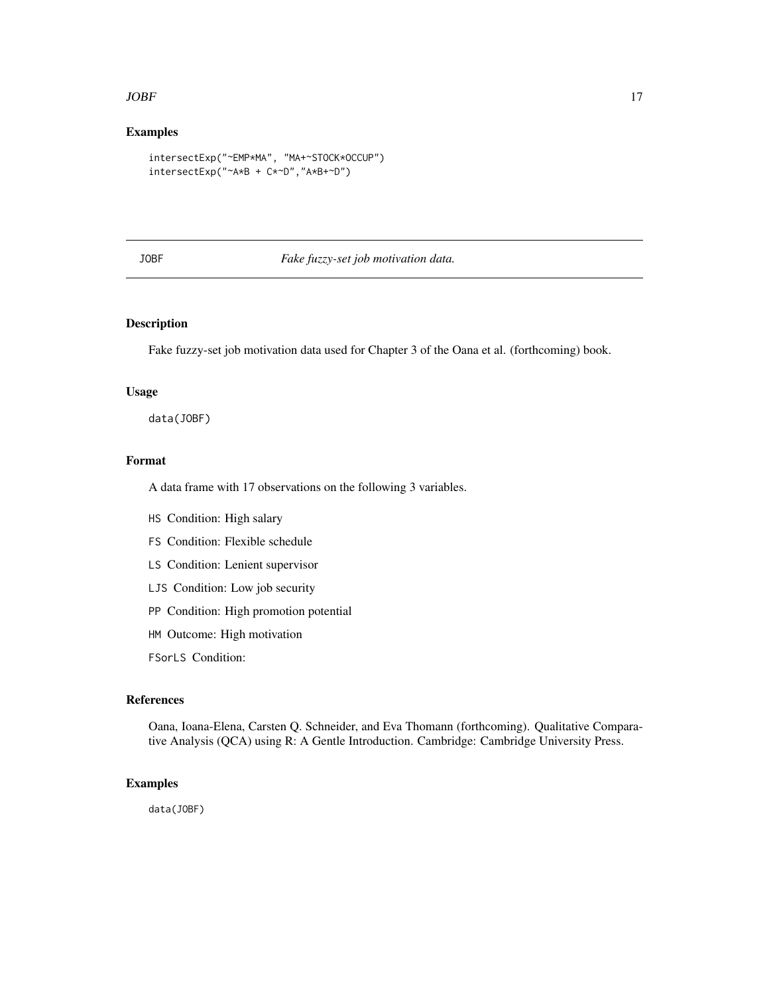#### <span id="page-16-0"></span> $JOBF$  17

# Examples

```
intersectExp("~EMP*MA", "MA+~STOCK*OCCUP")
intersectExp("~A*B + C*~D","A*B+~D")
```
# JOBF *Fake fuzzy-set job motivation data.*

# Description

Fake fuzzy-set job motivation data used for Chapter 3 of the Oana et al. (forthcoming) book.

#### Usage

data(JOBF)

#### Format

A data frame with 17 observations on the following 3 variables.

- HS Condition: High salary
- FS Condition: Flexible schedule
- LS Condition: Lenient supervisor
- LJS Condition: Low job security
- PP Condition: High promotion potential
- HM Outcome: High motivation

FSorLS Condition:

#### References

Oana, Ioana-Elena, Carsten Q. Schneider, and Eva Thomann (forthcoming). Qualitative Comparative Analysis (QCA) using R: A Gentle Introduction. Cambridge: Cambridge University Press.

# Examples

data(JOBF)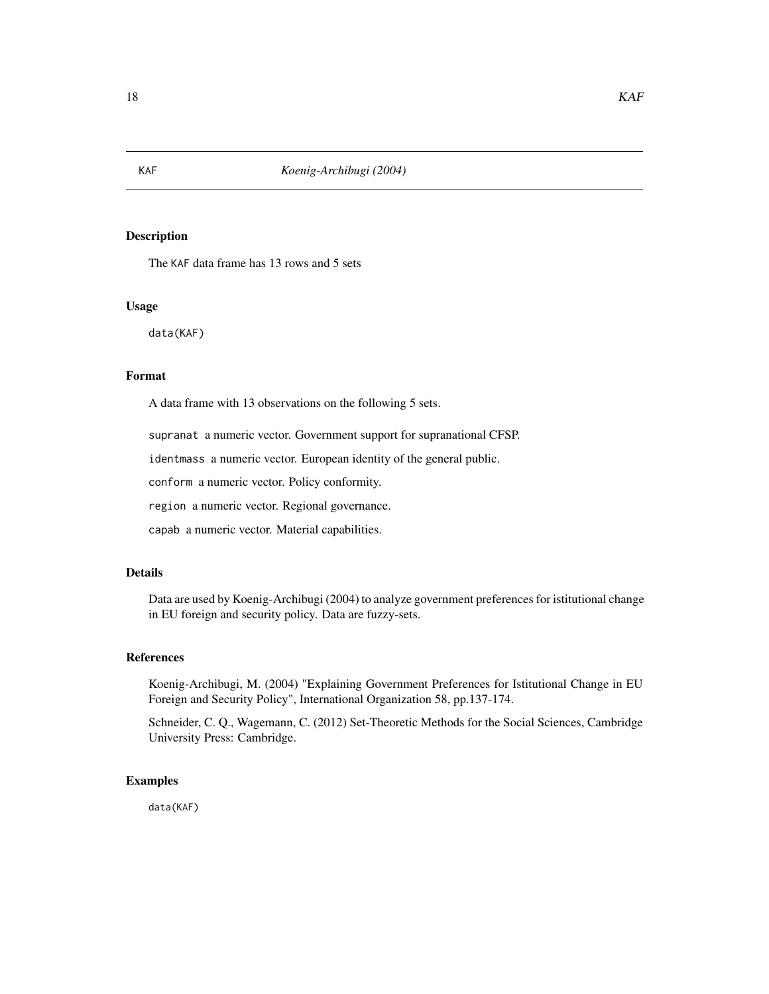<span id="page-17-0"></span>

The KAF data frame has 13 rows and 5 sets

#### Usage

data(KAF)

# Format

A data frame with 13 observations on the following 5 sets.

supranat a numeric vector. Government support for supranational CFSP.

identmass a numeric vector. European identity of the general public.

conform a numeric vector. Policy conformity.

region a numeric vector. Regional governance.

capab a numeric vector. Material capabilities.

# Details

Data are used by Koenig-Archibugi (2004) to analyze government preferences for istitutional change in EU foreign and security policy. Data are fuzzy-sets.

# References

Koenig-Archibugi, M. (2004) "Explaining Government Preferences for Istitutional Change in EU Foreign and Security Policy", International Organization 58, pp.137-174.

Schneider, C. Q., Wagemann, C. (2012) Set-Theoretic Methods for the Social Sciences, Cambridge University Press: Cambridge.

#### Examples

data(KAF)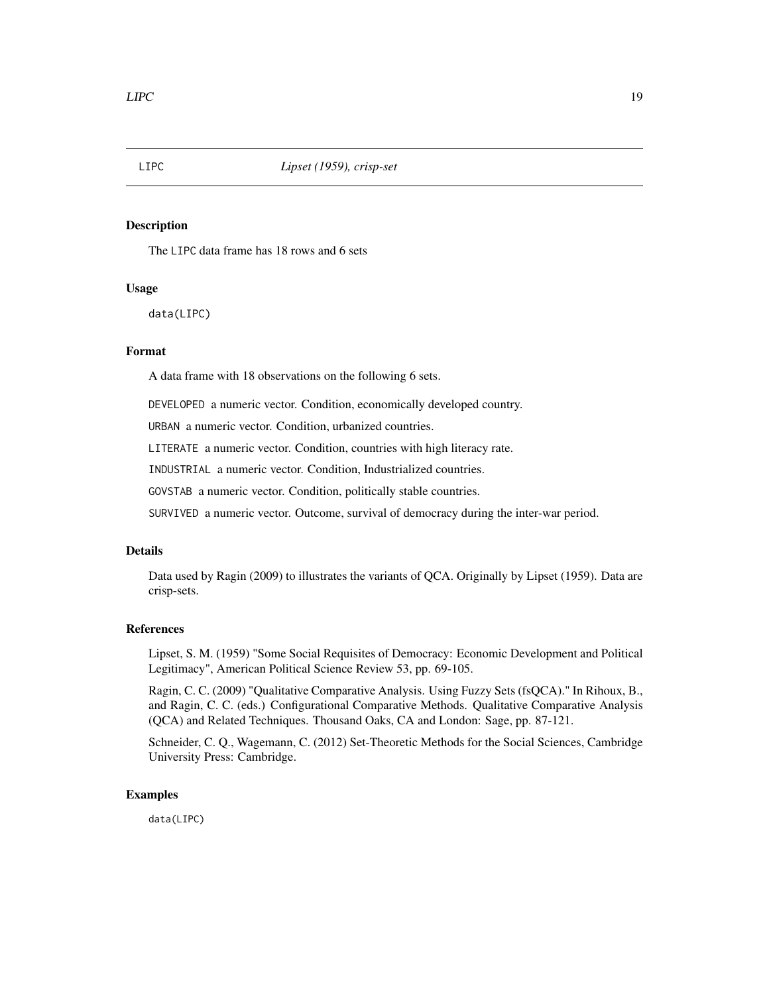<span id="page-18-0"></span>

The LIPC data frame has 18 rows and 6 sets

# Usage

data(LIPC)

# Format

A data frame with 18 observations on the following 6 sets.

DEVELOPED a numeric vector. Condition, economically developed country.

URBAN a numeric vector. Condition, urbanized countries.

LITERATE a numeric vector. Condition, countries with high literacy rate.

INDUSTRIAL a numeric vector. Condition, Industrialized countries.

GOVSTAB a numeric vector. Condition, politically stable countries.

SURVIVED a numeric vector. Outcome, survival of democracy during the inter-war period.

# Details

Data used by Ragin (2009) to illustrates the variants of QCA. Originally by Lipset (1959). Data are crisp-sets.

#### References

Lipset, S. M. (1959) "Some Social Requisites of Democracy: Economic Development and Political Legitimacy", American Political Science Review 53, pp. 69-105.

Ragin, C. C. (2009) "Qualitative Comparative Analysis. Using Fuzzy Sets (fsQCA)." In Rihoux, B., and Ragin, C. C. (eds.) Configurational Comparative Methods. Qualitative Comparative Analysis (QCA) and Related Techniques. Thousand Oaks, CA and London: Sage, pp. 87-121.

Schneider, C. Q., Wagemann, C. (2012) Set-Theoretic Methods for the Social Sciences, Cambridge University Press: Cambridge.

# Examples

data(LIPC)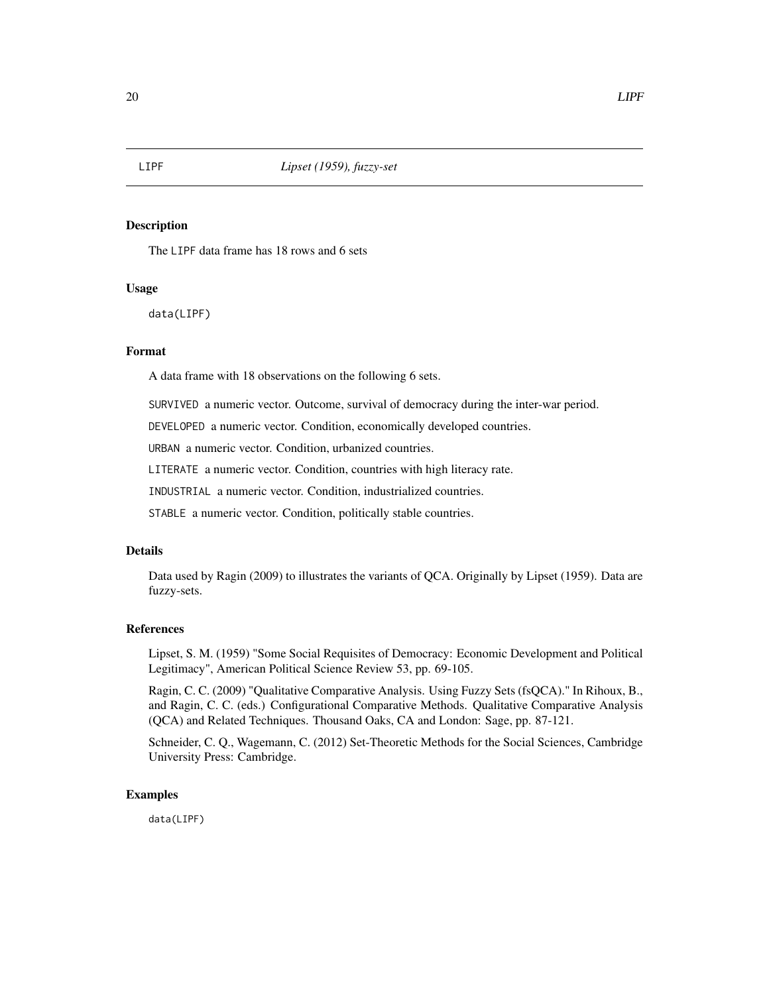<span id="page-19-0"></span>

The LIPF data frame has 18 rows and 6 sets

# Usage

data(LIPF)

# Format

A data frame with 18 observations on the following 6 sets.

SURVIVED a numeric vector. Outcome, survival of democracy during the inter-war period.

DEVELOPED a numeric vector. Condition, economically developed countries.

URBAN a numeric vector. Condition, urbanized countries.

LITERATE a numeric vector. Condition, countries with high literacy rate.

INDUSTRIAL a numeric vector. Condition, industrialized countries.

STABLE a numeric vector. Condition, politically stable countries.

# Details

Data used by Ragin (2009) to illustrates the variants of QCA. Originally by Lipset (1959). Data are fuzzy-sets.

#### References

Lipset, S. M. (1959) "Some Social Requisites of Democracy: Economic Development and Political Legitimacy", American Political Science Review 53, pp. 69-105.

Ragin, C. C. (2009) "Qualitative Comparative Analysis. Using Fuzzy Sets (fsQCA)." In Rihoux, B., and Ragin, C. C. (eds.) Configurational Comparative Methods. Qualitative Comparative Analysis (QCA) and Related Techniques. Thousand Oaks, CA and London: Sage, pp. 87-121.

Schneider, C. Q., Wagemann, C. (2012) Set-Theoretic Methods for the Social Sciences, Cambridge University Press: Cambridge.

# Examples

data(LIPF)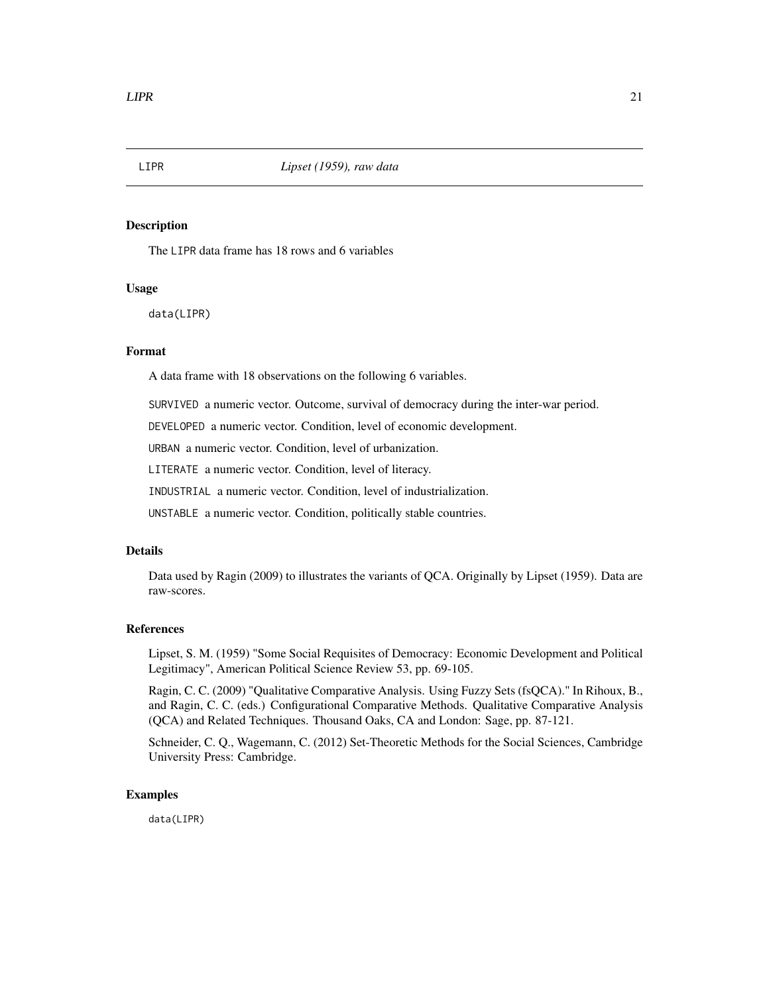<span id="page-20-0"></span>

The LIPR data frame has 18 rows and 6 variables

# Usage

data(LIPR)

# Format

A data frame with 18 observations on the following 6 variables.

SURVIVED a numeric vector. Outcome, survival of democracy during the inter-war period.

DEVELOPED a numeric vector. Condition, level of economic development.

URBAN a numeric vector. Condition, level of urbanization.

LITERATE a numeric vector. Condition, level of literacy.

INDUSTRIAL a numeric vector. Condition, level of industrialization.

UNSTABLE a numeric vector. Condition, politically stable countries.

# Details

Data used by Ragin (2009) to illustrates the variants of QCA. Originally by Lipset (1959). Data are raw-scores.

#### References

Lipset, S. M. (1959) "Some Social Requisites of Democracy: Economic Development and Political Legitimacy", American Political Science Review 53, pp. 69-105.

Ragin, C. C. (2009) "Qualitative Comparative Analysis. Using Fuzzy Sets (fsQCA)." In Rihoux, B., and Ragin, C. C. (eds.) Configurational Comparative Methods. Qualitative Comparative Analysis (QCA) and Related Techniques. Thousand Oaks, CA and London: Sage, pp. 87-121.

Schneider, C. Q., Wagemann, C. (2012) Set-Theoretic Methods for the Social Sciences, Cambridge University Press: Cambridge.

# Examples

data(LIPR)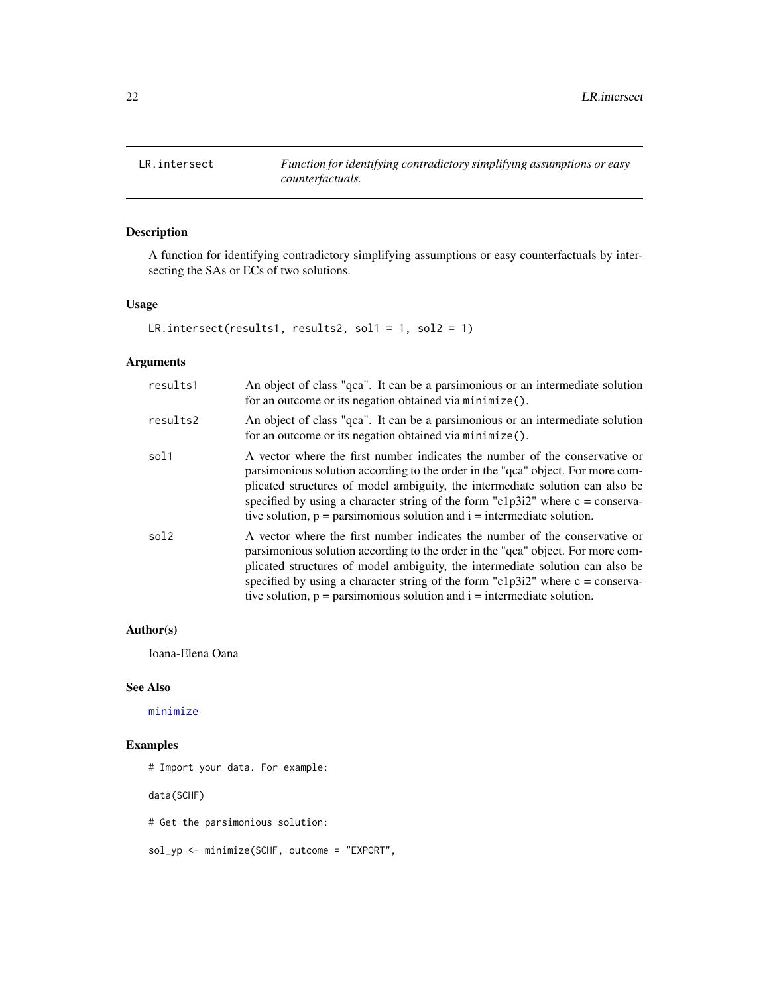<span id="page-21-0"></span>

A function for identifying contradictory simplifying assumptions or easy counterfactuals by intersecting the SAs or ECs of two solutions.

# Usage

LR.intersect(results1, results2, sol1 = 1, sol2 = 1)

# Arguments

| results1 | An object of class "qca". It can be a parsimonious or an intermediate solution<br>for an outcome or its negation obtained via minimize().                                                                                                                                                                                                                                                                                  |
|----------|----------------------------------------------------------------------------------------------------------------------------------------------------------------------------------------------------------------------------------------------------------------------------------------------------------------------------------------------------------------------------------------------------------------------------|
| results2 | An object of class "qca". It can be a parsimonious or an intermediate solution<br>for an outcome or its negation obtained via minimize().                                                                                                                                                                                                                                                                                  |
| sol1     | A vector where the first number indicates the number of the conservative or<br>parsimonious solution according to the order in the "qca" object. For more com-<br>plicated structures of model ambiguity, the intermediate solution can also be<br>specified by using a character string of the form "c1p3i2" where $c = \text{conserva-}$<br>tive solution, $p =$ parsimonious solution and $i =$ intermediate solution.  |
| sol2     | A vector where the first number indicates the number of the conservative or<br>parsimonious solution according to the order in the "qca" object. For more com-<br>plicated structures of model ambiguity, the intermediate solution can also be<br>specified by using a character string of the form "c1p3i2" where $c = \text{conserva}$ -<br>tive solution, $p =$ parsimonious solution and $i =$ intermediate solution. |

#### Author(s)

Ioana-Elena Oana

#### See Also

[minimize](#page-0-0)

# Examples

# Import your data. For example:

data(SCHF)

# Get the parsimonious solution:

sol\_yp <- minimize(SCHF, outcome = "EXPORT",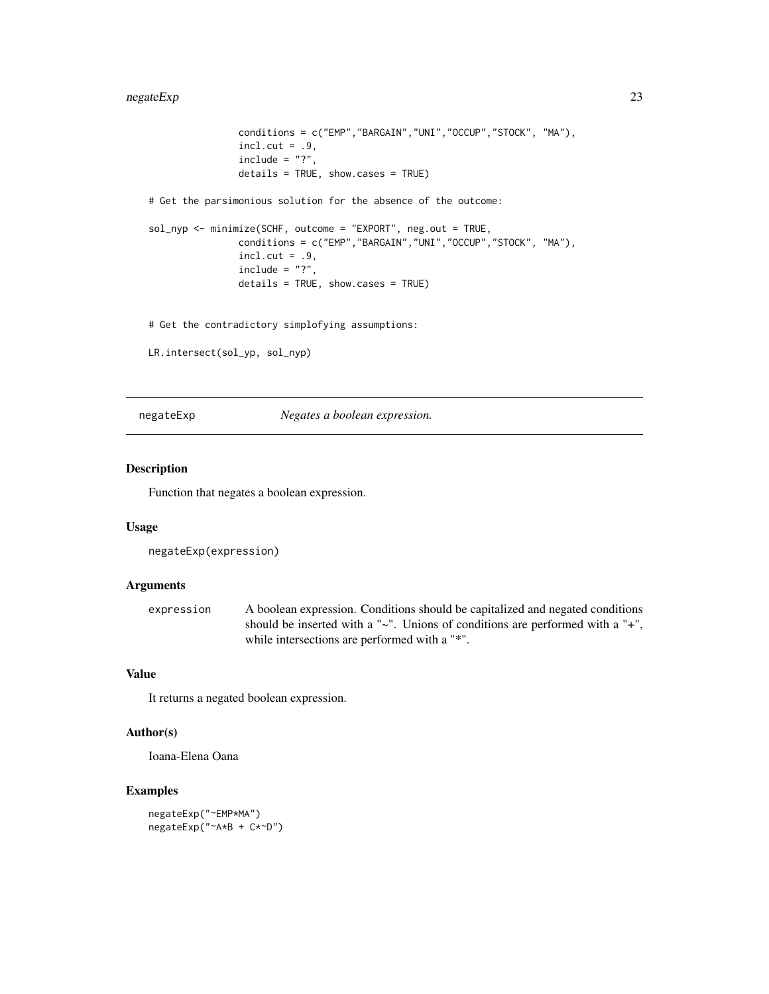```
conditions = c("EMP","BARGAIN","UNI","OCCUP","STOCK", "MA"),
               incl. cut = .9,include = "?"details = TRUE, show.cases = TRUE)
# Get the parsimonious solution for the absence of the outcome:
sol_nyp <- minimize(SCHF, outcome = "EXPORT", neg.out = TRUE,
               conditions = c("EMP","BARGAIN","UNI","OCCUP","STOCK", "MA"),
               incl.cut = .9,include = "?"details = TRUE, show.cases = TRUE)
# Get the contradictory simplofying assumptions:
```

```
LR.intersect(sol_yp, sol_nyp)
```
negateExp *Negates a boolean expression.*

# Description

Function that negates a boolean expression.

#### Usage

```
negateExp(expression)
```
#### Arguments

expression A boolean expression. Conditions should be capitalized and negated conditions should be inserted with a "~". Unions of conditions are performed with a "+", while intersections are performed with a "\*".

# Value

It returns a negated boolean expression.

# Author(s)

Ioana-Elena Oana

# Examples

```
negateExp("~EMP*MA")
negateExp("~A*B + C*~D")
```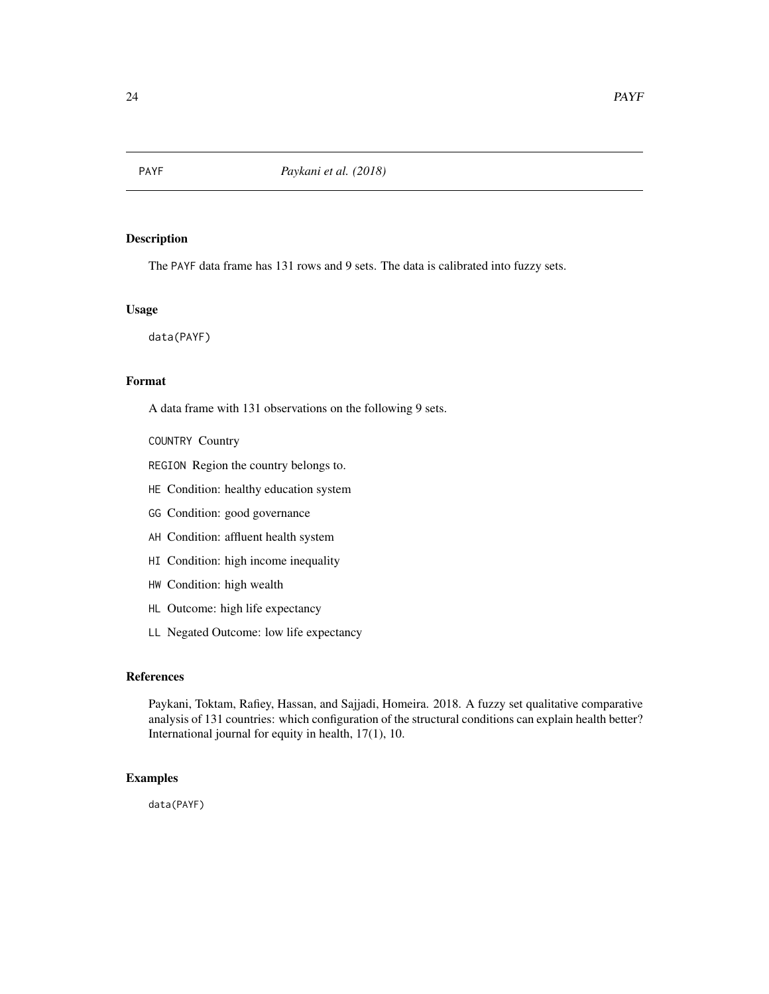<span id="page-23-0"></span>

The PAYF data frame has 131 rows and 9 sets. The data is calibrated into fuzzy sets.

# Usage

data(PAYF)

# Format

A data frame with 131 observations on the following 9 sets.

COUNTRY Country

REGION Region the country belongs to.

HE Condition: healthy education system

- GG Condition: good governance
- AH Condition: affluent health system
- HI Condition: high income inequality
- HW Condition: high wealth
- HL Outcome: high life expectancy
- LL Negated Outcome: low life expectancy

# References

Paykani, Toktam, Rafiey, Hassan, and Sajjadi, Homeira. 2018. A fuzzy set qualitative comparative analysis of 131 countries: which configuration of the structural conditions can explain health better? International journal for equity in health, 17(1), 10.

#### Examples

data(PAYF)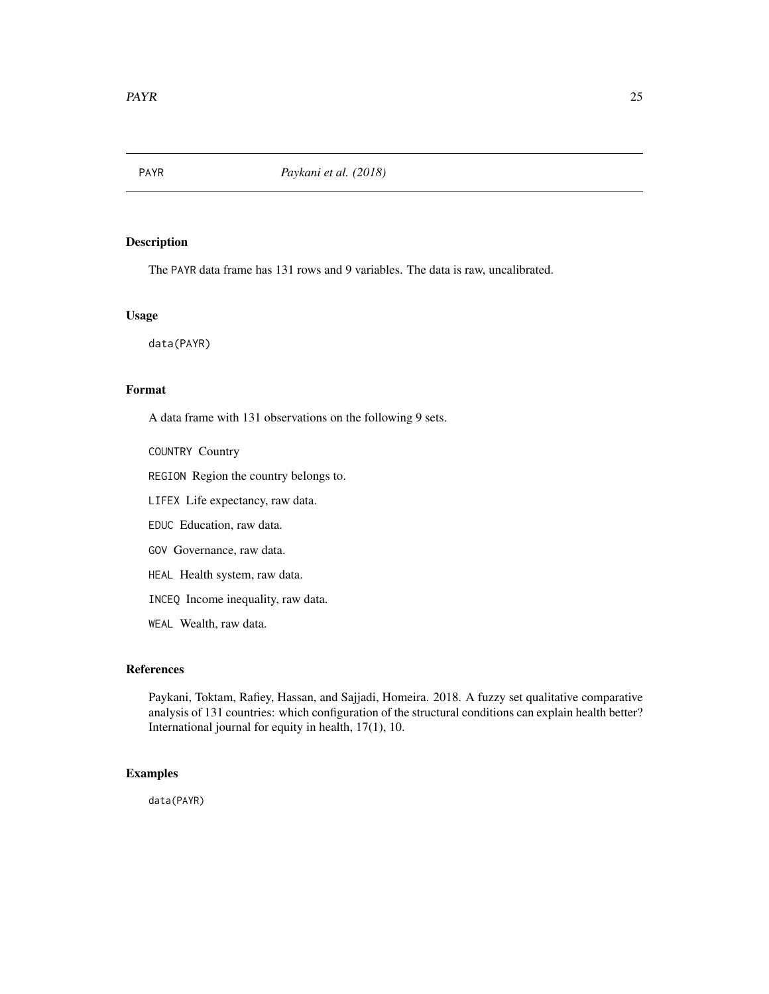<span id="page-24-0"></span>

The PAYR data frame has 131 rows and 9 variables. The data is raw, uncalibrated.

#### Usage

data(PAYR)

# Format

A data frame with 131 observations on the following 9 sets.

COUNTRY Country

REGION Region the country belongs to.

LIFEX Life expectancy, raw data.

EDUC Education, raw data.

GOV Governance, raw data.

HEAL Health system, raw data.

INCEQ Income inequality, raw data.

WEAL Wealth, raw data.

# References

Paykani, Toktam, Rafiey, Hassan, and Sajjadi, Homeira. 2018. A fuzzy set qualitative comparative analysis of 131 countries: which configuration of the structural conditions can explain health better? International journal for equity in health, 17(1), 10.

# Examples

data(PAYR)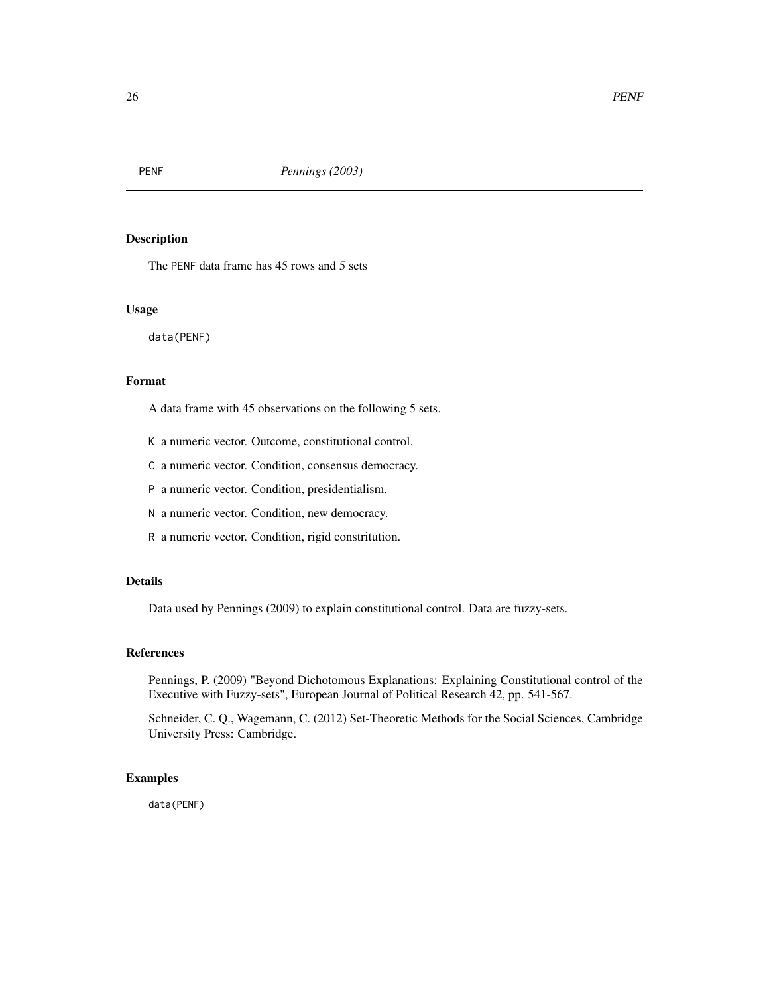<span id="page-25-0"></span>

The PENF data frame has 45 rows and 5 sets

#### Usage

data(PENF)

# Format

A data frame with 45 observations on the following 5 sets.

K a numeric vector. Outcome, constitutional control.

C a numeric vector. Condition, consensus democracy.

P a numeric vector. Condition, presidentialism.

N a numeric vector. Condition, new democracy.

R a numeric vector. Condition, rigid constritution.

# Details

Data used by Pennings (2009) to explain constitutional control. Data are fuzzy-sets.

# References

Pennings, P. (2009) "Beyond Dichotomous Explanations: Explaining Constitutional control of the Executive with Fuzzy-sets", European Journal of Political Research 42, pp. 541-567.

Schneider, C. Q., Wagemann, C. (2012) Set-Theoretic Methods for the Social Sciences, Cambridge University Press: Cambridge.

#### Examples

data(PENF)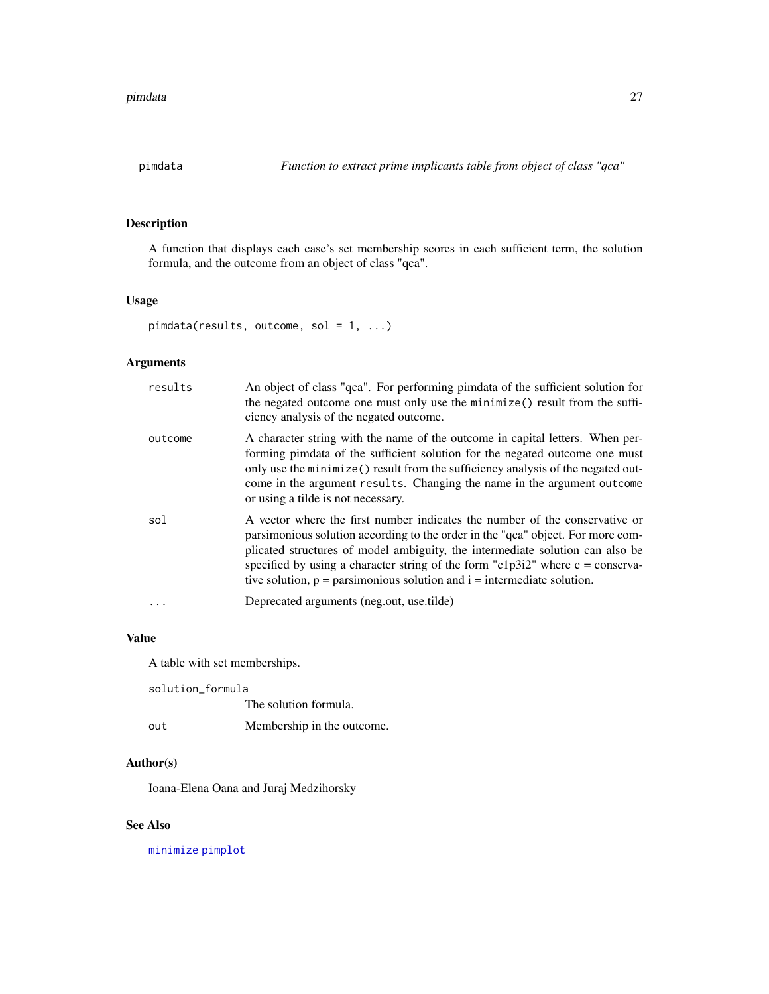<span id="page-26-1"></span><span id="page-26-0"></span>

A function that displays each case's set membership scores in each sufficient term, the solution formula, and the outcome from an object of class "qca".

#### Usage

pimdata(results, outcome, sol =  $1, ...$ )

# Arguments

| results | An object of class "qca". For performing pimdata of the sufficient solution for<br>the negated outcome one must only use the minimize() result from the suffi-<br>ciency analysis of the negated outcome.                                                                                                                                                                                                                 |
|---------|---------------------------------------------------------------------------------------------------------------------------------------------------------------------------------------------------------------------------------------------------------------------------------------------------------------------------------------------------------------------------------------------------------------------------|
| outcome | A character string with the name of the outcome in capital letters. When per-<br>forming pimdata of the sufficient solution for the negated outcome one must<br>only use the minimize () result from the sufficiency analysis of the negated out-<br>come in the argument results. Changing the name in the argument outcome<br>or using a tilde is not necessary.                                                        |
| sol     | A vector where the first number indicates the number of the conservative or<br>parsimonious solution according to the order in the "qca" object. For more com-<br>plicated structures of model ambiguity, the intermediate solution can also be<br>specified by using a character string of the form "c1p3i2" where $c = \text{conserva-}$<br>tive solution, $p =$ parsimonious solution and $i =$ intermediate solution. |
|         | Deprecated arguments (neg.out, use.tilde)                                                                                                                                                                                                                                                                                                                                                                                 |

#### Value

A table with set memberships.

solution\_formula The solution formula. out Membership in the outcome.

# Author(s)

Ioana-Elena Oana and Juraj Medzihorsky

# See Also

[minimize](#page-0-0) [pimplot](#page-27-1)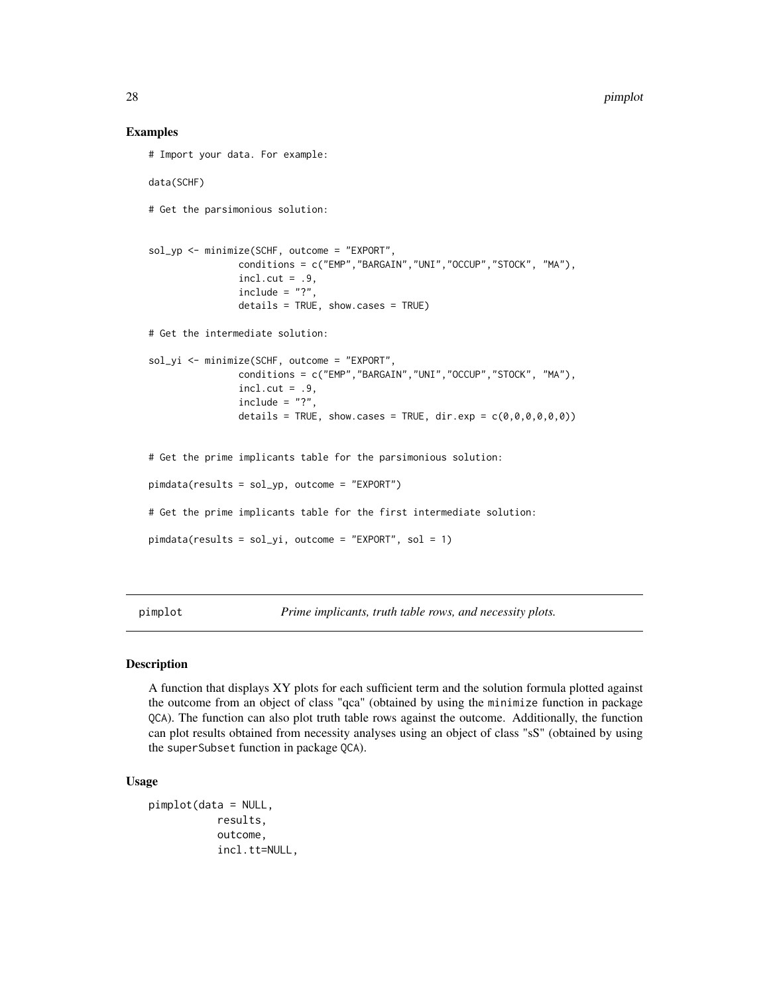#### Examples

```
# Import your data. For example:
data(SCHF)
# Get the parsimonious solution:
sol_yp <- minimize(SCHF, outcome = "EXPORT",
                conditions = c("EMP","BARGAIN","UNI","OCCUP","STOCK", "MA"),
                incl.cut = .9,
                include = "?"details = TRUE, show.cases = TRUE)
# Get the intermediate solution:
sol_yi <- minimize(SCHF, outcome = "EXPORT",
                conditions = c("EMP","BARGAIN","UNI","OCCUP","STOCK", "MA"),
                incl.cut = .9,
                include = "?"details = TRUE, show.cases = TRUE, dir.exp = c(\theta, \theta, \theta, \theta, \theta, \theta))
# Get the prime implicants table for the parsimonious solution:
pimdata(results = sol_yp, outcome = "EXPORT")
# Get the prime implicants table for the first intermediate solution:
pimdata(results = sol_yi, outcome = "EXPORT", sol = 1)
```
<span id="page-27-1"></span>pimplot *Prime implicants, truth table rows, and necessity plots.*

#### Description

A function that displays XY plots for each sufficient term and the solution formula plotted against the outcome from an object of class "qca" (obtained by using the minimize function in package QCA). The function can also plot truth table rows against the outcome. Additionally, the function can plot results obtained from necessity analyses using an object of class "sS" (obtained by using the superSubset function in package QCA).

#### Usage

```
pimplot(data = NULL,
           results,
           outcome,
           incl.tt=NULL,
```
<span id="page-27-0"></span>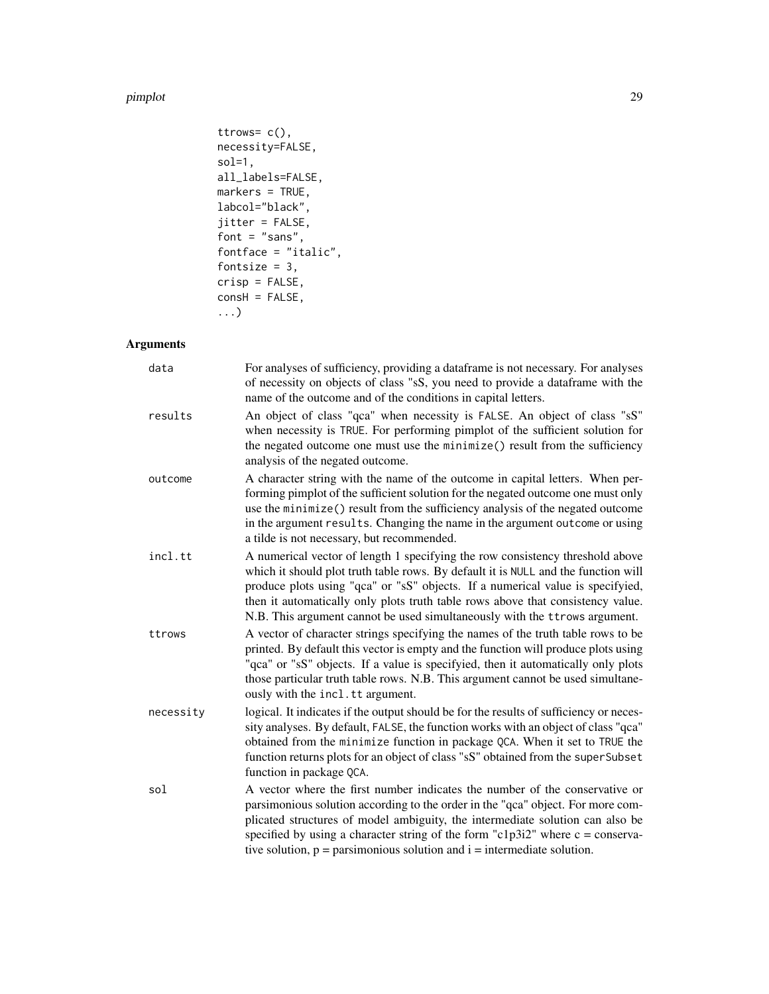#### pimplot 29

```
ttrows= c(),
necessity=FALSE,
sol=1,
all_labels=FALSE,
markers = TRUE,
labcol="black",
jitter = FALSE,
font = "sans",fontface = "italic",
fontsize = 3,
crisp = FALSE,
const = FALSE,...)
```
# Arguments

| data      | For analyses of sufficiency, providing a dataframe is not necessary. For analyses<br>of necessity on objects of class "sS, you need to provide a dataframe with the<br>name of the outcome and of the conditions in capital letters.                                                                                                                                                                                       |
|-----------|----------------------------------------------------------------------------------------------------------------------------------------------------------------------------------------------------------------------------------------------------------------------------------------------------------------------------------------------------------------------------------------------------------------------------|
| results   | An object of class "qca" when necessity is FALSE. An object of class "sS"<br>when necessity is TRUE. For performing pimplot of the sufficient solution for<br>the negated outcome one must use the minimize() result from the sufficiency<br>analysis of the negated outcome.                                                                                                                                              |
| outcome   | A character string with the name of the outcome in capital letters. When per-<br>forming pimplot of the sufficient solution for the negated outcome one must only<br>use the minimize() result from the sufficiency analysis of the negated outcome<br>in the argument results. Changing the name in the argument outcome or using<br>a tilde is not necessary, but recommended.                                           |
| incl.tt   | A numerical vector of length 1 specifying the row consistency threshold above<br>which it should plot truth table rows. By default it is NULL and the function will<br>produce plots using "qca" or "sS" objects. If a numerical value is specifyied,<br>then it automatically only plots truth table rows above that consistency value.<br>N.B. This argument cannot be used simultaneously with the ttrows argument.     |
| ttrows    | A vector of character strings specifying the names of the truth table rows to be<br>printed. By default this vector is empty and the function will produce plots using<br>"qca" or "sS" objects. If a value is specifyied, then it automatically only plots<br>those particular truth table rows. N.B. This argument cannot be used simultane-<br>ously with the incl.tt argument.                                         |
| necessity | logical. It indicates if the output should be for the results of sufficiency or neces-<br>sity analyses. By default, FALSE, the function works with an object of class "qca"<br>obtained from the minimize function in package QCA. When it set to TRUE the<br>function returns plots for an object of class "sS" obtained from the superSubset<br>function in package QCA.                                                |
| sol       | A vector where the first number indicates the number of the conservative or<br>parsimonious solution according to the order in the "qca" object. For more com-<br>plicated structures of model ambiguity, the intermediate solution can also be<br>specified by using a character string of the form "c1p3i2" where $c = \text{conserva}$ -<br>tive solution, $p =$ parsimonious solution and $i =$ intermediate solution. |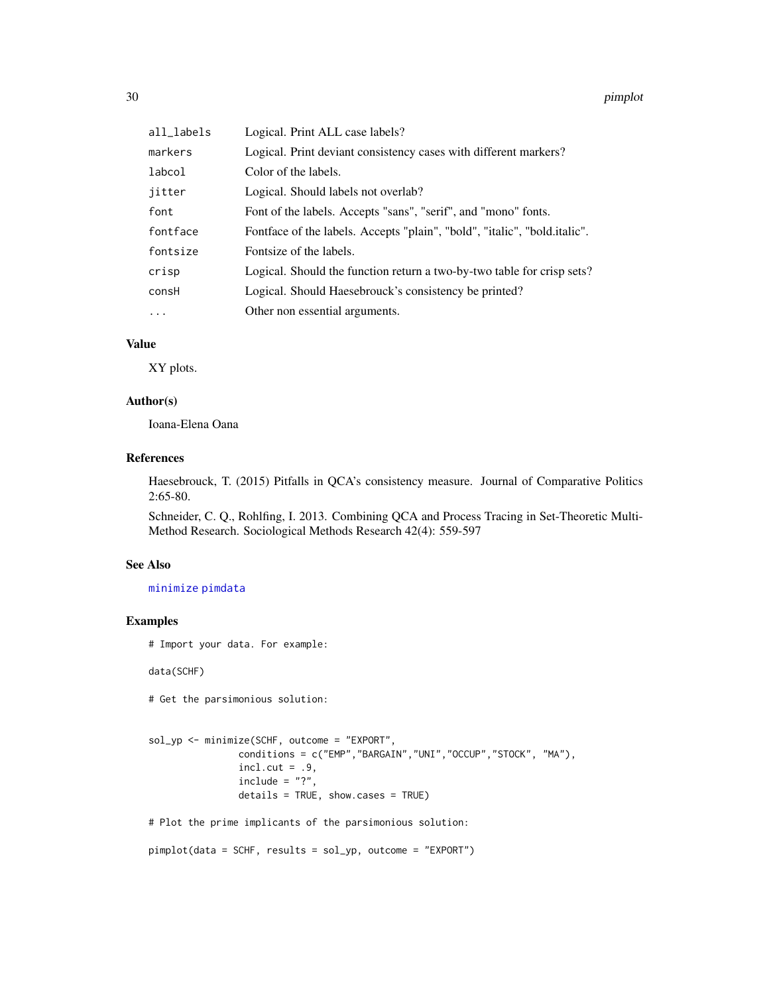<span id="page-29-0"></span>

| all_labels | Logical. Print ALL case labels?                                           |
|------------|---------------------------------------------------------------------------|
| markers    | Logical. Print deviant consistency cases with different markers?          |
| labcol     | Color of the labels.                                                      |
| jitter     | Logical. Should labels not overlab?                                       |
| font       | Font of the labels. Accepts "sans", "serif", and "mono" fonts.            |
| fontface   | Fontface of the labels. Accepts "plain", "bold", "italic", "bold.italic". |
| fontsize   | Fontsize of the labels.                                                   |
| crisp      | Logical. Should the function return a two-by-two table for crisp sets?    |
| consH      | Logical. Should Haesebrouck's consistency be printed?                     |
| $\cdots$   | Other non essential arguments.                                            |

# Value

XY plots.

# Author(s)

Ioana-Elena Oana

# References

Haesebrouck, T. (2015) Pitfalls in QCA's consistency measure. Journal of Comparative Politics 2:65-80.

Schneider, C. Q., Rohlfing, I. 2013. Combining QCA and Process Tracing in Set-Theoretic Multi-Method Research. Sociological Methods Research 42(4): 559-597

# See Also

# [minimize](#page-0-0) [pimdata](#page-26-1)

# Examples

# Import your data. For example:

data(SCHF)

# Get the parsimonious solution:

```
sol_yp <- minimize(SCHF, outcome = "EXPORT",
               conditions = c("EMP","BARGAIN","UNI","OCCUP","STOCK", "MA"),
               incl.cut = .9,include = "?"details = TRUE, show.cases = TRUE)
```
# Plot the prime implicants of the parsimonious solution:

```
pimplot(data = SCHF, results = sol_yp, outcome = "EXPORT")
```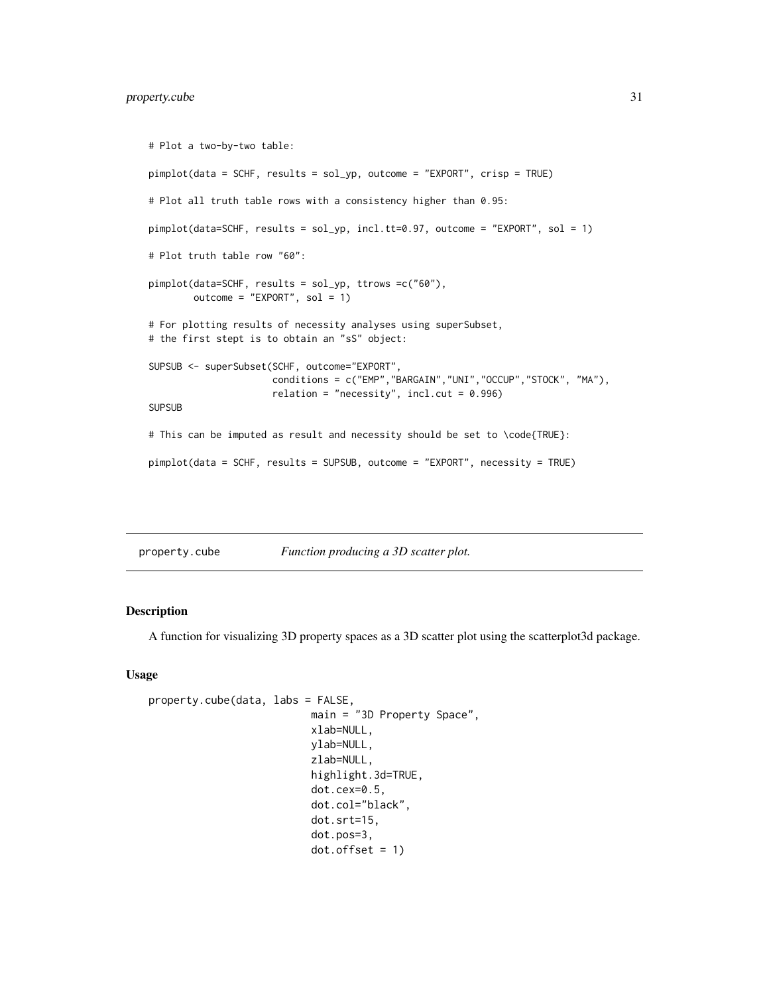# <span id="page-30-0"></span>property.cube 31

```
# Plot a two-by-two table:
pimplot(data = SCHF, results = sol_yp, outcome = "EXPORT", crisp = TRUE)
# Plot all truth table rows with a consistency higher than 0.95:
pimplot(data=SCHF, results = sol_yp, incl.tt=0.97, outcome = "EXPORT", sol = 1)
# Plot truth table row "60":
pimplot(data=SCHF, results = sol_yp, ttrows =c("60"),
       outcome = "EXPORT", sol = 1)# For plotting results of necessity analyses using superSubset,
# the first stept is to obtain an "sS" object:
SUPSUB <- superSubset(SCHF, outcome="EXPORT",
                     conditions = c("EMP","BARGAIN","UNI","OCCUP","STOCK", "MA"),
                      relation = "necessity", incl.cut = 0.996)
SUPSUB
# This can be imputed as result and necessity should be set to \code{TRUE}:
pimplot(data = SCHF, results = SUPSUB, outcome = "EXPORT", necessity = TRUE)
```
property.cube *Function producing a 3D scatter plot.*

# Description

A function for visualizing 3D property spaces as a 3D scatter plot using the scatterplot3d package.

#### Usage

```
property.cube(data, labs = FALSE,
                           main = "3D Property Space",
                           xlab=NULL,
                           ylab=NULL,
                           zlab=NULL,
                           highlight.3d=TRUE,
                           dot.cex=0.5,
                           dot.col="black",
                           dot.srt=15,
                           dot.pos=3,
                           dot.offset = 1)
```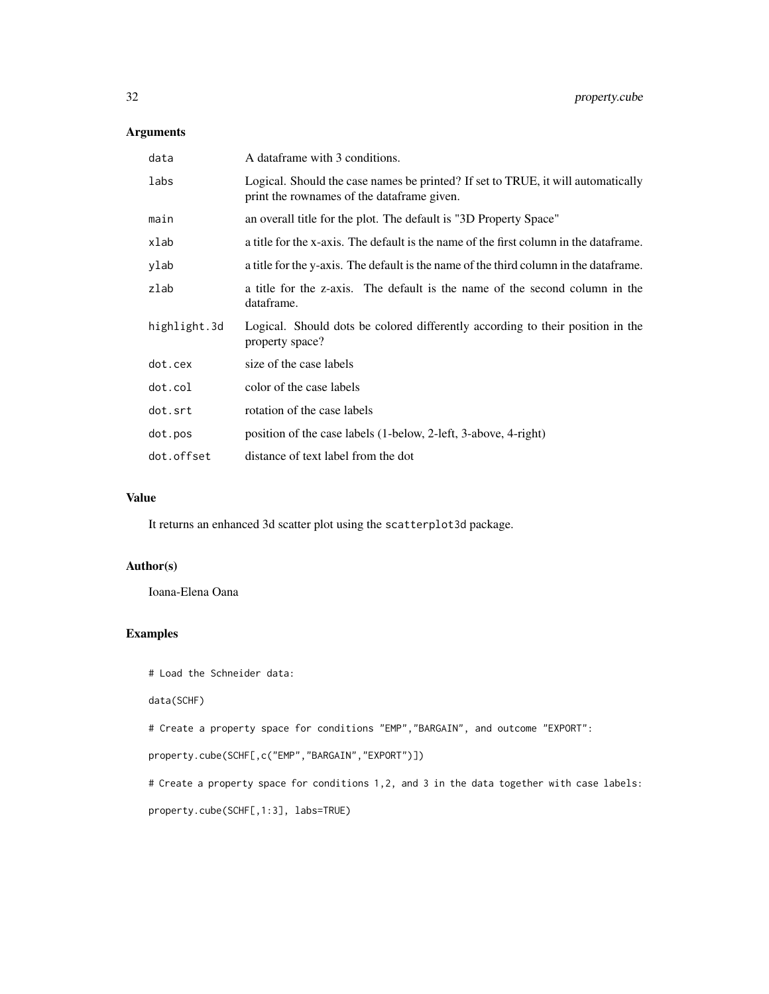# Arguments

| data         | A dataframe with 3 conditions.                                                                                                 |
|--------------|--------------------------------------------------------------------------------------------------------------------------------|
| labs         | Logical. Should the case names be printed? If set to TRUE, it will automatically<br>print the rownames of the dataframe given. |
| main         | an overall title for the plot. The default is "3D Property Space"                                                              |
| xlab         | a title for the x-axis. The default is the name of the first column in the dataframe.                                          |
| vlab         | a title for the y-axis. The default is the name of the third column in the dataframe.                                          |
| zlab         | a title for the z-axis. The default is the name of the second column in the<br>dataframe.                                      |
| highlight.3d | Logical. Should dots be colored differently according to their position in the<br>property space?                              |
| dot.cex      | size of the case labels                                                                                                        |
| dot.col      | color of the case labels                                                                                                       |
| dot.srt      | rotation of the case labels                                                                                                    |
| dot.pos      | position of the case labels (1-below, 2-left, 3-above, 4-right)                                                                |
| dot.offset   | distance of text label from the dot                                                                                            |

# Value

It returns an enhanced 3d scatter plot using the scatterplot3d package.

#### Author(s)

Ioana-Elena Oana

# Examples

```
# Load the Schneider data:
```
data(SCHF)

# Create a property space for conditions "EMP","BARGAIN", and outcome "EXPORT":

```
property.cube(SCHF[,c("EMP","BARGAIN","EXPORT")])
```
# Create a property space for conditions 1,2, and 3 in the data together with case labels:

property.cube(SCHF[,1:3], labs=TRUE)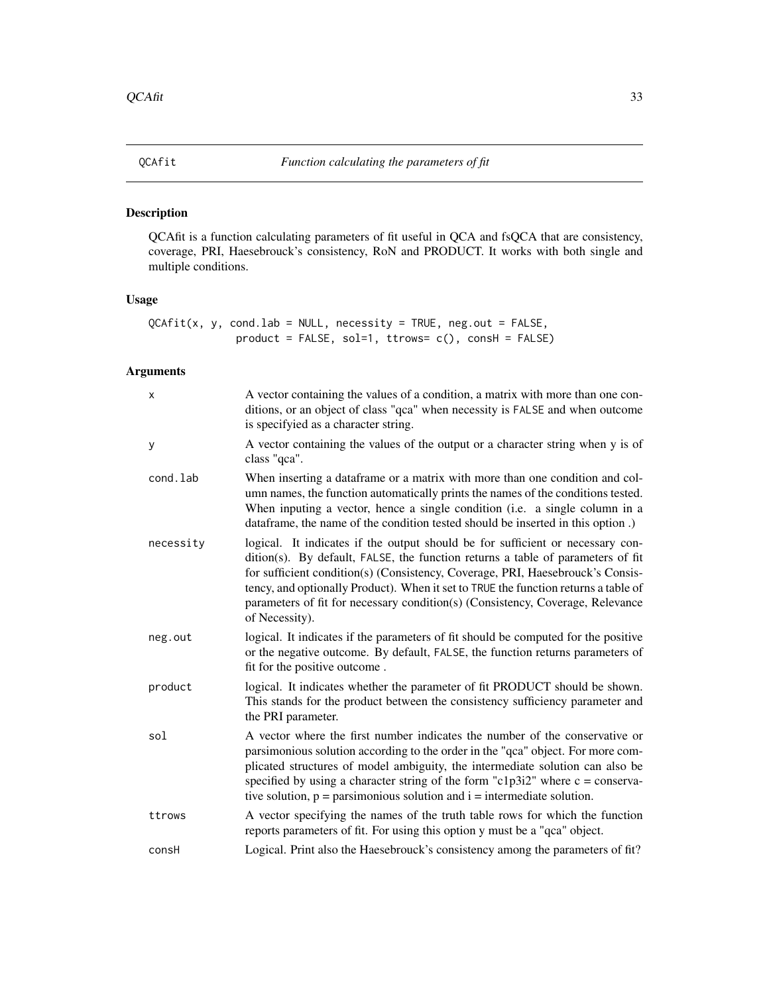<span id="page-32-0"></span>

QCAfit is a function calculating parameters of fit useful in QCA and fsQCA that are consistency, coverage, PRI, Haesebrouck's consistency, RoN and PRODUCT. It works with both single and multiple conditions.

# Usage

```
QCAfit(x, y, cond.lab = NULL, necessity = TRUE, neg.out = FALSE,product = FALSE, sol=1, trows= c(), cosH = FALSE)
```
# Arguments

| X         | A vector containing the values of a condition, a matrix with more than one con-<br>ditions, or an object of class "qca" when necessity is FALSE and when outcome<br>is specifyied as a character string.                                                                                                                                                                                                                                       |
|-----------|------------------------------------------------------------------------------------------------------------------------------------------------------------------------------------------------------------------------------------------------------------------------------------------------------------------------------------------------------------------------------------------------------------------------------------------------|
| У         | A vector containing the values of the output or a character string when y is of<br>class "qca".                                                                                                                                                                                                                                                                                                                                                |
| cond.lab  | When inserting a dataframe or a matrix with more than one condition and col-<br>umn names, the function automatically prints the names of the conditions tested.<br>When inputing a vector, hence a single condition (i.e. a single column in a<br>data frame, the name of the condition tested should be inserted in this option.)                                                                                                            |
| necessity | logical. It indicates if the output should be for sufficient or necessary con-<br>dition(s). By default, FALSE, the function returns a table of parameters of fit<br>for sufficient condition(s) (Consistency, Coverage, PRI, Haesebrouck's Consis-<br>tency, and optionally Product). When it set to TRUE the function returns a table of<br>parameters of fit for necessary condition(s) (Consistency, Coverage, Relevance<br>of Necessity). |
| neg.out   | logical. It indicates if the parameters of fit should be computed for the positive<br>or the negative outcome. By default, FALSE, the function returns parameters of<br>fit for the positive outcome.                                                                                                                                                                                                                                          |
| product   | logical. It indicates whether the parameter of fit PRODUCT should be shown.<br>This stands for the product between the consistency sufficiency parameter and<br>the PRI parameter.                                                                                                                                                                                                                                                             |
| sol       | A vector where the first number indicates the number of the conservative or<br>parsimonious solution according to the order in the "qca" object. For more com-<br>plicated structures of model ambiguity, the intermediate solution can also be<br>specified by using a character string of the form "c1p3i2" where $c = \text{conserva}$ -<br>tive solution, $p =$ parsimonious solution and $i =$ intermediate solution.                     |
| ttrows    | A vector specifying the names of the truth table rows for which the function<br>reports parameters of fit. For using this option y must be a "qca" object.                                                                                                                                                                                                                                                                                     |
| consH     | Logical. Print also the Haesebrouck's consistency among the parameters of fit?                                                                                                                                                                                                                                                                                                                                                                 |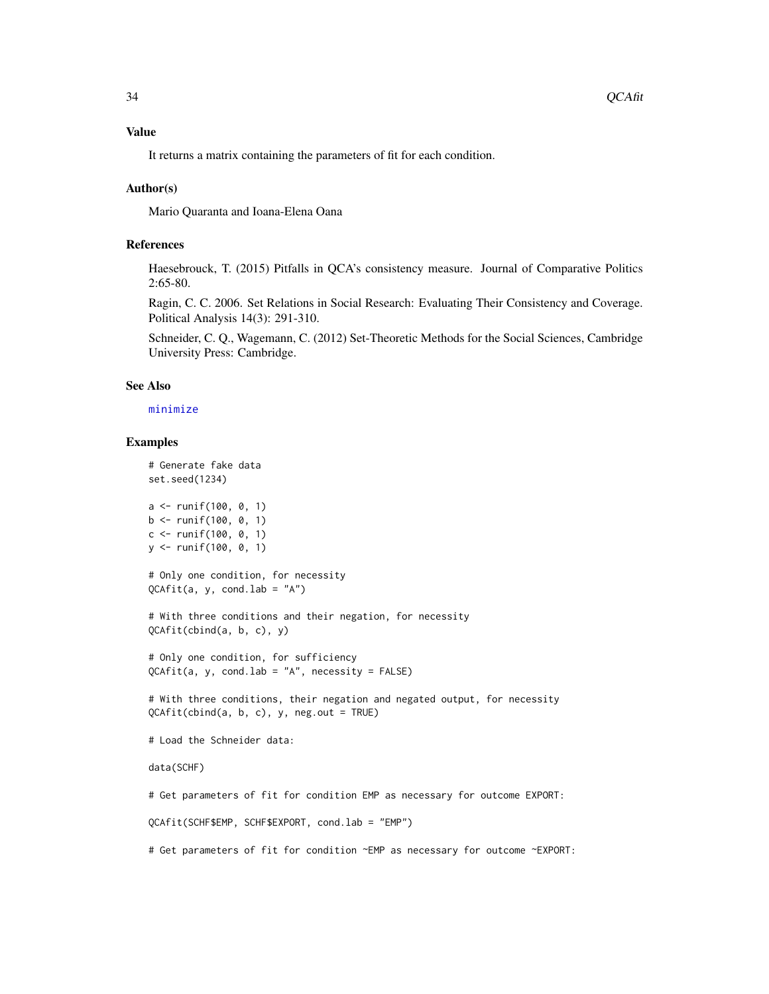<span id="page-33-0"></span>It returns a matrix containing the parameters of fit for each condition.

#### Author(s)

Mario Quaranta and Ioana-Elena Oana

# References

Haesebrouck, T. (2015) Pitfalls in QCA's consistency measure. Journal of Comparative Politics 2:65-80.

Ragin, C. C. 2006. Set Relations in Social Research: Evaluating Their Consistency and Coverage. Political Analysis 14(3): 291-310.

Schneider, C. Q., Wagemann, C. (2012) Set-Theoretic Methods for the Social Sciences, Cambridge University Press: Cambridge.

# See Also

#### [minimize](#page-0-0)

#### Examples

# Generate fake data set.seed(1234) a <- runif(100, 0, 1)  $b \le$  runif(100, 0, 1)

 $c \le$  runif(100, 0, 1) y <- runif(100, 0, 1)

# Only one condition, for necessity  $QCAfit(a, y, cond.lab = "A")$ 

# With three conditions and their negation, for necessity QCAfit(cbind(a, b, c), y)

# Only one condition, for sufficiency  $QCAfit(a, y, cond.1ab = "A", necessity = FALSE)$ 

# With three conditions, their negation and negated output, for necessity QCAfit(cbind(a, b, c), y, neg.out = TRUE)

# Load the Schneider data:

data(SCHF)

# Get parameters of fit for condition EMP as necessary for outcome EXPORT:

QCAfit(SCHF\$EMP, SCHF\$EXPORT, cond.lab = "EMP")

# Get parameters of fit for condition ~EMP as necessary for outcome ~EXPORT: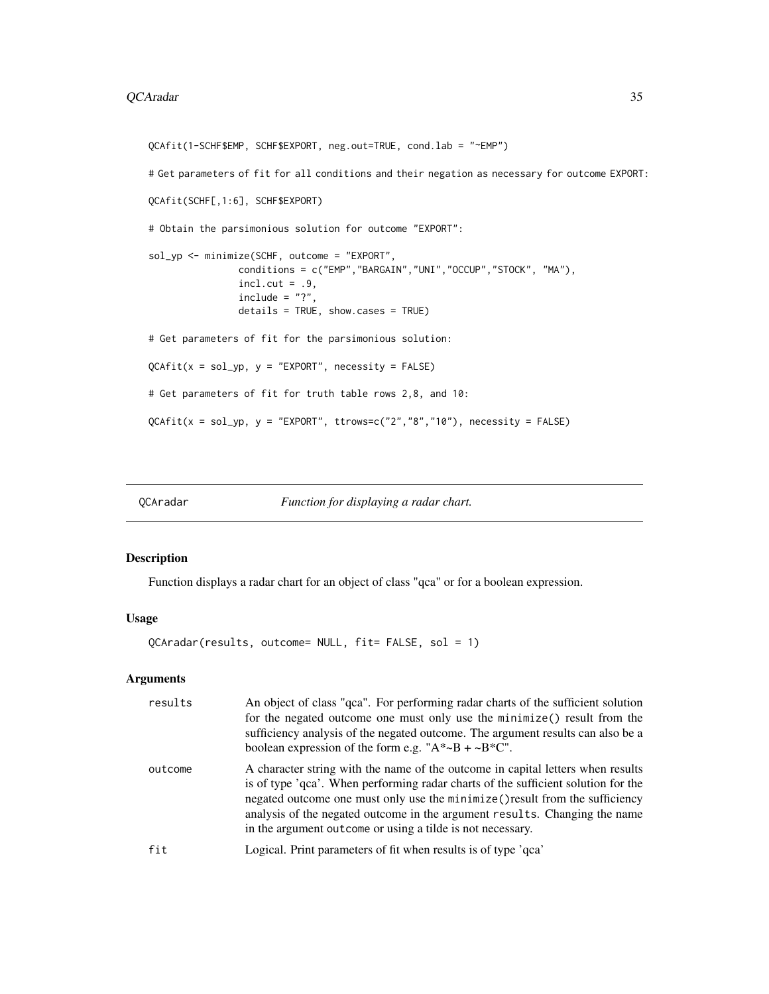#### <span id="page-34-0"></span>QCAradar 35

```
QCAfit(1-SCHF$EMP, SCHF$EXPORT, neg.out=TRUE, cond.lab = "~EMP")
# Get parameters of fit for all conditions and their negation as necessary for outcome EXPORT:
QCAfit(SCHF[,1:6], SCHF$EXPORT)
# Obtain the parsimonious solution for outcome "EXPORT":
sol_yp <- minimize(SCHF, outcome = "EXPORT",
                conditions = c("EMP","BARGAIN","UNI","OCCUP","STOCK", "MA"),
                incl.cut = .9,include = "?"details = TRUE, show.cases = TRUE)
# Get parameters of fit for the parsimonious solution:
QCAfit(x = sol_yp, y = "EXPORT", necessity = FALSE)# Get parameters of fit for truth table rows 2,8, and 10:
QCAfit(x = sol_yp, y = "EXPORT", throws=c("2", "8", "10"), necessity = FALSE)
```
QCAradar *Function for displaying a radar chart.*

# Description

Function displays a radar chart for an object of class "qca" or for a boolean expression.

# Usage

QCAradar(results, outcome= NULL, fit= FALSE, sol = 1)

#### Arguments

| results | An object of class "qca". For performing radar charts of the sufficient solution<br>for the negated outcome one must only use the minimize() result from the<br>sufficiency analysis of the negated outcome. The argument results can also be a<br>boolean expression of the form e.g. " $A^* \sim B + \sim B^* C$ ".                                                                             |
|---------|---------------------------------------------------------------------------------------------------------------------------------------------------------------------------------------------------------------------------------------------------------------------------------------------------------------------------------------------------------------------------------------------------|
| outcome | A character string with the name of the outcome in capital letters when results<br>is of type 'qca'. When performing radar charts of the sufficient solution for the<br>negated outcome one must only use the minimize () result from the sufficiency<br>analysis of the negated outcome in the argument results. Changing the name<br>in the argument outcome or using a tilde is not necessary. |
| fit     | Logical. Print parameters of fit when results is of type 'qca'                                                                                                                                                                                                                                                                                                                                    |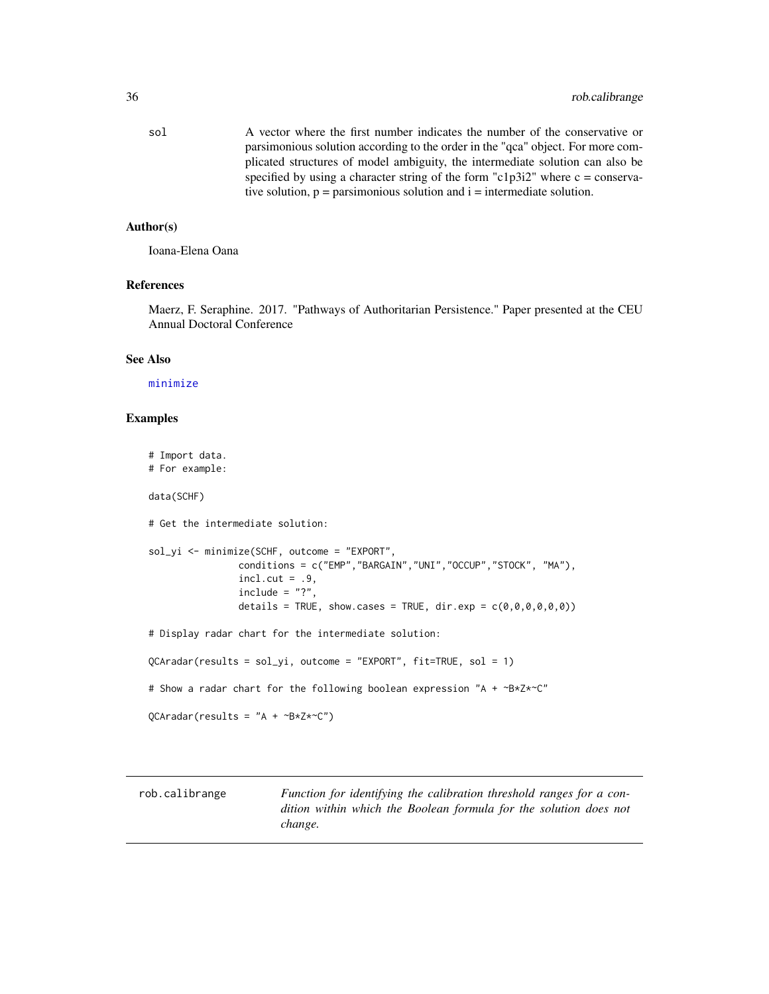<span id="page-35-0"></span>sol A vector where the first number indicates the number of the conservative or parsimonious solution according to the order in the "qca" object. For more complicated structures of model ambiguity, the intermediate solution can also be specified by using a character string of the form "c1p3i2" where  $c = \text{conserva}$ tive solution,  $p =$  parsimonious solution and  $i =$  intermediate solution.

# Author(s)

Ioana-Elena Oana

# References

Maerz, F. Seraphine. 2017. "Pathways of Authoritarian Persistence." Paper presented at the CEU Annual Doctoral Conference

# See Also

[minimize](#page-0-0)

#### Examples

# Import data. # For example: data(SCHF) # Get the intermediate solution: sol\_yi <- minimize(SCHF, outcome = "EXPORT", conditions = c("EMP","BARGAIN","UNI","OCCUP","STOCK", "MA"),  $incl.cut = .9,$  $include = "?"$ details = TRUE, show.cases = TRUE, dir.exp =  $c(\theta, \theta, \theta, \theta, \theta, \theta)$ ) # Display radar chart for the intermediate solution: QCAradar(results = sol\_yi, outcome = "EXPORT", fit=TRUE, sol = 1) # Show a radar chart for the following boolean expression "A + ~B\*Z\*~C"  $QCAradar(results = "A + ~B*Z*~C")$ 

rob.calibrange *Function for identifying the calibration threshold ranges for a condition within which the Boolean formula for the solution does not change.*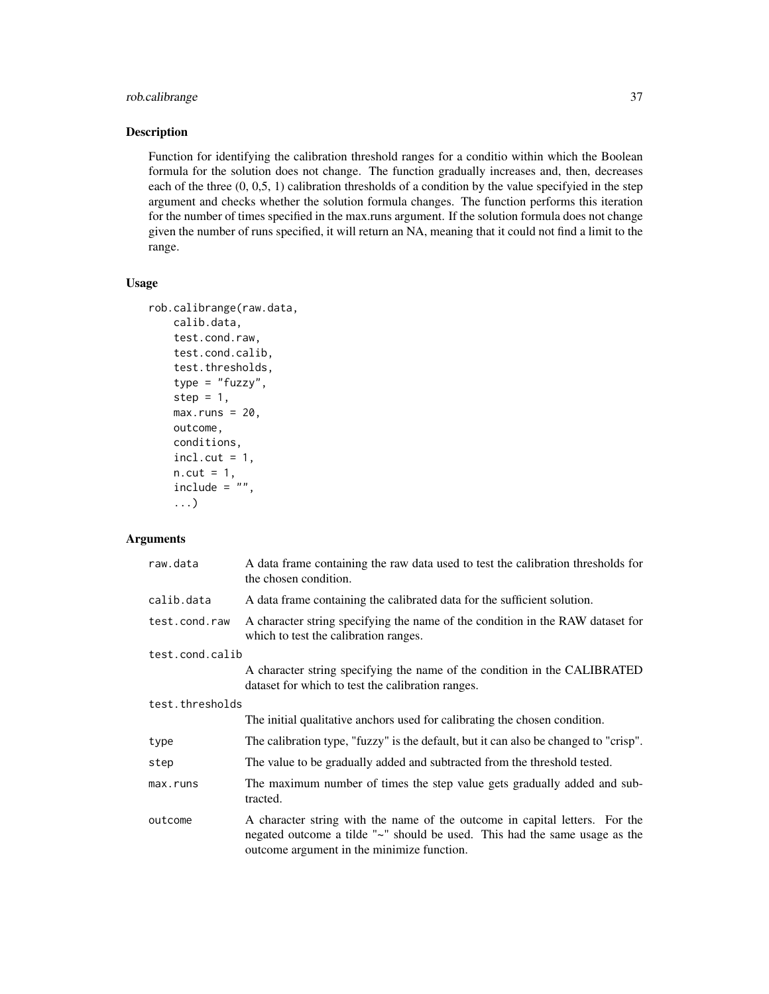# rob.calibrange 37

# Description

Function for identifying the calibration threshold ranges for a conditio within which the Boolean formula for the solution does not change. The function gradually increases and, then, decreases each of the three (0, 0,5, 1) calibration thresholds of a condition by the value specifyied in the step argument and checks whether the solution formula changes. The function performs this iteration for the number of times specified in the max.runs argument. If the solution formula does not change given the number of runs specified, it will return an NA, meaning that it could not find a limit to the range.

# Usage

```
rob.calibrange(raw.data,
    calib.data,
    test.cond.raw,
    test.cond.calib,
    test.thresholds,
    type = "fuzzy",
    step = 1,
   max.runs = 20,outcome,
    conditions,
    incl.cut = 1,
    n.cut = 1,
    include = " " "...)
```
# Arguments

| raw.data        | A data frame containing the raw data used to test the calibration thresholds for<br>the chosen condition.                                                                                               |  |
|-----------------|---------------------------------------------------------------------------------------------------------------------------------------------------------------------------------------------------------|--|
| calib.data      | A data frame containing the calibrated data for the sufficient solution.                                                                                                                                |  |
| test.cond.raw   | A character string specifying the name of the condition in the RAW dataset for<br>which to test the calibration ranges.                                                                                 |  |
| test.cond.calib |                                                                                                                                                                                                         |  |
|                 | A character string specifying the name of the condition in the CALIBRATED<br>dataset for which to test the calibration ranges.                                                                          |  |
| test.thresholds |                                                                                                                                                                                                         |  |
|                 | The initial qualitative anchors used for calibrating the chosen condition.                                                                                                                              |  |
| type            | The calibration type, "fuzzy" is the default, but it can also be changed to "crisp".                                                                                                                    |  |
| step            | The value to be gradually added and subtracted from the threshold tested.                                                                                                                               |  |
| max.runs        | The maximum number of times the step value gets gradually added and sub-<br>tracted.                                                                                                                    |  |
| outcome         | A character string with the name of the outcome in capital letters. For the<br>negated outcome a tilde "~" should be used. This had the same usage as the<br>outcome argument in the minimize function. |  |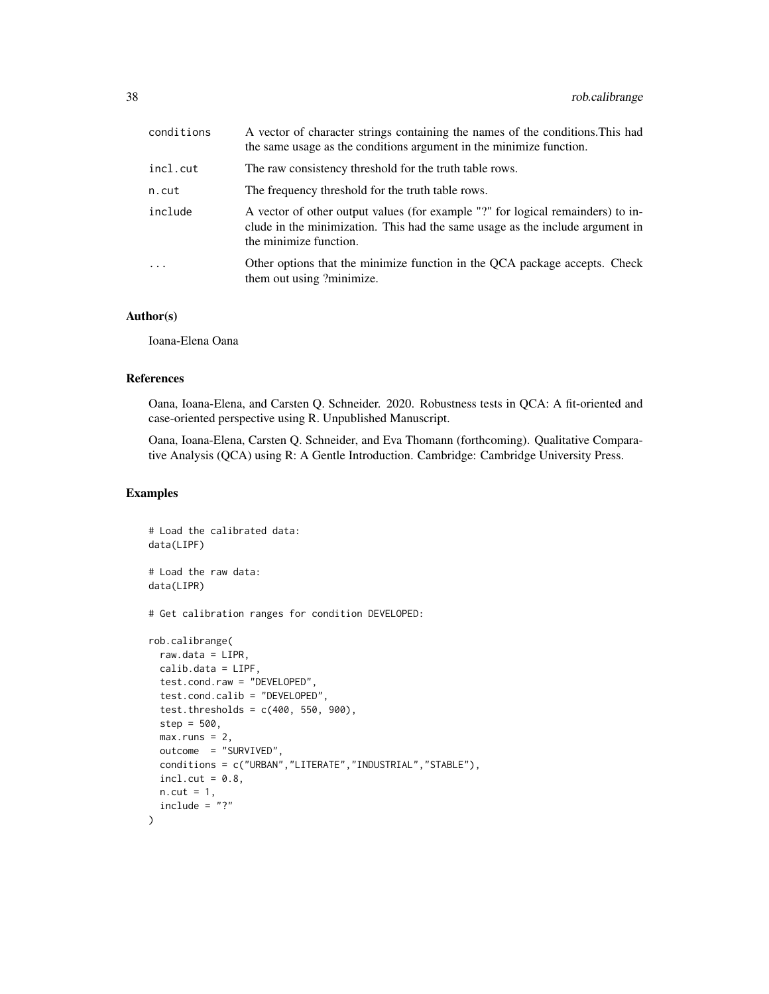| conditions | A vector of character strings containing the names of the conditions. This had<br>the same usage as the conditions argument in the minimize function.                                      |
|------------|--------------------------------------------------------------------------------------------------------------------------------------------------------------------------------------------|
| incl.cut   | The raw consistency threshold for the truth table rows.                                                                                                                                    |
| n.cut      | The frequency threshold for the truth table rows.                                                                                                                                          |
| include    | A vector of other output values (for example "?" for logical remainders) to in-<br>clude in the minimization. This had the same usage as the include argument in<br>the minimize function. |
|            | Other options that the minimize function in the QCA package accepts. Check<br>them out using ?minimize.                                                                                    |

# Author(s)

Ioana-Elena Oana

# References

Oana, Ioana-Elena, and Carsten Q. Schneider. 2020. Robustness tests in QCA: A fit-oriented and case-oriented perspective using R. Unpublished Manuscript.

Oana, Ioana-Elena, Carsten Q. Schneider, and Eva Thomann (forthcoming). Qualitative Comparative Analysis (QCA) using R: A Gentle Introduction. Cambridge: Cambridge University Press.

#### Examples

```
# Load the calibrated data:
data(LIPF)
# Load the raw data:
data(LIPR)
# Get calibration ranges for condition DEVELOPED:
rob.calibrange(
 raw.data = LIPR,
 calib.data = LIPF,
 test.cond.raw = "DEVELOPED",
 test.cond.calib = "DEVELOPED",
 test.thresholds = c(400, 550, 900),
 step = 500,
 max.runs = 2,outcome = "SURVIVED",
 conditions = c("URBAN","LITERATE","INDUSTRIAL","STABLE"),
 incl.cut = 0.8,
 n.cut = 1,
 include = "?"
)
```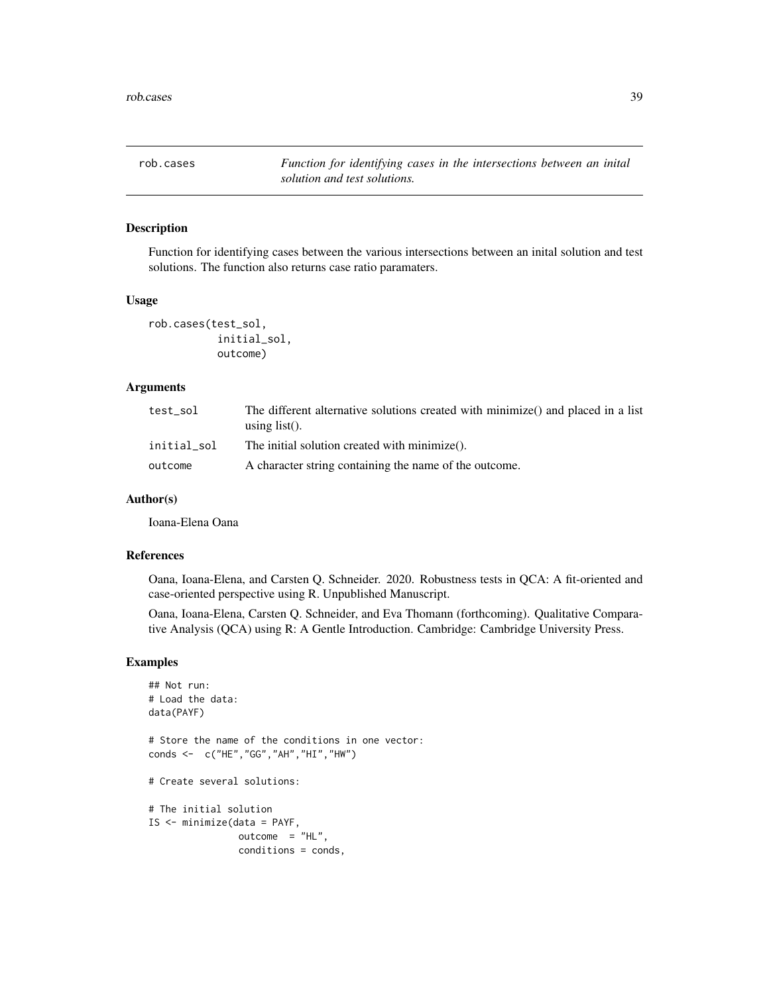<span id="page-38-0"></span>rob.cases *Function for identifying cases in the intersections between an inital solution and test solutions.*

# Description

Function for identifying cases between the various intersections between an inital solution and test solutions. The function also returns case ratio paramaters.

#### Usage

```
rob.cases(test_sol,
           initial_sol,
           outcome)
```
# Arguments

| test sol    | The different alternative solutions created with minimize() and placed in a list<br>using $list()$ . |
|-------------|------------------------------------------------------------------------------------------------------|
| initial sol | The initial solution created with minimize().                                                        |
| outcome     | A character string containing the name of the outcome.                                               |

# Author(s)

Ioana-Elena Oana

#### References

Oana, Ioana-Elena, and Carsten Q. Schneider. 2020. Robustness tests in QCA: A fit-oriented and case-oriented perspective using R. Unpublished Manuscript.

Oana, Ioana-Elena, Carsten Q. Schneider, and Eva Thomann (forthcoming). Qualitative Comparative Analysis (QCA) using R: A Gentle Introduction. Cambridge: Cambridge University Press.

# Examples

```
## Not run:
# Load the data:
data(PAYF)
# Store the name of the conditions in one vector:
conds <- c("HE","GG","AH","HI","HW")
# Create several solutions:
# The initial solution
IS <- minimize(data = PAYF,
               outcome = "HL",conditions = conds,
```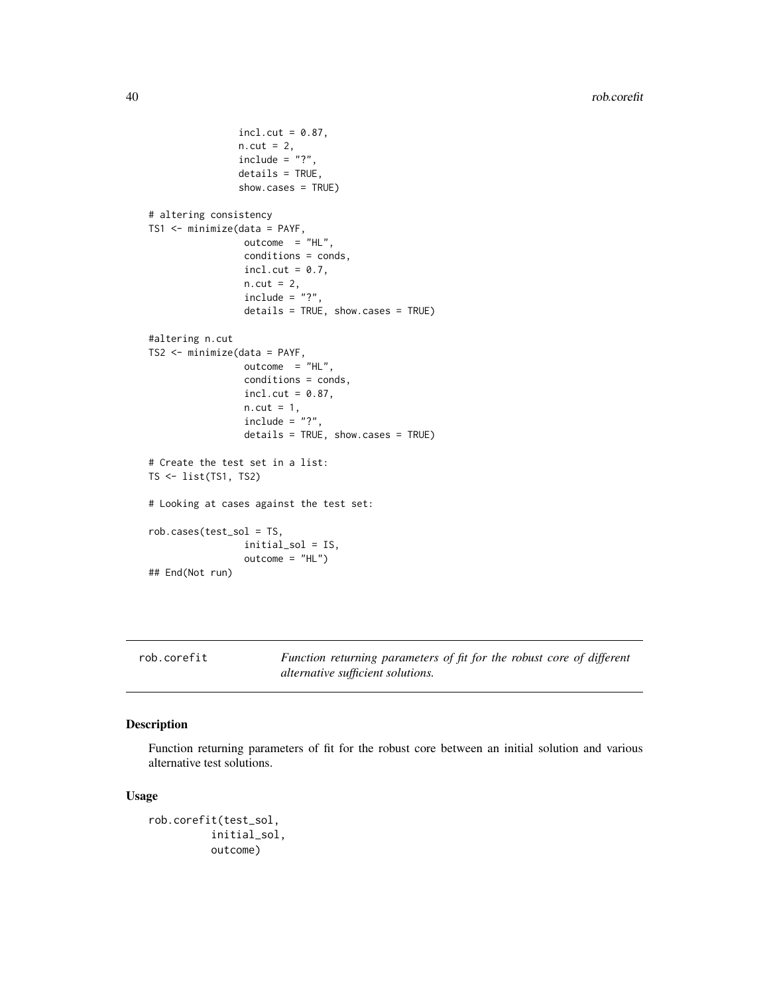```
incl.cut = 0.87,n.cut = 2,include = "?"details = TRUE,
                show.cases = TRUE)
# altering consistency
TS1 <- minimize(data = PAYF,
                 outcome = "HL",conditions = conds,
                 incl.cut = 0.7,
                 n.cut = 2,
                 include = "?".
                 details = TRUE, show.cases = TRUE)
#altering n.cut
TS2 <- minimize(data = PAYF,
                 outcome = "HL",
                 conditions = conds,
                 incl.cut = 0.87,n.cut = 1,include = "?"details = TRUE, show.cases = TRUE)
# Create the test set in a list:
TS <- list(TS1, TS2)
# Looking at cases against the test set:
rob.cases(test_sol = TS,
                 initial_sol = IS,
                 outcome = "HL")
## End(Not run)
```
rob.corefit *Function returning parameters of fit for the robust core of different alternative sufficient solutions.*

# Description

Function returning parameters of fit for the robust core between an initial solution and various alternative test solutions.

# Usage

```
rob.corefit(test_sol,
          initial_sol,
         outcome)
```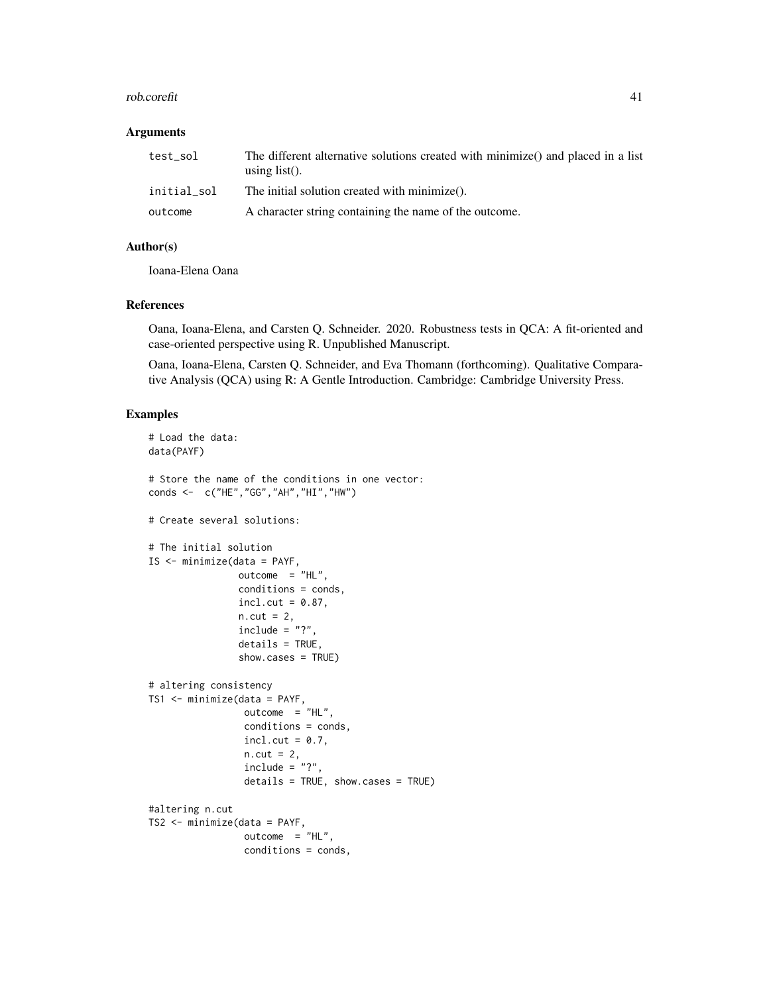#### rob.corefit 41

#### **Arguments**

| test sol    | The different alternative solutions created with minimize() and placed in a list<br>using $list()$ . |
|-------------|------------------------------------------------------------------------------------------------------|
| initial sol | The initial solution created with minimize().                                                        |
| outcome     | A character string containing the name of the outcome.                                               |

#### Author(s)

Ioana-Elena Oana

#### References

Oana, Ioana-Elena, and Carsten Q. Schneider. 2020. Robustness tests in QCA: A fit-oriented and case-oriented perspective using R. Unpublished Manuscript.

Oana, Ioana-Elena, Carsten Q. Schneider, and Eva Thomann (forthcoming). Qualitative Comparative Analysis (QCA) using R: A Gentle Introduction. Cambridge: Cambridge University Press.

# Examples

```
# Load the data:
data(PAYF)
# Store the name of the conditions in one vector:
conds <- c("HE","GG","AH","HI","HW")
# Create several solutions:
# The initial solution
IS <- minimize(data = PAYF,
                outcome = "HL",conditions = conds,
                incl.cut = 0.87,
                n.cut = 2,include = "?".
                details = TRUE,
                show.cases = TRUE)
# altering consistency
TS1 <- minimize(data = PAYF,
                 outcome = "HL",conditions = conds,
                 incl.cut = 0.7,
                 n.cut = 2,include = "?",
                 details = TRUE, show.cases = TRUE)
#altering n.cut
TS2 <- minimize(data = PAYF,
                 outcome = "HL",conditions = conds,
```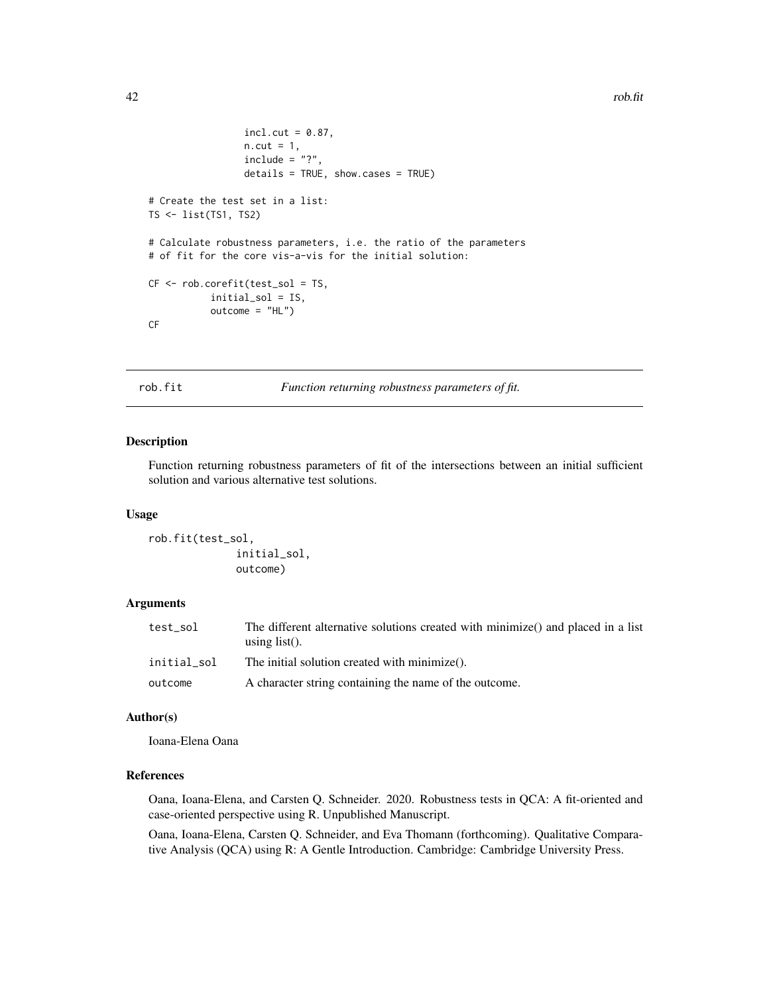```
incl. cut = 0.87,n.cut = 1,
                 include = "?"details = TRUE, show.cases = TRUE)
# Create the test set in a list:
TS <- list(TS1, TS2)
# Calculate robustness parameters, i.e. the ratio of the parameters
# of fit for the core vis-a-vis for the initial solution:
CF <- rob.corefit(test_sol = TS,
           initial_sol = IS,
           outcome = "HL")CF
```
rob.fit *Function returning robustness parameters of fit.*

# Description

Function returning robustness parameters of fit of the intersections between an initial sufficient solution and various alternative test solutions.

#### Usage

rob.fit(test\_sol, initial\_sol, outcome)

#### Arguments

| test_sol    | The different alternative solutions created with minimize() and placed in a list<br>using $list()$ . |
|-------------|------------------------------------------------------------------------------------------------------|
| initial sol | The initial solution created with minimize().                                                        |
| outcome     | A character string containing the name of the outcome.                                               |

# Author(s)

Ioana-Elena Oana

#### References

Oana, Ioana-Elena, and Carsten Q. Schneider. 2020. Robustness tests in QCA: A fit-oriented and case-oriented perspective using R. Unpublished Manuscript.

Oana, Ioana-Elena, Carsten Q. Schneider, and Eva Thomann (forthcoming). Qualitative Comparative Analysis (QCA) using R: A Gentle Introduction. Cambridge: Cambridge University Press.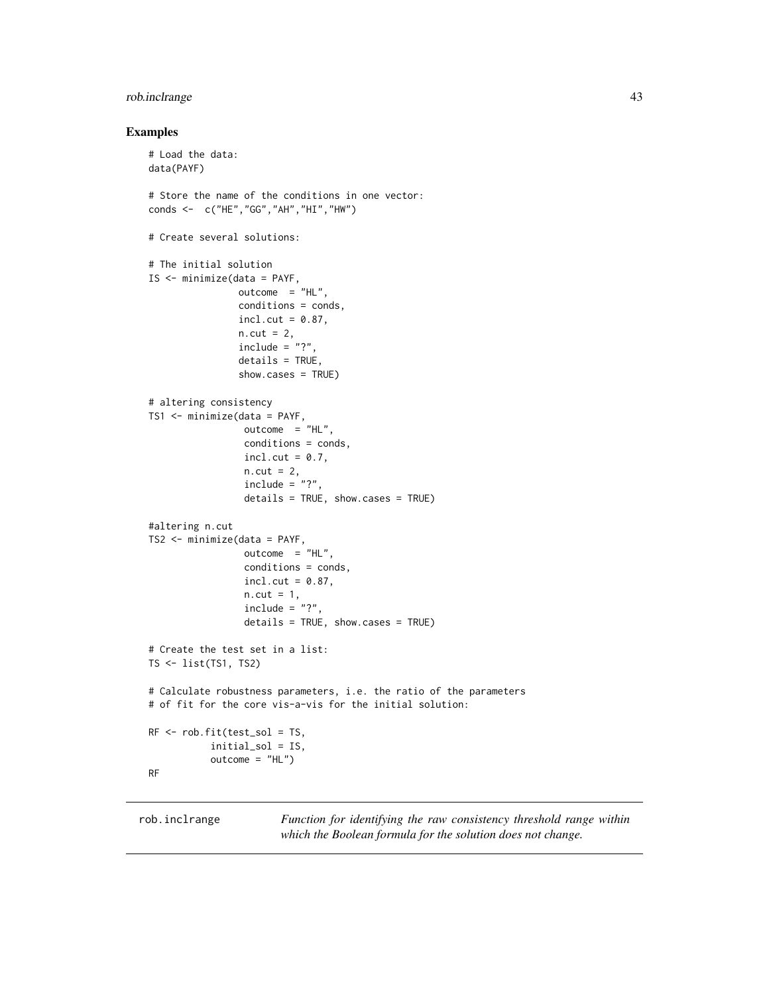# <span id="page-42-0"></span>rob.inclrange 43

# Examples

```
# Load the data:
data(PAYF)
# Store the name of the conditions in one vector:
conds <- c("HE","GG","AH","HI","HW")
# Create several solutions:
# The initial solution
IS <- minimize(data = PAYF,
               outcome = "HL",conditions = conds,
                incl.cut = 0.87,n.cut = 2,
                include = "?",
                details = TRUE,
                show.cases = TRUE)
# altering consistency
TS1 <- minimize(data = PAYF,
                 outcome = "HL",conditions = conds,
                 incl.cut = 0.7,
                 n.cut = 2,
                 include = "?"details = TRUE, show.cases = TRUE)
#altering n.cut
TS2 <- minimize(data = PAYF,
                 outcome = "HL",conditions = conds,
                 incl.cut = 0.87,n.cut = 1,
                 include = "?"details = TRUE, show.cases = TRUE)
# Create the test set in a list:
TS <- list(TS1, TS2)
# Calculate robustness parameters, i.e. the ratio of the parameters
# of fit for the core vis-a-vis for the initial solution:
RF <- rob.fit(test_sol = TS,
           initial_sol = IS,
           outcome = "HL")
RF
```
rob.inclrange *Function for identifying the raw consistency threshold range within which the Boolean formula for the solution does not change.*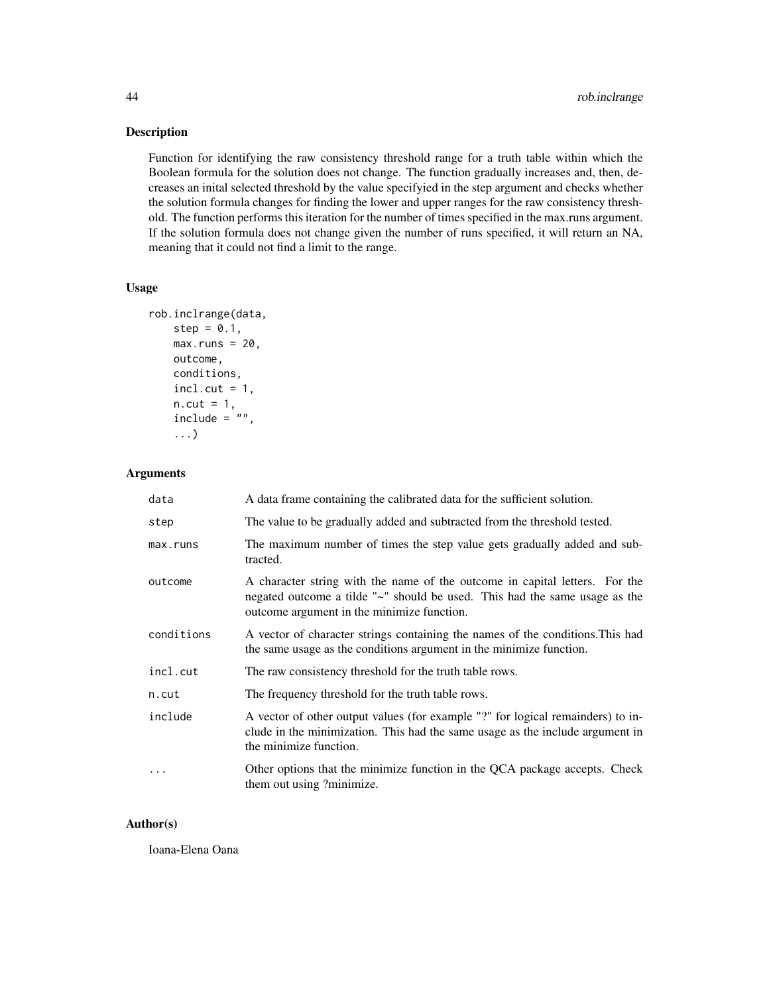<span id="page-43-0"></span>Function for identifying the raw consistency threshold range for a truth table within which the Boolean formula for the solution does not change. The function gradually increases and, then, decreases an inital selected threshold by the value specifyied in the step argument and checks whether the solution formula changes for finding the lower and upper ranges for the raw consistency threshold. The function performs this iteration for the number of times specified in the max.runs argument. If the solution formula does not change given the number of runs specified, it will return an NA, meaning that it could not find a limit to the range.

#### Usage

```
rob.inclrange(data,
   step = 0.1,
   max.runs = 20,outcome,
    conditions,
    incl. cut = 1,n.cut = 1,
    include = " " "...)
```
#### Arguments

| data       | A data frame containing the calibrated data for the sufficient solution.                                                                                                                                |
|------------|---------------------------------------------------------------------------------------------------------------------------------------------------------------------------------------------------------|
| step       | The value to be gradually added and subtracted from the threshold tested.                                                                                                                               |
| max.runs   | The maximum number of times the step value gets gradually added and sub-<br>tracted.                                                                                                                    |
| outcome    | A character string with the name of the outcome in capital letters. For the<br>negated outcome a tilde "~" should be used. This had the same usage as the<br>outcome argument in the minimize function. |
| conditions | A vector of character strings containing the names of the conditions. This had<br>the same usage as the conditions argument in the minimize function.                                                   |
| incl.cut   | The raw consistency threshold for the truth table rows.                                                                                                                                                 |
| n.cut      | The frequency threshold for the truth table rows.                                                                                                                                                       |
| include    | A vector of other output values (for example "?" for logical remainders) to in-<br>clude in the minimization. This had the same usage as the include argument in<br>the minimize function.              |
|            | Other options that the minimize function in the QCA package accepts. Check<br>them out using ?minimize.                                                                                                 |

#### Author(s)

Ioana-Elena Oana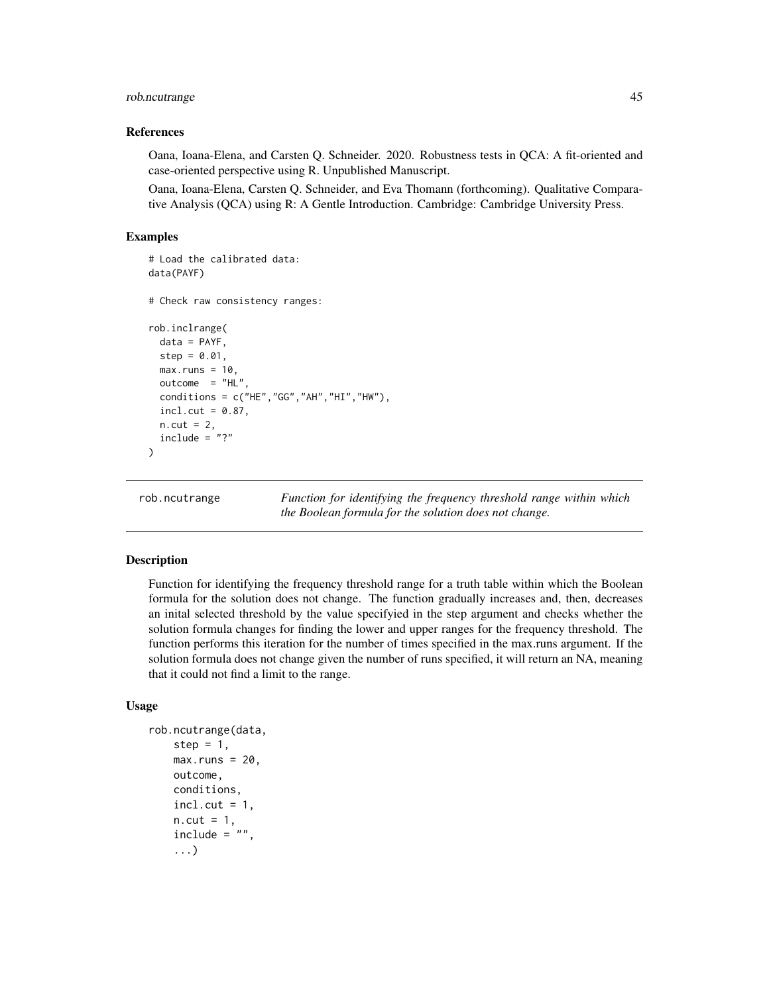# <span id="page-44-0"></span>rob.ncutrange 45

#### References

Oana, Ioana-Elena, and Carsten Q. Schneider. 2020. Robustness tests in QCA: A fit-oriented and case-oriented perspective using R. Unpublished Manuscript.

Oana, Ioana-Elena, Carsten Q. Schneider, and Eva Thomann (forthcoming). Qualitative Comparative Analysis (QCA) using R: A Gentle Introduction. Cambridge: Cambridge University Press.

#### Examples

```
# Load the calibrated data:
data(PAYF)
# Check raw consistency ranges:
rob.inclrange(
 data = PAYF,
 step = 0.01,
 max.runs = 10,outcome = "HL".conditions = c("HE", "GG", "AH", "HI", "HW"),
 incl.cut = 0.87,
 n.cut = 2,
 include = "?")
```
rob.ncutrange *Function for identifying the frequency threshold range within which the Boolean formula for the solution does not change.*

#### Description

Function for identifying the frequency threshold range for a truth table within which the Boolean formula for the solution does not change. The function gradually increases and, then, decreases an inital selected threshold by the value specifyied in the step argument and checks whether the solution formula changes for finding the lower and upper ranges for the frequency threshold. The function performs this iteration for the number of times specified in the max.runs argument. If the solution formula does not change given the number of runs specified, it will return an NA, meaning that it could not find a limit to the range.

#### Usage

```
rob.ncutrange(data,
   step = 1,
   max.runs = 20,
   outcome,
   conditions,
    incl.cut = 1,
   n.cut = 1,
   include = " "...)
```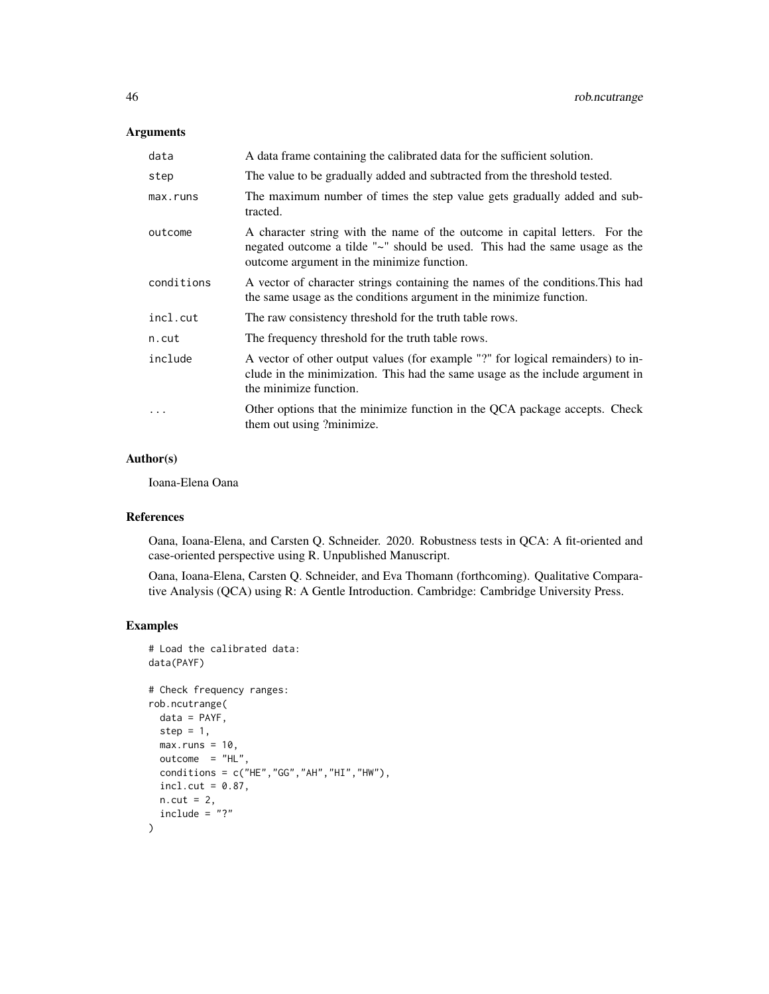# Arguments

| data       | A data frame containing the calibrated data for the sufficient solution.                                                                                                                                |
|------------|---------------------------------------------------------------------------------------------------------------------------------------------------------------------------------------------------------|
| step       | The value to be gradually added and subtracted from the threshold tested.                                                                                                                               |
| max.runs   | The maximum number of times the step value gets gradually added and sub-<br>tracted.                                                                                                                    |
| outcome    | A character string with the name of the outcome in capital letters. For the<br>negated outcome a tilde "~" should be used. This had the same usage as the<br>outcome argument in the minimize function. |
| conditions | A vector of character strings containing the names of the conditions. This had<br>the same usage as the conditions argument in the minimize function.                                                   |
| incl.cut   | The raw consistency threshold for the truth table rows.                                                                                                                                                 |
| n.cut      | The frequency threshold for the truth table rows.                                                                                                                                                       |
| include    | A vector of other output values (for example "?" for logical remainders) to in-<br>clude in the minimization. This had the same usage as the include argument in<br>the minimize function.              |
| $\ddots$ . | Other options that the minimize function in the QCA package accepts. Check<br>them out using ?minimize.                                                                                                 |

# Author(s)

Ioana-Elena Oana

#### References

Oana, Ioana-Elena, and Carsten Q. Schneider. 2020. Robustness tests in QCA: A fit-oriented and case-oriented perspective using R. Unpublished Manuscript.

Oana, Ioana-Elena, Carsten Q. Schneider, and Eva Thomann (forthcoming). Qualitative Comparative Analysis (QCA) using R: A Gentle Introduction. Cambridge: Cambridge University Press.

#### Examples

```
# Load the calibrated data:
data(PAYF)
# Check frequency ranges:
rob.ncutrange(
 data = PAYF,
 step = 1,
 max.runs = 10,outcome = "HL",conditions = c("HE", "GG", "AH", "HI", "HW"),
  incl. cut = 0.87,n.cut = 2,include = "?"\mathcal{L}
```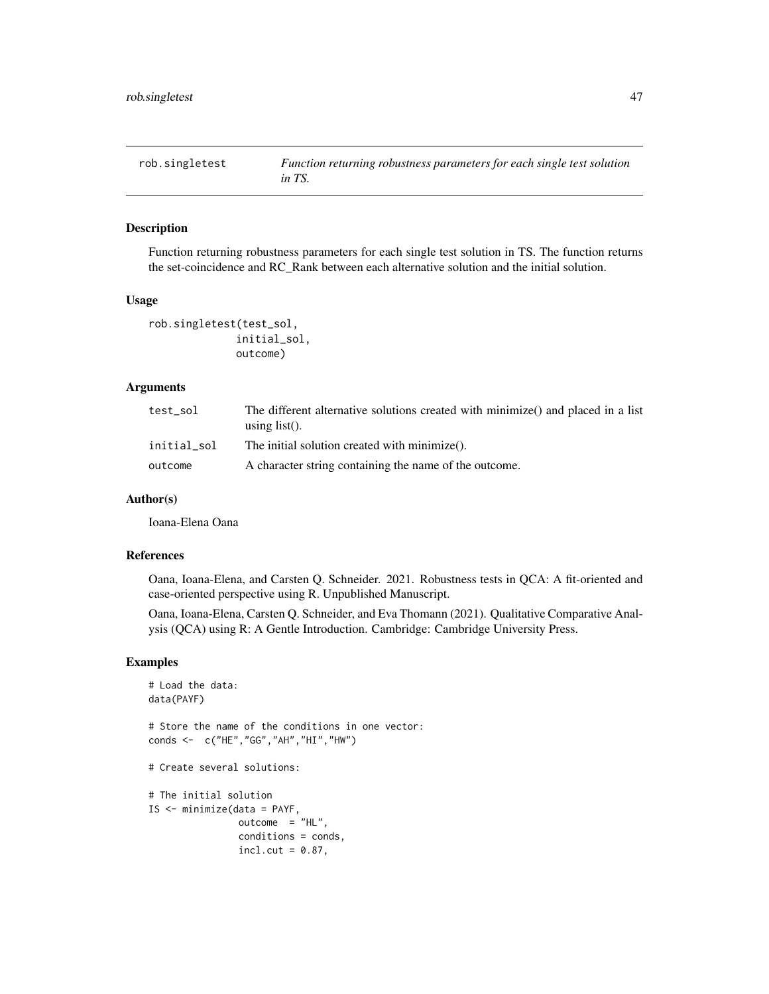<span id="page-46-0"></span>

Function returning robustness parameters for each single test solution in TS. The function returns the set-coincidence and RC\_Rank between each alternative solution and the initial solution.

#### Usage

```
rob.singletest(test_sol,
              initial_sol,
              outcome)
```
# Arguments

| test sol    | The different alternative solutions created with minimize() and placed in a list<br>using $list()$ . |
|-------------|------------------------------------------------------------------------------------------------------|
| initial sol | The initial solution created with minimize().                                                        |
| outcome     | A character string containing the name of the outcome.                                               |

# Author(s)

Ioana-Elena Oana

# References

Oana, Ioana-Elena, and Carsten Q. Schneider. 2021. Robustness tests in QCA: A fit-oriented and case-oriented perspective using R. Unpublished Manuscript.

Oana, Ioana-Elena, Carsten Q. Schneider, and Eva Thomann (2021). Qualitative Comparative Analysis (QCA) using R: A Gentle Introduction. Cambridge: Cambridge University Press.

# Examples

```
# Load the data:
data(PAYF)
# Store the name of the conditions in one vector:
conds <- c("HE","GG","AH","HI","HW")
# Create several solutions:
# The initial solution
IS <- minimize(data = PAYF,
               outcome = "HL",conditions = conds,
                incl.cut = 0.87,
```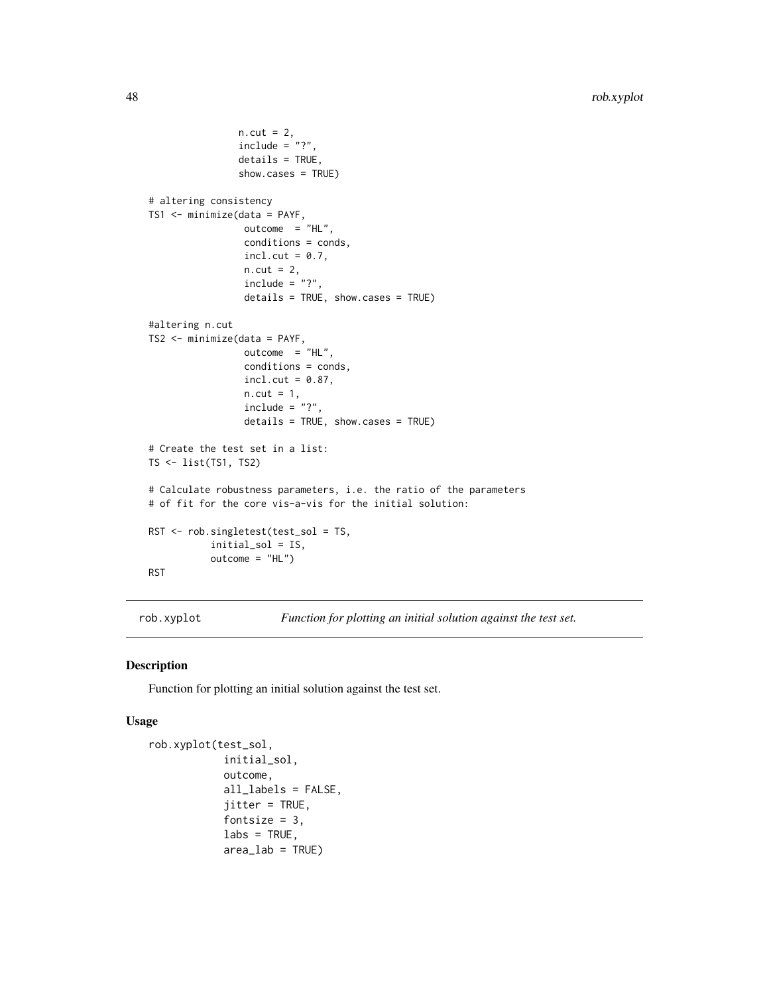```
n.cut = 2,include = "?"details = TRUE,
                show.cases = TRUE)
# altering consistency
TS1 <- minimize(data = PAYF,
                 outcome = "HL",conditions = conds,
                 incl.cut = 0.7,
                 n.cut = 2,include = "?",
                 details = TRUE, show.cases = TRUE)
#altering n.cut
TS2 <- minimize(data = PAYF,
                 outcome = "HL",
                 conditions = conds,
                 incl.cut = 0.87,n.cut = 1,
                 include = "?"details = TRUE, show.cases = TRUE)
# Create the test set in a list:
TS <- list(TS1, TS2)
# Calculate robustness parameters, i.e. the ratio of the parameters
# of fit for the core vis-a-vis for the initial solution:
RST <- rob.singletest(test_sol = TS,
           initial_sol = IS,
           outcome = "HL")
RST
```
rob.xyplot *Function for plotting an initial solution against the test set.*

#### Description

Function for plotting an initial solution against the test set.

#### Usage

```
rob.xyplot(test_sol,
              initial_sol,
              outcome,
              all_labels = FALSE,
              jitter = TRUE,
              fontsize = 3,
              \text{labels} = \text{TRUE},
              area\_lab = TRUE)
```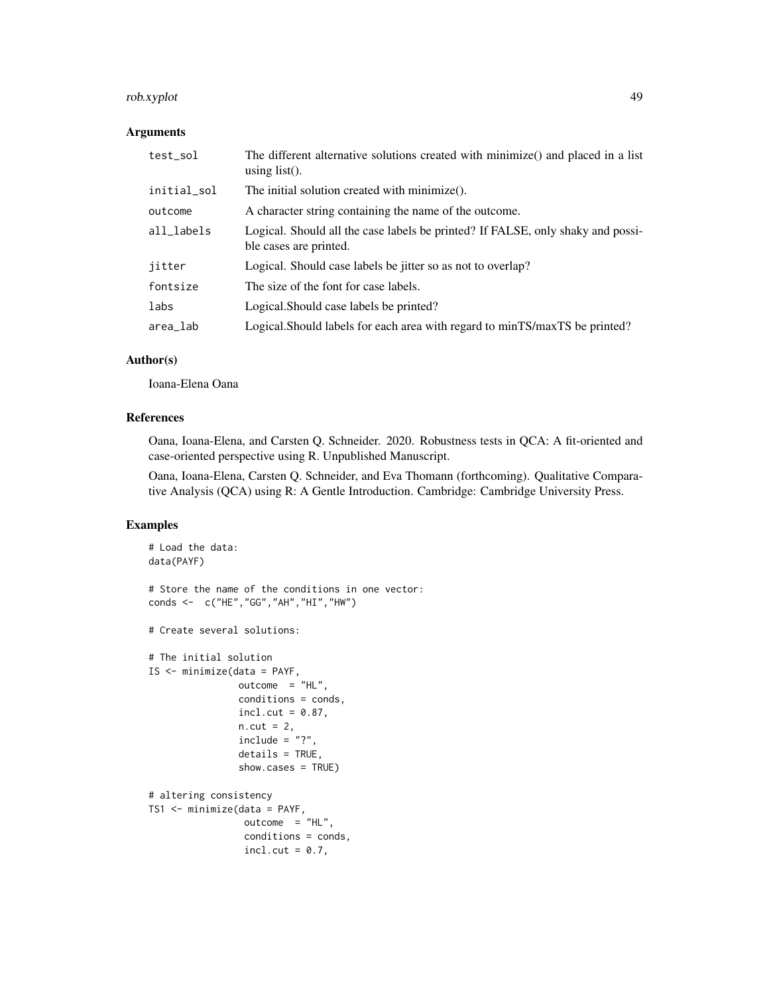# rob.xyplot 49

# Arguments

| test_sol    | The different alternative solutions created with minimize() and placed in a list<br>using $list()$ .      |
|-------------|-----------------------------------------------------------------------------------------------------------|
| initial_sol | The initial solution created with minimize().                                                             |
| outcome     | A character string containing the name of the outcome.                                                    |
| all_labels  | Logical. Should all the case labels be printed? If FALSE, only shaky and possi-<br>ble cases are printed. |
| jitter      | Logical. Should case labels be jitter so as not to overlap?                                               |
| fontsize    | The size of the font for case labels.                                                                     |
| labs        | Logical. Should case labels be printed?                                                                   |
| area_lab    | Logical. Should labels for each area with regard to minTS/maxTS be printed?                               |

# Author(s)

Ioana-Elena Oana

#### References

Oana, Ioana-Elena, and Carsten Q. Schneider. 2020. Robustness tests in QCA: A fit-oriented and case-oriented perspective using R. Unpublished Manuscript.

Oana, Ioana-Elena, Carsten Q. Schneider, and Eva Thomann (forthcoming). Qualitative Comparative Analysis (QCA) using R: A Gentle Introduction. Cambridge: Cambridge University Press.

# Examples

```
# Load the data:
data(PAYF)
# Store the name of the conditions in one vector:
conds <- c("HE","GG","AH","HI","HW")
# Create several solutions:
# The initial solution
IS <- minimize(data = PAYF,
               outcome = "HL",conditions = conds,
               incl.cut = 0.87,
               n.cut = 2,include = "?"details = TRUE,
               show.cases = TRUE)
# altering consistency
TS1 <- minimize(data = PAYF,
                outcome = "HL",conditions = conds,
                incl.cut = 0.7,
```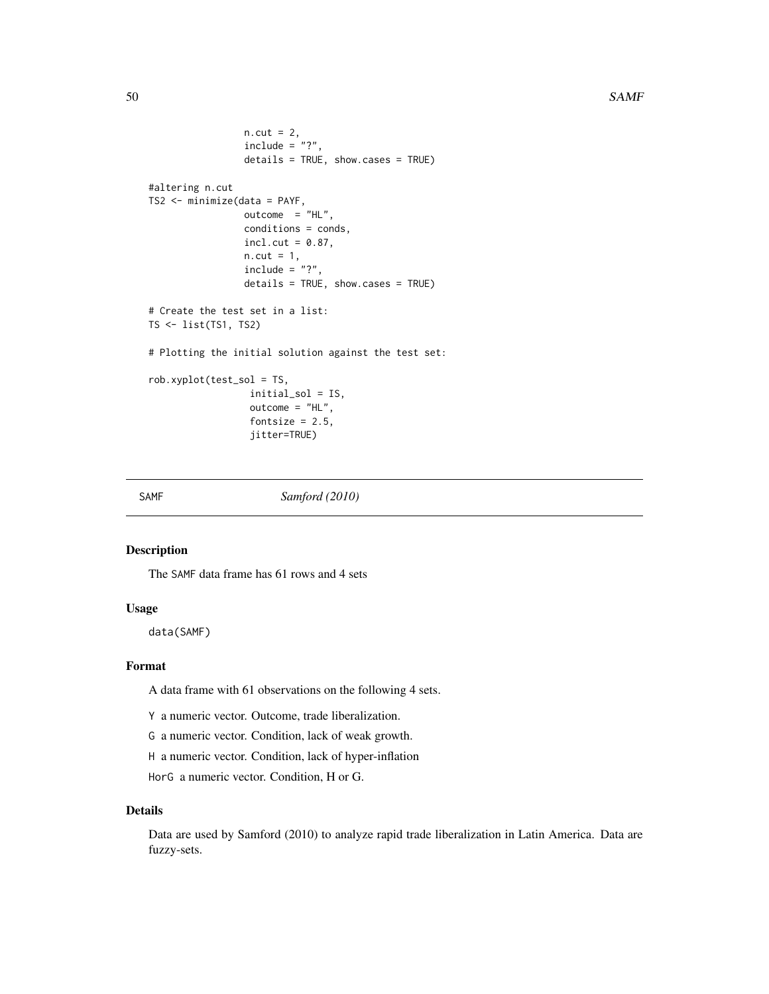```
n.cut = 2,
                 include = "?"details = TRUE, show.cases = TRUE)
#altering n.cut
TS2 <- minimize(data = PAYF,
                 outcome = "HL",
                 conditions = conds,
                 incl. cut = 0.87,n.cut = 1,
                 include = "?"details = TRUE, show.cases = TRUE)
# Create the test set in a list:
TS <- list(TS1, TS2)
# Plotting the initial solution against the test set:
rob.xyplot(test_sol = TS,
                  initial_sol = IS,
                  outcome = "HL",
                  fontsize = 2.5,
                  jitter=TRUE)
```
SAMF *Samford (2010)*

#### Description

The SAMF data frame has 61 rows and 4 sets

#### Usage

data(SAMF)

#### Format

A data frame with 61 observations on the following 4 sets.

Y a numeric vector. Outcome, trade liberalization.

G a numeric vector. Condition, lack of weak growth.

H a numeric vector. Condition, lack of hyper-inflation

HorG a numeric vector. Condition, H or G.

#### Details

Data are used by Samford (2010) to analyze rapid trade liberalization in Latin America. Data are fuzzy-sets.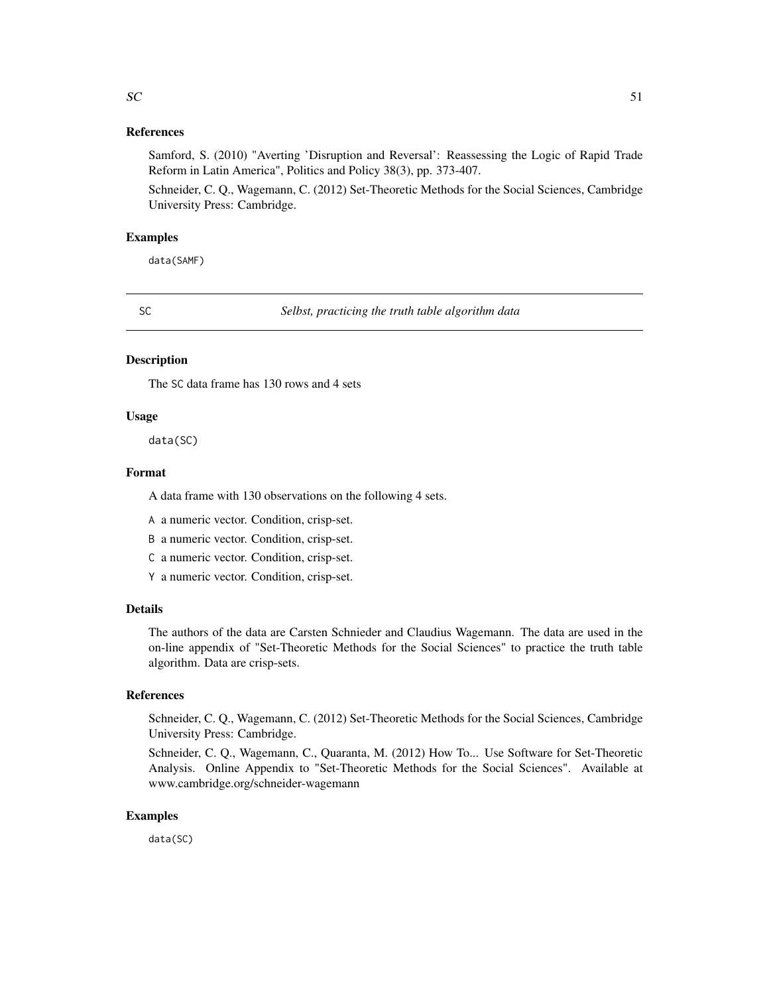# <span id="page-50-0"></span>References

Samford, S. (2010) "Averting 'Disruption and Reversal': Reassessing the Logic of Rapid Trade Reform in Latin America", Politics and Policy 38(3), pp. 373-407.

Schneider, C. Q., Wagemann, C. (2012) Set-Theoretic Methods for the Social Sciences, Cambridge University Press: Cambridge.

# Examples

data(SAMF)

SC *Selbst, practicing the truth table algorithm data*

# **Description**

The SC data frame has 130 rows and 4 sets

#### Usage

data(SC)

#### Format

A data frame with 130 observations on the following 4 sets.

A a numeric vector. Condition, crisp-set.

B a numeric vector. Condition, crisp-set.

C a numeric vector. Condition, crisp-set.

Y a numeric vector. Condition, crisp-set.

#### Details

The authors of the data are Carsten Schnieder and Claudius Wagemann. The data are used in the on-line appendix of "Set-Theoretic Methods for the Social Sciences" to practice the truth table algorithm. Data are crisp-sets.

# References

Schneider, C. Q., Wagemann, C. (2012) Set-Theoretic Methods for the Social Sciences, Cambridge University Press: Cambridge.

Schneider, C. Q., Wagemann, C., Quaranta, M. (2012) How To... Use Software for Set-Theoretic Analysis. Online Appendix to "Set-Theoretic Methods for the Social Sciences". Available at www.cambridge.org/schneider-wagemann

# Examples

data(SC)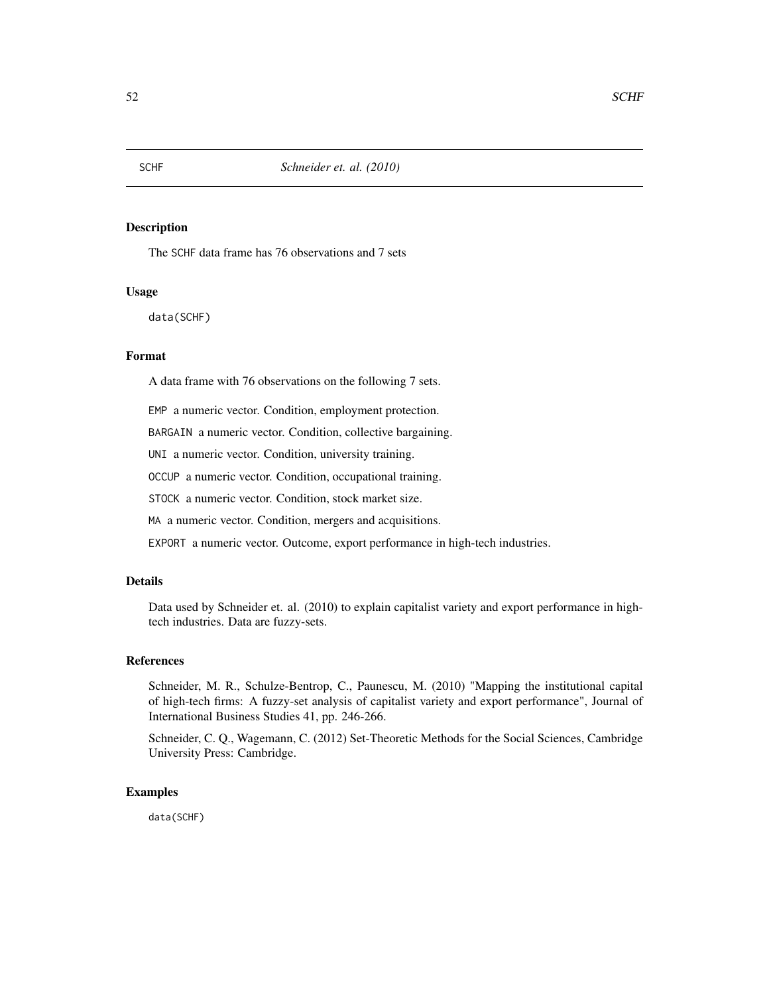<span id="page-51-0"></span>The SCHF data frame has 76 observations and 7 sets

#### Usage

data(SCHF)

# Format

A data frame with 76 observations on the following 7 sets.

EMP a numeric vector. Condition, employment protection.

BARGAIN a numeric vector. Condition, collective bargaining.

UNI a numeric vector. Condition, university training.

OCCUP a numeric vector. Condition, occupational training.

STOCK a numeric vector. Condition, stock market size.

MA a numeric vector. Condition, mergers and acquisitions.

EXPORT a numeric vector. Outcome, export performance in high-tech industries.

# Details

Data used by Schneider et. al. (2010) to explain capitalist variety and export performance in hightech industries. Data are fuzzy-sets.

#### References

Schneider, M. R., Schulze-Bentrop, C., Paunescu, M. (2010) "Mapping the institutional capital of high-tech firms: A fuzzy-set analysis of capitalist variety and export performance", Journal of International Business Studies 41, pp. 246-266.

Schneider, C. Q., Wagemann, C. (2012) Set-Theoretic Methods for the Social Sciences, Cambridge University Press: Cambridge.

#### Examples

data(SCHF)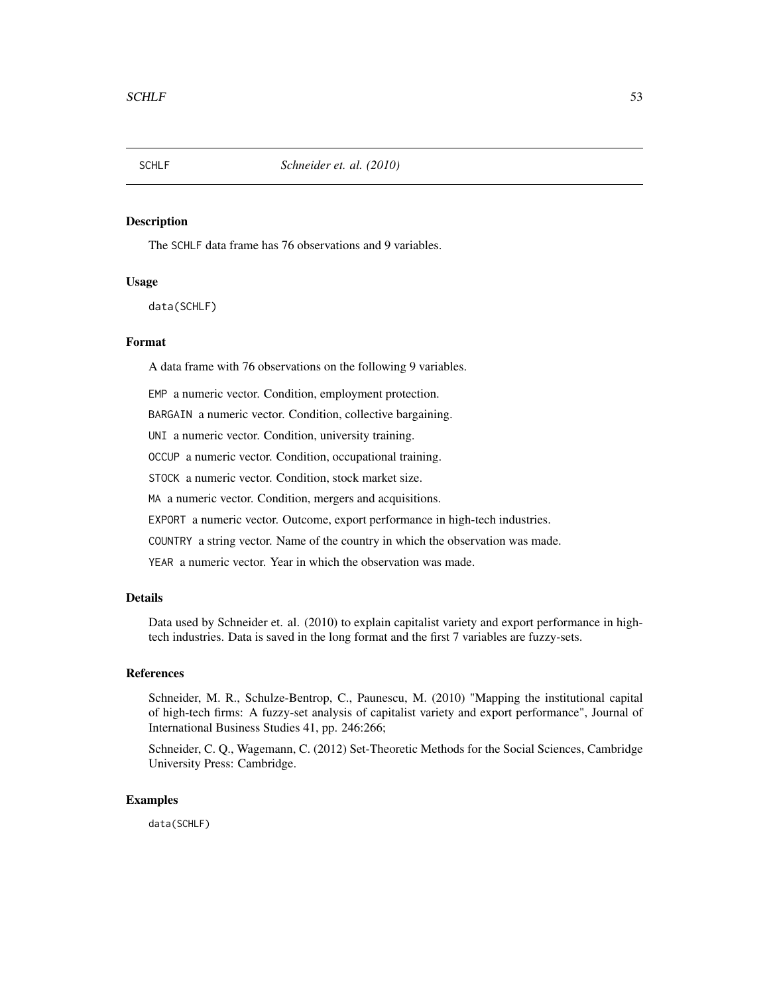<span id="page-52-0"></span>

The SCHLF data frame has 76 observations and 9 variables.

# Usage

data(SCHLF)

#### Format

A data frame with 76 observations on the following 9 variables.

EMP a numeric vector. Condition, employment protection.

BARGAIN a numeric vector. Condition, collective bargaining.

UNI a numeric vector. Condition, university training.

OCCUP a numeric vector. Condition, occupational training.

STOCK a numeric vector. Condition, stock market size.

MA a numeric vector. Condition, mergers and acquisitions.

EXPORT a numeric vector. Outcome, export performance in high-tech industries.

COUNTRY a string vector. Name of the country in which the observation was made.

YEAR a numeric vector. Year in which the observation was made.

#### Details

Data used by Schneider et. al. (2010) to explain capitalist variety and export performance in hightech industries. Data is saved in the long format and the first 7 variables are fuzzy-sets.

#### References

Schneider, M. R., Schulze-Bentrop, C., Paunescu, M. (2010) "Mapping the institutional capital of high-tech firms: A fuzzy-set analysis of capitalist variety and export performance", Journal of International Business Studies 41, pp. 246:266;

Schneider, C. Q., Wagemann, C. (2012) Set-Theoretic Methods for the Social Sciences, Cambridge University Press: Cambridge.

# Examples

data(SCHLF)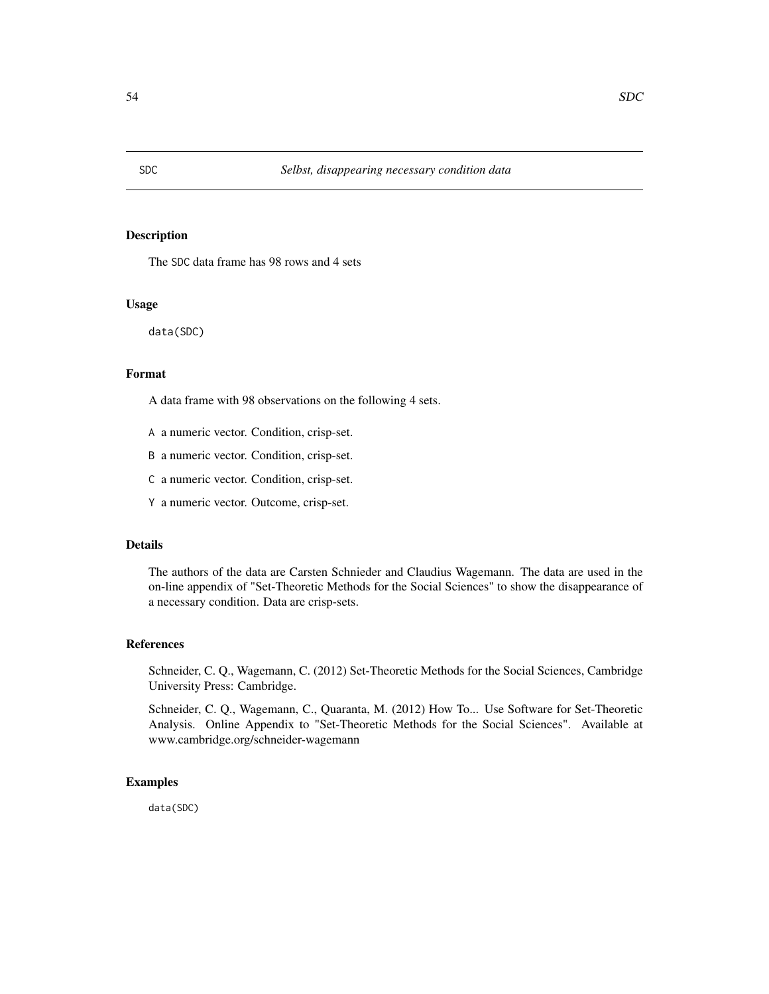The SDC data frame has 98 rows and 4 sets

# Usage

data(SDC)

#### Format

A data frame with 98 observations on the following 4 sets.

- A a numeric vector. Condition, crisp-set.
- B a numeric vector. Condition, crisp-set.
- C a numeric vector. Condition, crisp-set.
- Y a numeric vector. Outcome, crisp-set.

# Details

The authors of the data are Carsten Schnieder and Claudius Wagemann. The data are used in the on-line appendix of "Set-Theoretic Methods for the Social Sciences" to show the disappearance of a necessary condition. Data are crisp-sets.

#### References

Schneider, C. Q., Wagemann, C. (2012) Set-Theoretic Methods for the Social Sciences, Cambridge University Press: Cambridge.

Schneider, C. Q., Wagemann, C., Quaranta, M. (2012) How To... Use Software for Set-Theoretic Analysis. Online Appendix to "Set-Theoretic Methods for the Social Sciences". Available at www.cambridge.org/schneider-wagemann

#### Examples

data(SDC)

<span id="page-53-0"></span>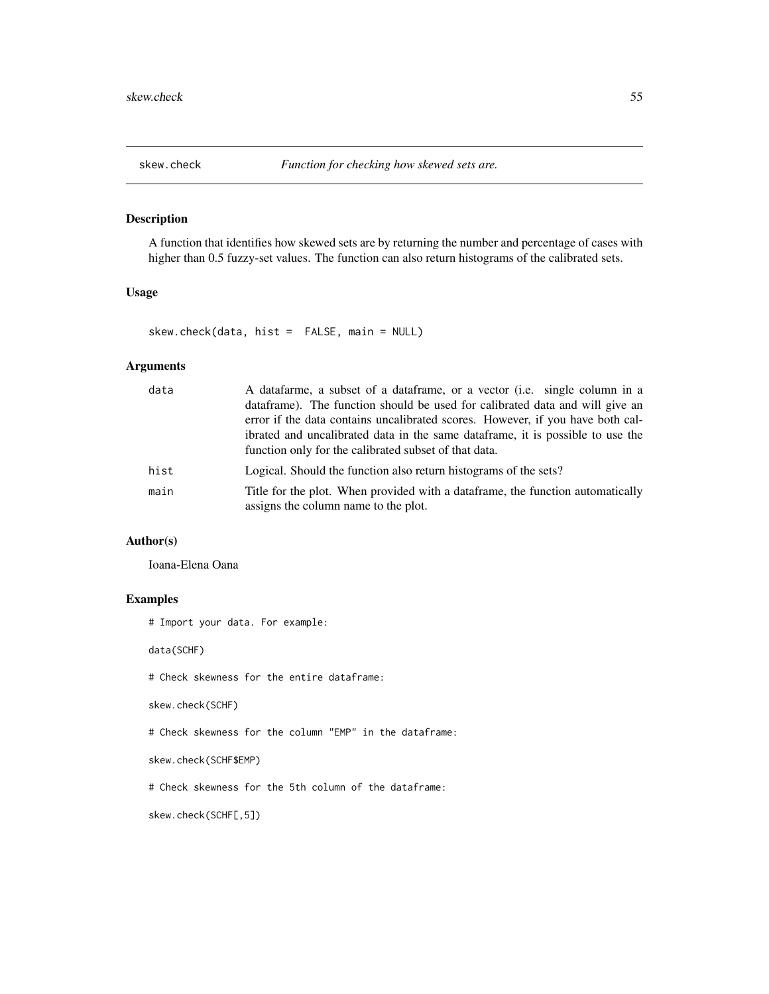<span id="page-54-0"></span>

A function that identifies how skewed sets are by returning the number and percentage of cases with higher than 0.5 fuzzy-set values. The function can also return histograms of the calibrated sets.

# Usage

skew.check(data, hist = FALSE, main = NULL)

# Arguments

| data | A datafarme, a subset of a dataframe, or a vector (i.e. single column in a                                             |
|------|------------------------------------------------------------------------------------------------------------------------|
|      | data frame). The function should be used for calibrated data and will give an                                          |
|      | error if the data contains uncalibrated scores. However, if you have both cal-                                         |
|      | ibrated and uncalibrated data in the same data frame, it is possible to use the                                        |
|      | function only for the calibrated subset of that data.                                                                  |
| hist | Logical. Should the function also return histograms of the sets?                                                       |
| main | Title for the plot. When provided with a dataframe, the function automatically<br>assigns the column name to the plot. |

# Author(s)

Ioana-Elena Oana

# Examples

# Import your data. For example:

data(SCHF)

# Check skewness for the entire dataframe:

skew.check(SCHF)

# Check skewness for the column "EMP" in the dataframe:

skew.check(SCHF\$EMP)

# Check skewness for the 5th column of the dataframe:

skew.check(SCHF[,5])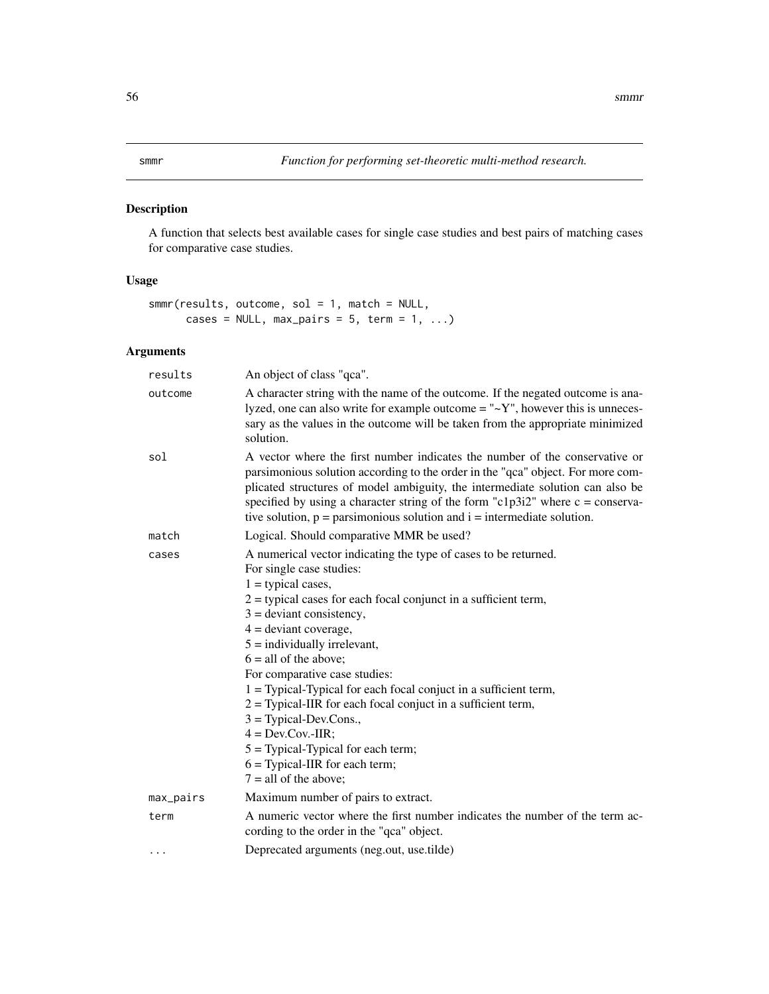<span id="page-55-0"></span>A function that selects best available cases for single case studies and best pairs of matching cases for comparative case studies.

# Usage

```
smmr(results, outcome, sol = 1, match = NULL,
     cases = NULL, max\_pairs = 5, term = 1, ...
```
# Arguments

| results   | An object of class "qca".                                                                                                                                                                                                                                                                                                                                                                                                                                                                                                                                                                                                                       |
|-----------|-------------------------------------------------------------------------------------------------------------------------------------------------------------------------------------------------------------------------------------------------------------------------------------------------------------------------------------------------------------------------------------------------------------------------------------------------------------------------------------------------------------------------------------------------------------------------------------------------------------------------------------------------|
| outcome   | A character string with the name of the outcome. If the negated outcome is ana-<br>lyzed, one can also write for example outcome $=$ " $\sim$ Y", however this is unneces-<br>sary as the values in the outcome will be taken from the appropriate minimized<br>solution.                                                                                                                                                                                                                                                                                                                                                                       |
| sol       | A vector where the first number indicates the number of the conservative or<br>parsimonious solution according to the order in the "qca" object. For more com-<br>plicated structures of model ambiguity, the intermediate solution can also be<br>specified by using a character string of the form "c1p3i2" where $c = \text{conserva}$ -<br>tive solution, $p =$ parsimonious solution and $i =$ intermediate solution.                                                                                                                                                                                                                      |
| match     | Logical. Should comparative MMR be used?                                                                                                                                                                                                                                                                                                                                                                                                                                                                                                                                                                                                        |
| cases     | A numerical vector indicating the type of cases to be returned.<br>For single case studies:<br>$1 =$ typical cases,<br>$2$ = typical cases for each focal conjunct in a sufficient term,<br>$3 =$ deviant consistency,<br>$4 =$ deviant coverage,<br>$5 =$ individually irrelevant,<br>$6 =$ all of the above;<br>For comparative case studies:<br>1 = Typical-Typical for each focal conjuct in a sufficient term,<br>$2 =$ Typical-IIR for each focal conjuct in a sufficient term,<br>$3 = Typical-Dev.Cons.,$<br>$4 = Dev.Cov.-IIR;$<br>$5 =$ Typical-Typical for each term;<br>$6 =$ Typical-IIR for each term;<br>$7 =$ all of the above; |
| max_pairs | Maximum number of pairs to extract.                                                                                                                                                                                                                                                                                                                                                                                                                                                                                                                                                                                                             |
| term      | A numeric vector where the first number indicates the number of the term ac-<br>cording to the order in the "qca" object.                                                                                                                                                                                                                                                                                                                                                                                                                                                                                                                       |
| $\ddotsc$ | Deprecated arguments (neg.out, use.tilde)                                                                                                                                                                                                                                                                                                                                                                                                                                                                                                                                                                                                       |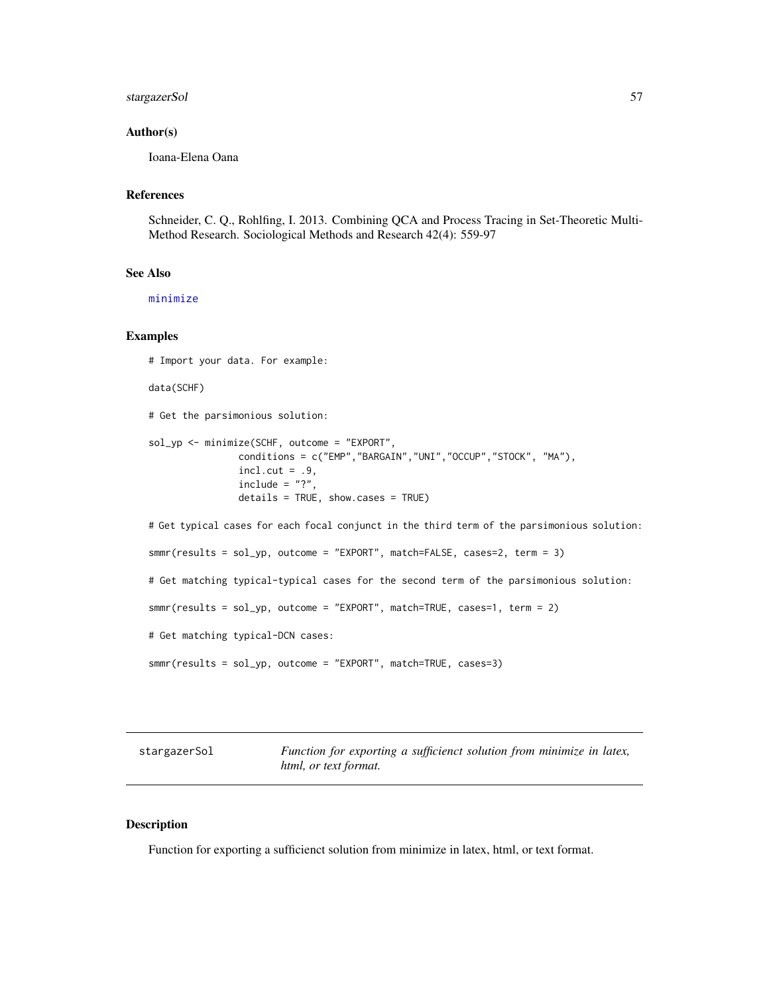# <span id="page-56-0"></span>stargazerSol 57

#### Author(s)

Ioana-Elena Oana

#### References

Schneider, C. Q., Rohlfing, I. 2013. Combining QCA and Process Tracing in Set-Theoretic Multi-Method Research. Sociological Methods and Research 42(4): 559-97

# See Also

[minimize](#page-0-0)

# Examples

# Import your data. For example:

data(SCHF)

# Get the parsimonious solution:

```
sol_yp <- minimize(SCHF, outcome = "EXPORT",
                conditions = c("EMP","BARGAIN","UNI","OCCUP","STOCK", "MA"),
                incl.cut = .9,include = "?"details = TRUE, show.cases = TRUE)
```
# Get typical cases for each focal conjunct in the third term of the parsimonious solution:

smmr(results = sol\_yp, outcome = "EXPORT", match=FALSE, cases=2, term = 3)

# Get matching typical-typical cases for the second term of the parsimonious solution:

smmr(results = sol\_yp, outcome = "EXPORT", match=TRUE, cases=1, term = 2)

# Get matching typical-DCN cases:

```
smmr(results = sol_yp, outcome = "EXPORT", match=TRUE, cases=3)
```
stargazerSol *Function for exporting a sufficienct solution from minimize in latex, html, or text format.*

#### Description

Function for exporting a sufficienct solution from minimize in latex, html, or text format.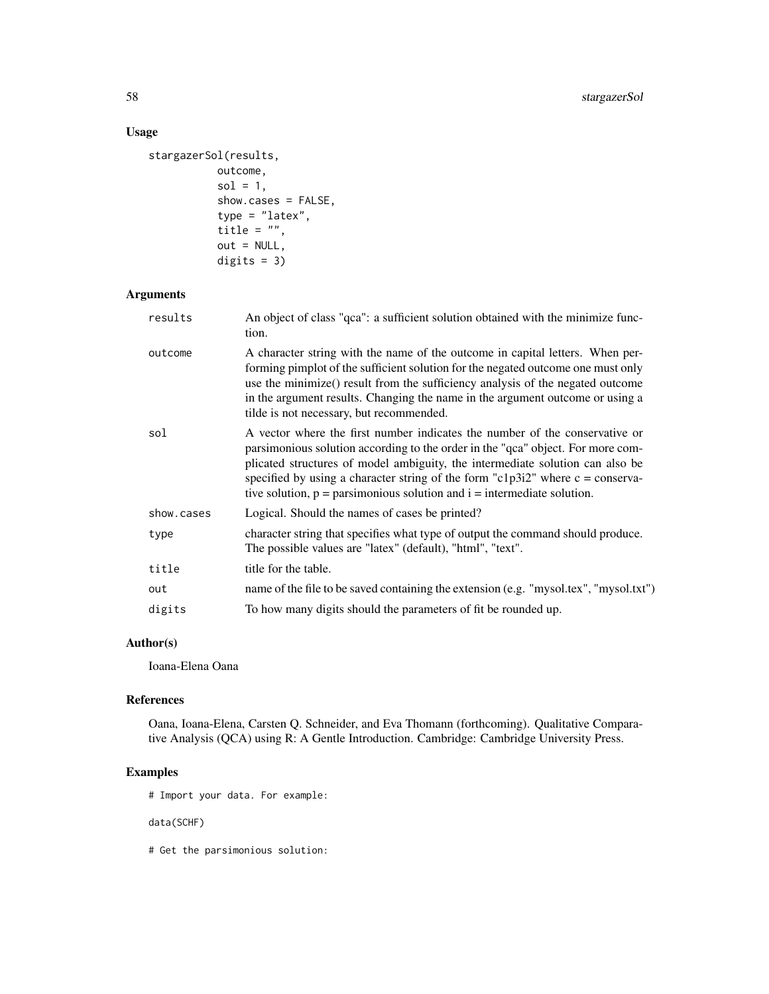# Usage

```
stargazerSol(results,
          outcome,
           sol = 1,show.cases = FALSE,
           type = "latex",
           title = ",
          out = NULL,
          digits = 3)
```
# Arguments

| results    | An object of class "qca": a sufficient solution obtained with the minimize func-<br>tion.                                                                                                                                                                                                                                                                                                                                  |
|------------|----------------------------------------------------------------------------------------------------------------------------------------------------------------------------------------------------------------------------------------------------------------------------------------------------------------------------------------------------------------------------------------------------------------------------|
| outcome    | A character string with the name of the outcome in capital letters. When per-<br>forming pimplot of the sufficient solution for the negated outcome one must only<br>use the minimize() result from the sufficiency analysis of the negated outcome<br>in the argument results. Changing the name in the argument outcome or using a<br>tilde is not necessary, but recommended.                                           |
| sol        | A vector where the first number indicates the number of the conservative or<br>parsimonious solution according to the order in the "qca" object. For more com-<br>plicated structures of model ambiguity, the intermediate solution can also be<br>specified by using a character string of the form "c1p3i2" where $c = \text{conserva}$ -<br>tive solution, $p =$ parsimonious solution and $i =$ intermediate solution. |
| show.cases | Logical. Should the names of cases be printed?                                                                                                                                                                                                                                                                                                                                                                             |
| type       | character string that specifies what type of output the command should produce.<br>The possible values are "latex" (default), "html", "text".                                                                                                                                                                                                                                                                              |
| title      | title for the table.                                                                                                                                                                                                                                                                                                                                                                                                       |
| out        | name of the file to be saved containing the extension (e.g. "mysol.tex", "mysol.txt")                                                                                                                                                                                                                                                                                                                                      |
| digits     | To how many digits should the parameters of fit be rounded up.                                                                                                                                                                                                                                                                                                                                                             |

# Author(s)

Ioana-Elena Oana

# References

Oana, Ioana-Elena, Carsten Q. Schneider, and Eva Thomann (forthcoming). Qualitative Comparative Analysis (QCA) using R: A Gentle Introduction. Cambridge: Cambridge University Press.

# Examples

# Import your data. For example:

data(SCHF)

# Get the parsimonious solution: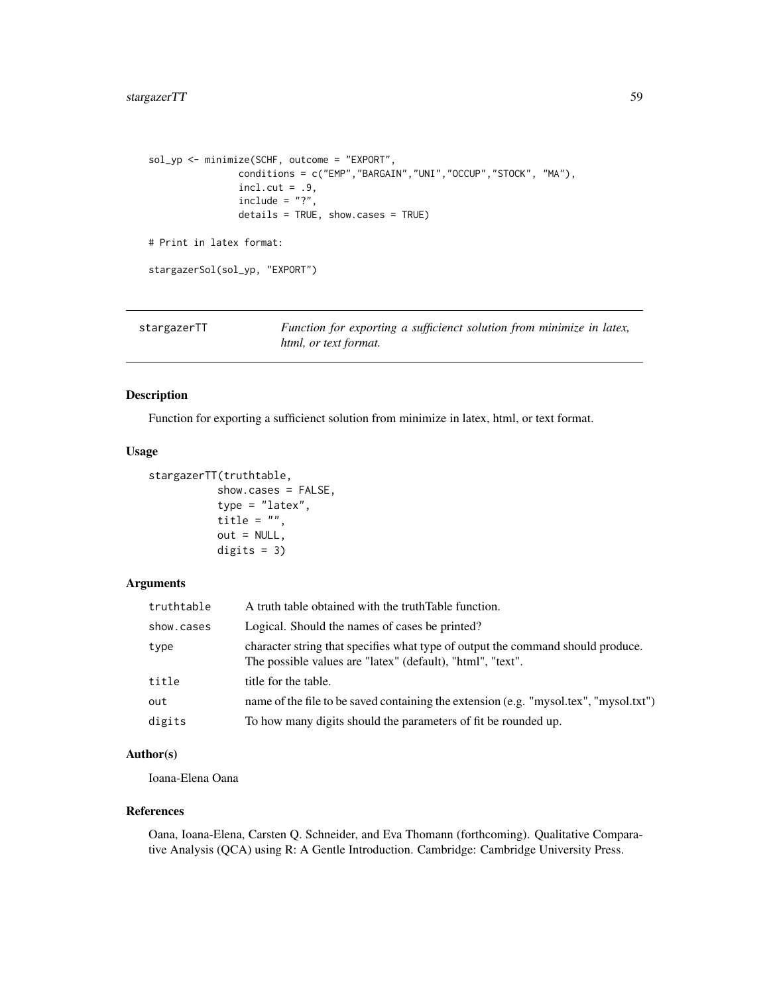```
sol_yp <- minimize(SCHF, outcome = "EXPORT",
               conditions = c("EMP","BARGAIN","UNI","OCCUP","STOCK", "MA"),
               incl.cut = .9,include = "?",details = TRUE, show.cases = TRUE)
# Print in latex format:
stargazerSol(sol_yp, "EXPORT")
```

| stargazerTT | Function for exporting a sufficienct solution from minimize in latex, |
|-------------|-----------------------------------------------------------------------|
|             | html, or text format.                                                 |

Function for exporting a sufficienct solution from minimize in latex, html, or text format.

#### Usage

```
stargazerTT(truthtable,
          show.cases = FALSE,
           type = "later",title = ",
          out = NULL,
          digits = 3)
```
# Arguments

| truthtable | A truth table obtained with the truth Table function.                                                                                         |
|------------|-----------------------------------------------------------------------------------------------------------------------------------------------|
| show.cases | Logical. Should the names of cases be printed?                                                                                                |
| type       | character string that specifies what type of output the command should produce.<br>The possible values are "latex" (default), "html", "text". |
| title      | title for the table.                                                                                                                          |
| out        | name of the file to be saved containing the extension (e.g. "mysol.tex", "mysol.txt")                                                         |
| digits     | To how many digits should the parameters of fit be rounded up.                                                                                |

#### Author(s)

Ioana-Elena Oana

#### References

Oana, Ioana-Elena, Carsten Q. Schneider, and Eva Thomann (forthcoming). Qualitative Comparative Analysis (QCA) using R: A Gentle Introduction. Cambridge: Cambridge University Press.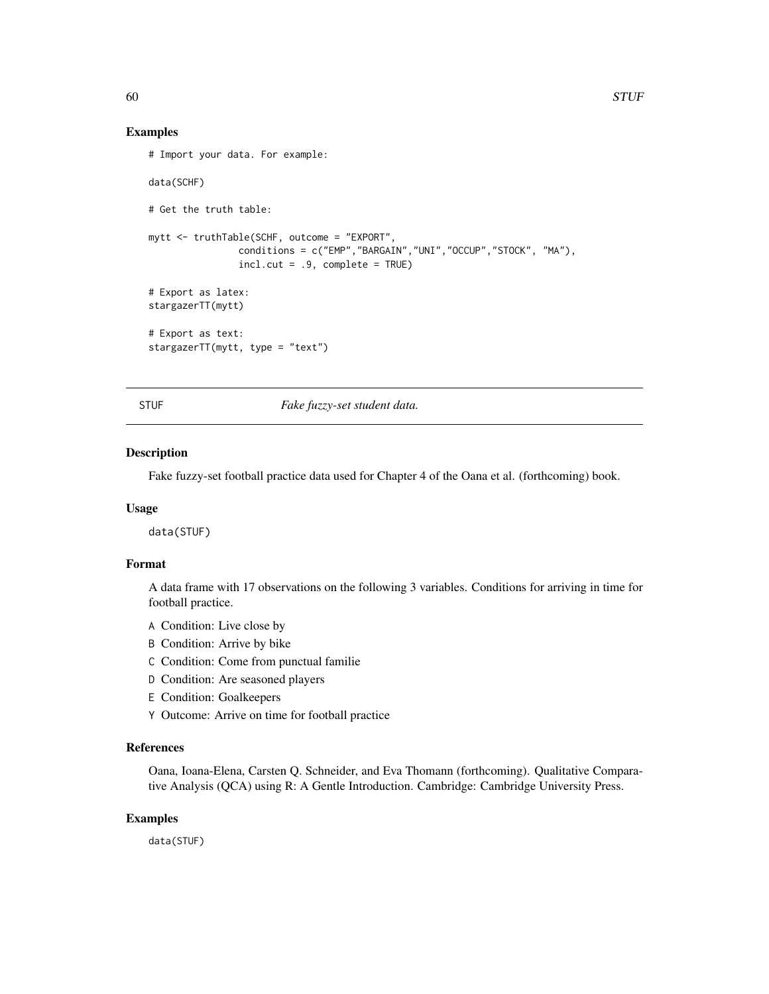#### Examples

```
# Import your data. For example:
data(SCHF)
# Get the truth table:
mytt <- truthTable(SCHF, outcome = "EXPORT",
                conditions = c("EMP","BARGAIN","UNI","OCCUP","STOCK", "MA"),
                incl.cut = .9, complete = TRUE)
# Export as latex:
stargazerTT(mytt)
# Export as text:
stargazerTT(mytt, type = "text")
```
STUF *Fake fuzzy-set student data.*

#### Description

Fake fuzzy-set football practice data used for Chapter 4 of the Oana et al. (forthcoming) book.

#### Usage

data(STUF)

# Format

A data frame with 17 observations on the following 3 variables. Conditions for arriving in time for football practice.

- A Condition: Live close by
- B Condition: Arrive by bike
- C Condition: Come from punctual familie
- D Condition: Are seasoned players
- E Condition: Goalkeepers
- Y Outcome: Arrive on time for football practice

# References

Oana, Ioana-Elena, Carsten Q. Schneider, and Eva Thomann (forthcoming). Qualitative Comparative Analysis (QCA) using R: A Gentle Introduction. Cambridge: Cambridge University Press.

#### Examples

data(STUF)

<span id="page-59-0"></span>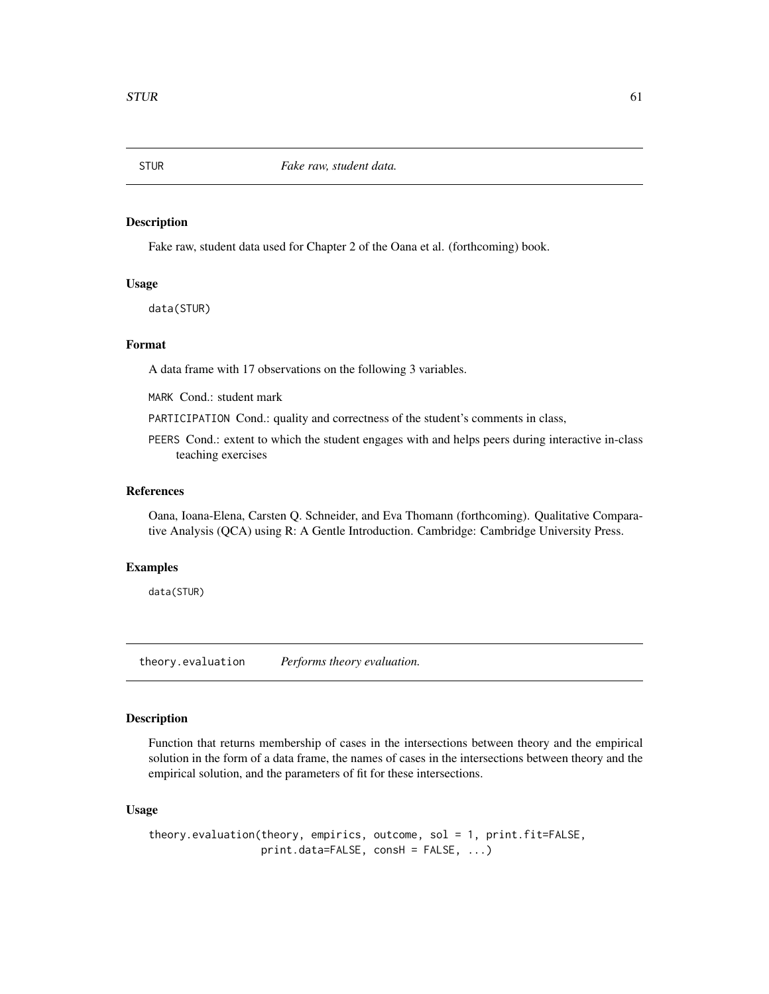<span id="page-60-0"></span>

Fake raw, student data used for Chapter 2 of the Oana et al. (forthcoming) book.

# Usage

data(STUR)

# Format

A data frame with 17 observations on the following 3 variables.

MARK Cond.: student mark

PARTICIPATION Cond.: quality and correctness of the student's comments in class,

PEERS Cond.: extent to which the student engages with and helps peers during interactive in-class teaching exercises

# References

Oana, Ioana-Elena, Carsten Q. Schneider, and Eva Thomann (forthcoming). Qualitative Comparative Analysis (QCA) using R: A Gentle Introduction. Cambridge: Cambridge University Press.

#### Examples

data(STUR)

theory.evaluation *Performs theory evaluation.*

#### Description

Function that returns membership of cases in the intersections between theory and the empirical solution in the form of a data frame, the names of cases in the intersections between theory and the empirical solution, and the parameters of fit for these intersections.

#### Usage

```
theory.evaluation(theory, empirics, outcome, sol = 1, print.fit=FALSE,
                 print.data=FALSE, consH = FALSE, ...)
```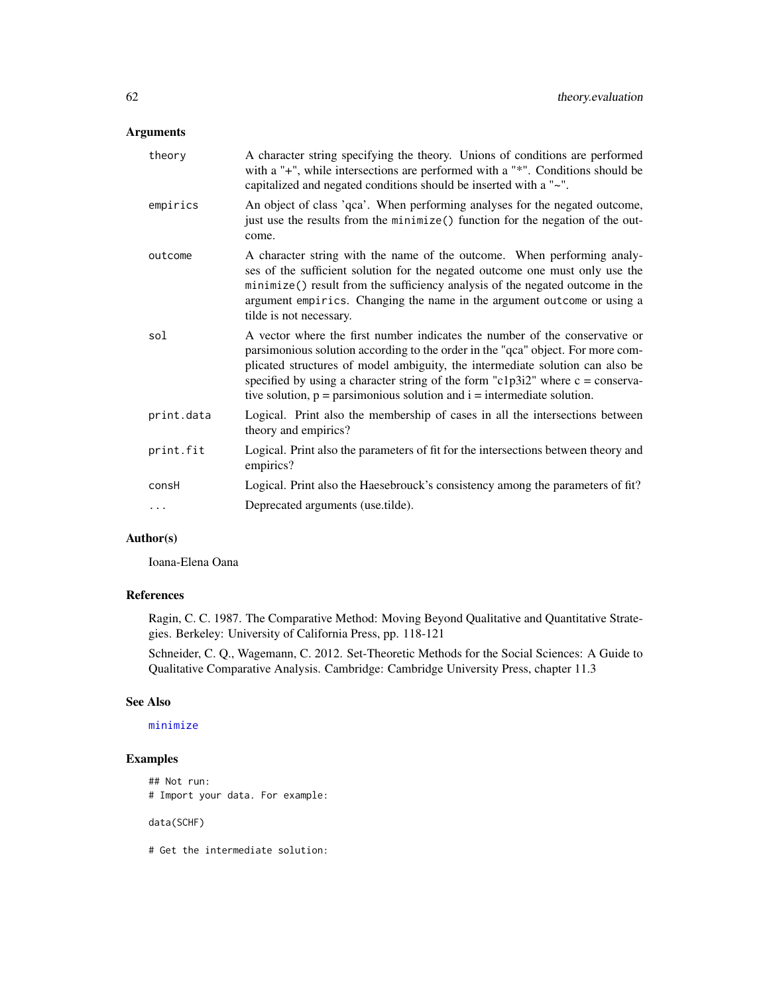# <span id="page-61-0"></span>Arguments

| theory     | A character string specifying the theory. Unions of conditions are performed<br>with a "+", while intersections are performed with a "*". Conditions should be<br>capitalized and negated conditions should be inserted with a "~".                                                                                                                                                                                        |
|------------|----------------------------------------------------------------------------------------------------------------------------------------------------------------------------------------------------------------------------------------------------------------------------------------------------------------------------------------------------------------------------------------------------------------------------|
| empirics   | An object of class 'qca'. When performing analyses for the negated outcome,<br>just use the results from the minimize() function for the negation of the out-<br>come.                                                                                                                                                                                                                                                     |
| outcome    | A character string with the name of the outcome. When performing analy-<br>ses of the sufficient solution for the negated outcome one must only use the<br>minimize() result from the sufficiency analysis of the negated outcome in the<br>argument empirics. Changing the name in the argument outcome or using a<br>tilde is not necessary.                                                                             |
| sol        | A vector where the first number indicates the number of the conservative or<br>parsimonious solution according to the order in the "qca" object. For more com-<br>plicated structures of model ambiguity, the intermediate solution can also be<br>specified by using a character string of the form "c1p3i2" where $c = \text{conserva}$ -<br>tive solution, $p =$ parsimonious solution and $i =$ intermediate solution. |
| print.data | Logical. Print also the membership of cases in all the intersections between<br>theory and empirics?                                                                                                                                                                                                                                                                                                                       |
| print.fit  | Logical. Print also the parameters of fit for the intersections between theory and<br>empirics?                                                                                                                                                                                                                                                                                                                            |
| consH      | Logical. Print also the Haesebrouck's consistency among the parameters of fit?                                                                                                                                                                                                                                                                                                                                             |
| .          | Deprecated arguments (use.tilde).                                                                                                                                                                                                                                                                                                                                                                                          |

# Author(s)

Ioana-Elena Oana

# References

Ragin, C. C. 1987. The Comparative Method: Moving Beyond Qualitative and Quantitative Strategies. Berkeley: University of California Press, pp. 118-121

Schneider, C. Q., Wagemann, C. 2012. Set-Theoretic Methods for the Social Sciences: A Guide to Qualitative Comparative Analysis. Cambridge: Cambridge University Press, chapter 11.3

# See Also

# [minimize](#page-0-0)

# Examples

## Not run: # Import your data. For example:

data(SCHF)

# Get the intermediate solution: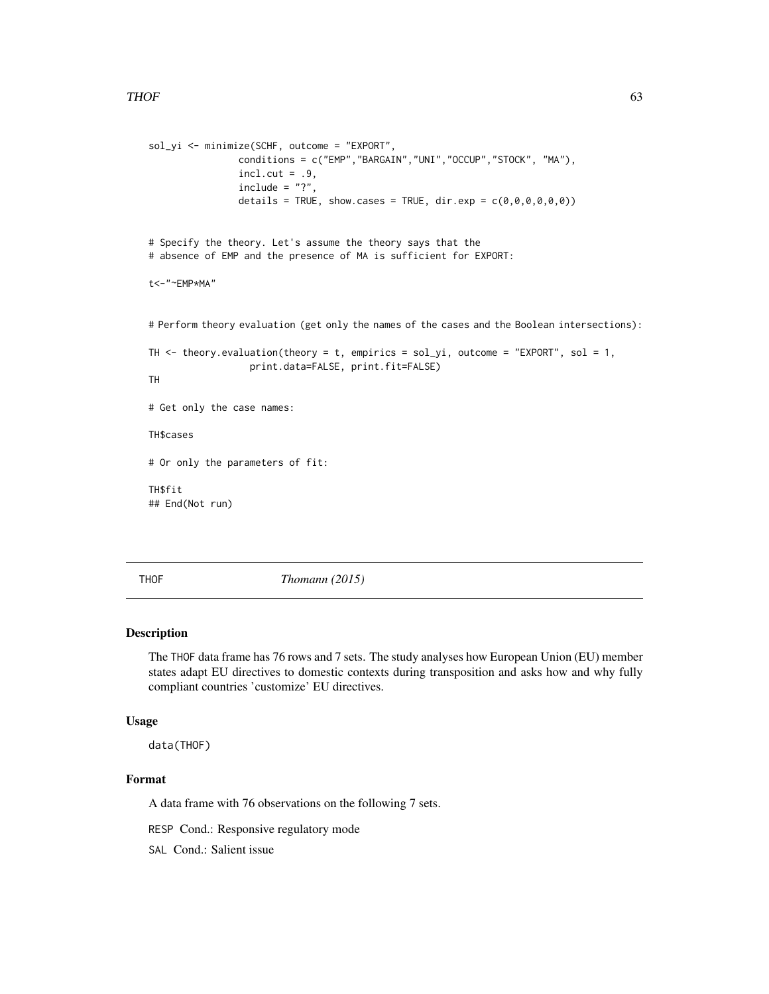```
sol_yi <- minimize(SCHF, outcome = "EXPORT",
                 conditions = c("EMP","BARGAIN","UNI","OCCUP","STOCK", "MA"),
                 incl.cut = .9,include = "?"details = TRUE, show.cases = TRUE, dir.exp = c(\emptyset, \emptyset, \emptyset, \emptyset, \emptyset, \emptyset))
# Specify the theory. Let's assume the theory says that the
# absence of EMP and the presence of MA is sufficient for EXPORT:
t<-"~EMP*MA"
# Perform theory evaluation (get only the names of the cases and the Boolean intersections):
TH \le theory.evaluation(theory = t, empirics = sol_yi, outcome = "EXPORT", sol = 1,
                   print.data=FALSE, print.fit=FALSE)
TH
# Get only the case names:
TH$cases
# Or only the parameters of fit:
TH$fit
## End(Not run)
```
THOF *Thomann (2015)*

#### Description

The THOF data frame has 76 rows and 7 sets. The study analyses how European Union (EU) member states adapt EU directives to domestic contexts during transposition and asks how and why fully compliant countries 'customize' EU directives.

#### Usage

data(THOF)

# Format

A data frame with 76 observations on the following 7 sets.

RESP Cond.: Responsive regulatory mode

SAL Cond.: Salient issue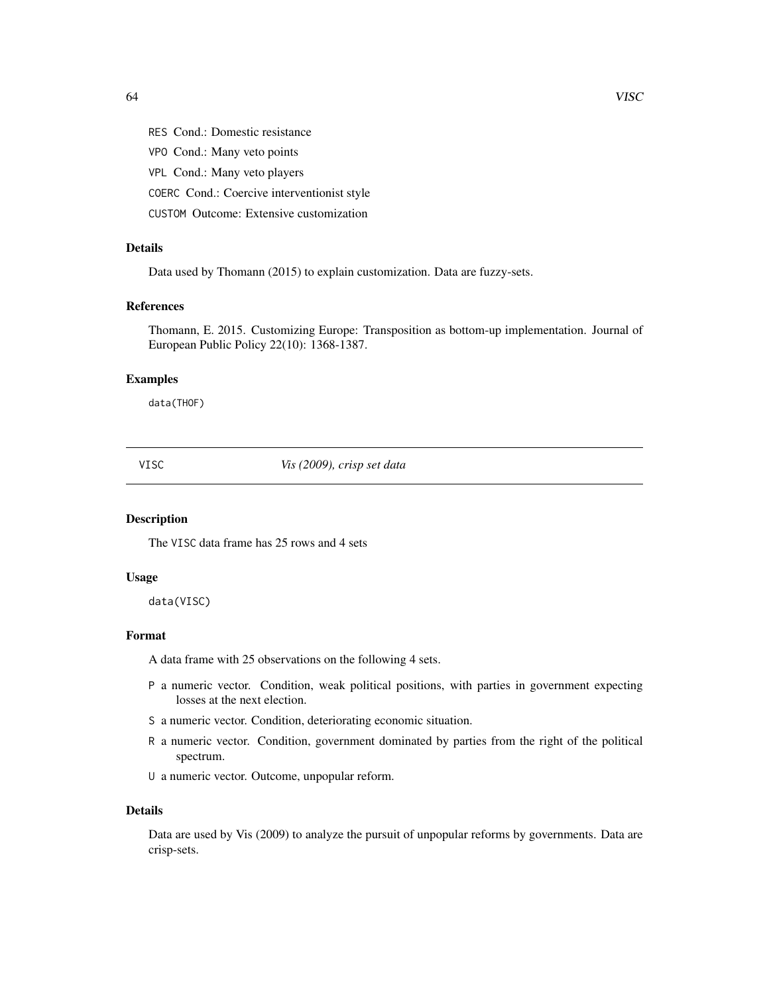<span id="page-63-0"></span>RES Cond.: Domestic resistance

VPO Cond.: Many veto points

VPL Cond.: Many veto players

COERC Cond.: Coercive interventionist style

CUSTOM Outcome: Extensive customization

# Details

Data used by Thomann (2015) to explain customization. Data are fuzzy-sets.

# References

Thomann, E. 2015. Customizing Europe: Transposition as bottom-up implementation. Journal of European Public Policy 22(10): 1368-1387.

# Examples

data(THOF)

VISC *Vis (2009), crisp set data*

#### Description

The VISC data frame has 25 rows and 4 sets

#### Usage

data(VISC)

# Format

A data frame with 25 observations on the following 4 sets.

- P a numeric vector. Condition, weak political positions, with parties in government expecting losses at the next election.
- S a numeric vector. Condition, deteriorating economic situation.
- R a numeric vector. Condition, government dominated by parties from the right of the political spectrum.
- U a numeric vector. Outcome, unpopular reform.

#### Details

Data are used by Vis (2009) to analyze the pursuit of unpopular reforms by governments. Data are crisp-sets.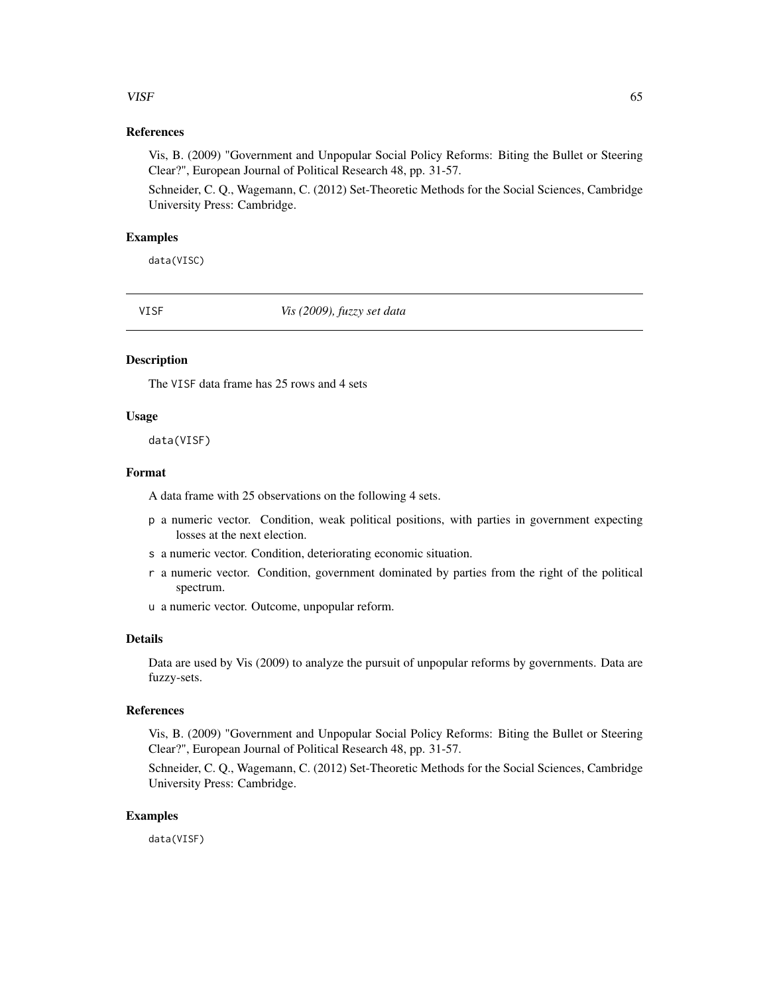# <span id="page-64-0"></span>VISF 65

# References

Vis, B. (2009) "Government and Unpopular Social Policy Reforms: Biting the Bullet or Steering Clear?", European Journal of Political Research 48, pp. 31-57.

Schneider, C. Q., Wagemann, C. (2012) Set-Theoretic Methods for the Social Sciences, Cambridge University Press: Cambridge.

# Examples

data(VISC)

VISF *Vis (2009), fuzzy set data*

# **Description**

The VISF data frame has 25 rows and 4 sets

#### Usage

data(VISF)

#### Format

A data frame with 25 observations on the following 4 sets.

- p a numeric vector. Condition, weak political positions, with parties in government expecting losses at the next election.
- s a numeric vector. Condition, deteriorating economic situation.
- r a numeric vector. Condition, government dominated by parties from the right of the political spectrum.
- u a numeric vector. Outcome, unpopular reform.

#### Details

Data are used by Vis (2009) to analyze the pursuit of unpopular reforms by governments. Data are fuzzy-sets.

# References

Vis, B. (2009) "Government and Unpopular Social Policy Reforms: Biting the Bullet or Steering Clear?", European Journal of Political Research 48, pp. 31-57.

Schneider, C. Q., Wagemann, C. (2012) Set-Theoretic Methods for the Social Sciences, Cambridge University Press: Cambridge.

#### Examples

data(VISF)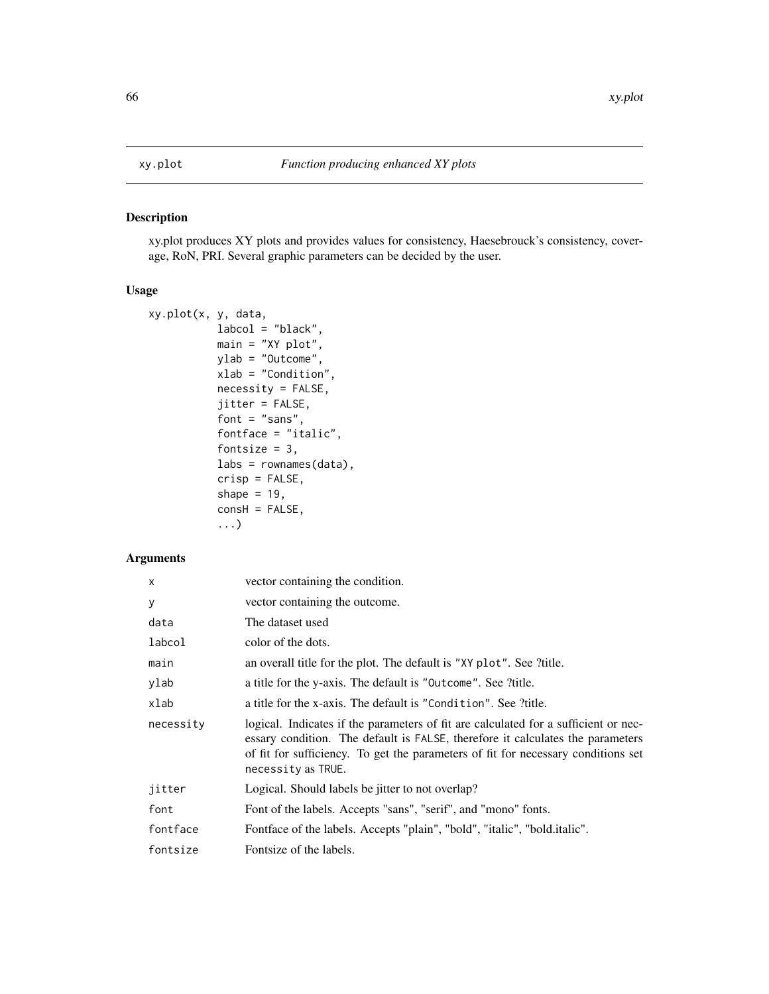<span id="page-65-0"></span>

xy.plot produces XY plots and provides values for consistency, Haesebrouck's consistency, coverage, RoN, PRI. Several graphic parameters can be decided by the user.

# Usage

```
xy.plot(x, y, data,
           labcol = "black",
           main = "XY plot",
           ylab = "Outcome",
           xlab = "Condition",
           necessity = FALSE,
           jitter = FALSE,
           font = "sans",fontface = "italic",
           fontsize = 3,
           labs = rownames(data),
           crisp = FALSE,
           shape = 19,
           const = FALSE,...)
```
# Arguments

| $\mathsf{x}$ | vector containing the condition.                                                                                                                                                                                                                                                 |
|--------------|----------------------------------------------------------------------------------------------------------------------------------------------------------------------------------------------------------------------------------------------------------------------------------|
| У            | vector containing the outcome.                                                                                                                                                                                                                                                   |
| data         | The dataset used                                                                                                                                                                                                                                                                 |
| labcol       | color of the dots.                                                                                                                                                                                                                                                               |
| main         | an overall title for the plot. The default is "XY plot". See ?title.                                                                                                                                                                                                             |
| ylab         | a title for the y-axis. The default is "Outcome". See ?title.                                                                                                                                                                                                                    |
| xlab         | a title for the x-axis. The default is "Condition". See ?title.                                                                                                                                                                                                                  |
| necessity    | logical. Indicates if the parameters of fit are calculated for a sufficient or nec-<br>essary condition. The default is FALSE, therefore it calculates the parameters<br>of fit for sufficiency. To get the parameters of fit for necessary conditions set<br>necessity as TRUE. |
| jitter       | Logical. Should labels be jitter to not overlap?                                                                                                                                                                                                                                 |
| font         | Font of the labels. Accepts "sans", "serif", and "mono" fonts.                                                                                                                                                                                                                   |
| fontface     | Fontface of the labels. Accepts "plain", "bold", "italic", "bold.italic".                                                                                                                                                                                                        |
| fontsize     | Fontsize of the labels.                                                                                                                                                                                                                                                          |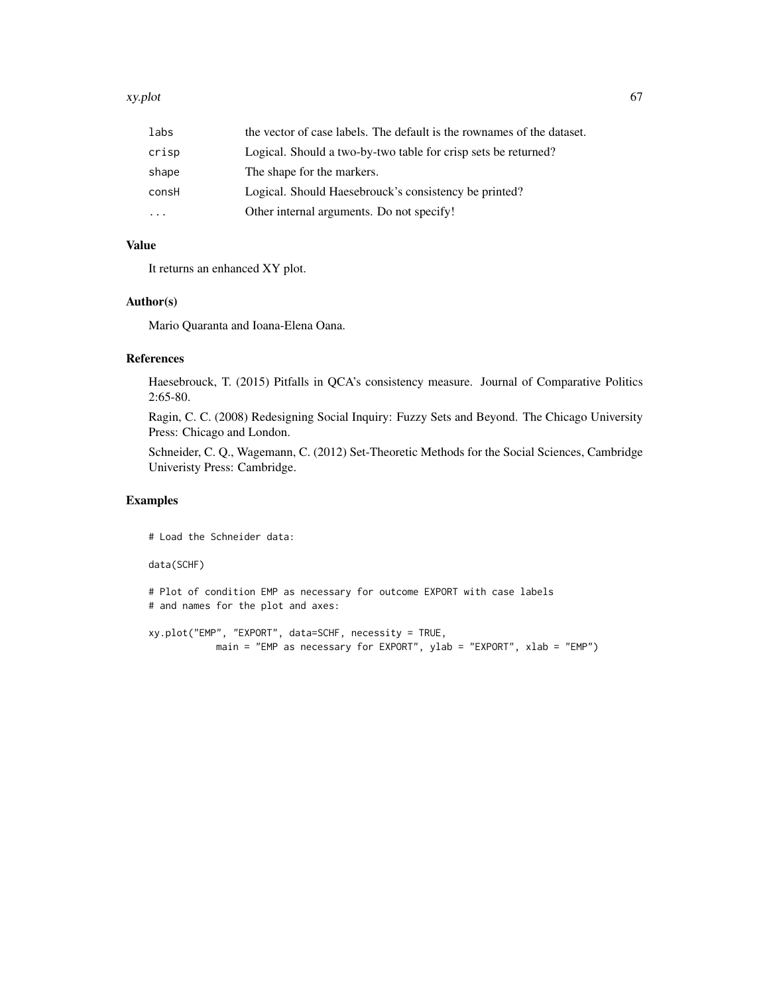#### xy.plot 67

| labs                    | the vector of case labels. The default is the rownames of the dataset. |
|-------------------------|------------------------------------------------------------------------|
| crisp                   | Logical. Should a two-by-two table for crisp sets be returned?         |
| shape                   | The shape for the markers.                                             |
| consH                   | Logical. Should Haesebrouck's consistency be printed?                  |
| $\cdot$ $\cdot$ $\cdot$ | Other internal arguments. Do not specify!                              |

# Value

It returns an enhanced XY plot.

# Author(s)

Mario Quaranta and Ioana-Elena Oana.

# References

Haesebrouck, T. (2015) Pitfalls in QCA's consistency measure. Journal of Comparative Politics 2:65-80.

Ragin, C. C. (2008) Redesigning Social Inquiry: Fuzzy Sets and Beyond. The Chicago University Press: Chicago and London.

Schneider, C. Q., Wagemann, C. (2012) Set-Theoretic Methods for the Social Sciences, Cambridge Univeristy Press: Cambridge.

#### Examples

# Load the Schneider data:

#### data(SCHF)

```
# Plot of condition EMP as necessary for outcome EXPORT with case labels
# and names for the plot and axes:
```

```
xy.plot("EMP", "EXPORT", data=SCHF, necessity = TRUE,
           main = "EMP as necessary for EXPORT", ylab = "EXPORT", xlab = "EMP")
```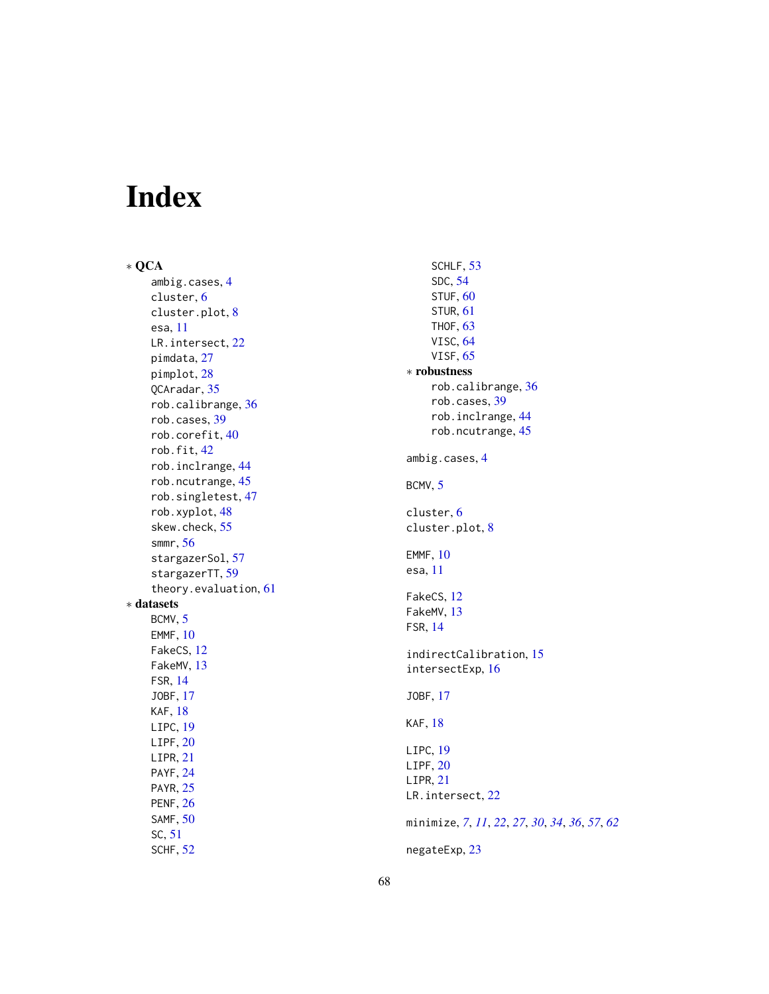# <span id="page-67-0"></span>Index

∗ QCA ambig.cases , [4](#page-3-0) cluster , [6](#page-5-0) cluster.plot , [8](#page-7-0) esa , [11](#page-10-0) LR.intersect, [22](#page-21-0) pimdata , [27](#page-26-0) pimplot , [28](#page-27-0) QCAradar , [35](#page-34-0) rob.calibrange , [36](#page-35-0) rob.cases , [39](#page-38-0) rob.corefit , [40](#page-39-0) rob.fit , [42](#page-41-0) rob.inclrange , [44](#page-43-0) rob.ncutrange , [45](#page-44-0) rob.singletest , [47](#page-46-0) rob.xyplot , [48](#page-47-0) skew.check , [55](#page-54-0) smmr , [56](#page-55-0) stargazerSol, [57](#page-56-0) stargazerTT, [59](#page-58-0) theory.evaluation , [61](#page-60-0) ∗ datasets BCMV, [5](#page-4-0) EMMF , [10](#page-9-0) FakeCS , [12](#page-11-0) FakeMV , [13](#page-12-0) FSR , [14](#page-13-0) JOBF , [17](#page-16-0) KAF , [18](#page-17-0) LIPC , [19](#page-18-0)  $LIPF, 20$  $LIPF, 20$ LIPR , [21](#page-20-0) PAYF , [24](#page-23-0) PAYR, [25](#page-24-0) PENF , [26](#page-25-0) SAMF , [50](#page-49-0) SC , [51](#page-50-0) SCHF , [52](#page-51-0)

SCHLF, [53](#page-52-0) SDC , [54](#page-53-0)  $STUF, 60$  $STUF, 60$ STUR , [61](#page-60-0) THOF , [63](#page-62-0) VISC , [64](#page-63-0) VISF , [65](#page-64-0) ∗ robustness rob.calibrange , [36](#page-35-0) rob.cases , [39](#page-38-0) rob.inclrange , [44](#page-43-0) rob.ncutrange, [45](#page-44-0) ambig.cases , [4](#page-3-0) BCMV, [5](#page-4-0) cluster , [6](#page-5-0) cluster.plot , [8](#page-7-0) EMMF , [10](#page-9-0) esa , [11](#page-10-0) FakeCS , [12](#page-11-0) FakeMV, [13](#page-12-0) FSR , [14](#page-13-0) indirectCalibration , [15](#page-14-0) intersectExp , [16](#page-15-0) JOBF , [17](#page-16-0) KAF, [18](#page-17-0) LIPC , [19](#page-18-0) LIPF,  $20$ LIPR , [21](#page-20-0) LR.intersect, [22](#page-21-0) minimize , *[7](#page-6-0)* , *[11](#page-10-0)* , *[22](#page-21-0)* , *[27](#page-26-0)* , *[30](#page-29-0)* , *[34](#page-33-0)* , *[36](#page-35-0)* , *[57](#page-56-0)* , *[62](#page-61-0)* negateExp , [23](#page-22-0)